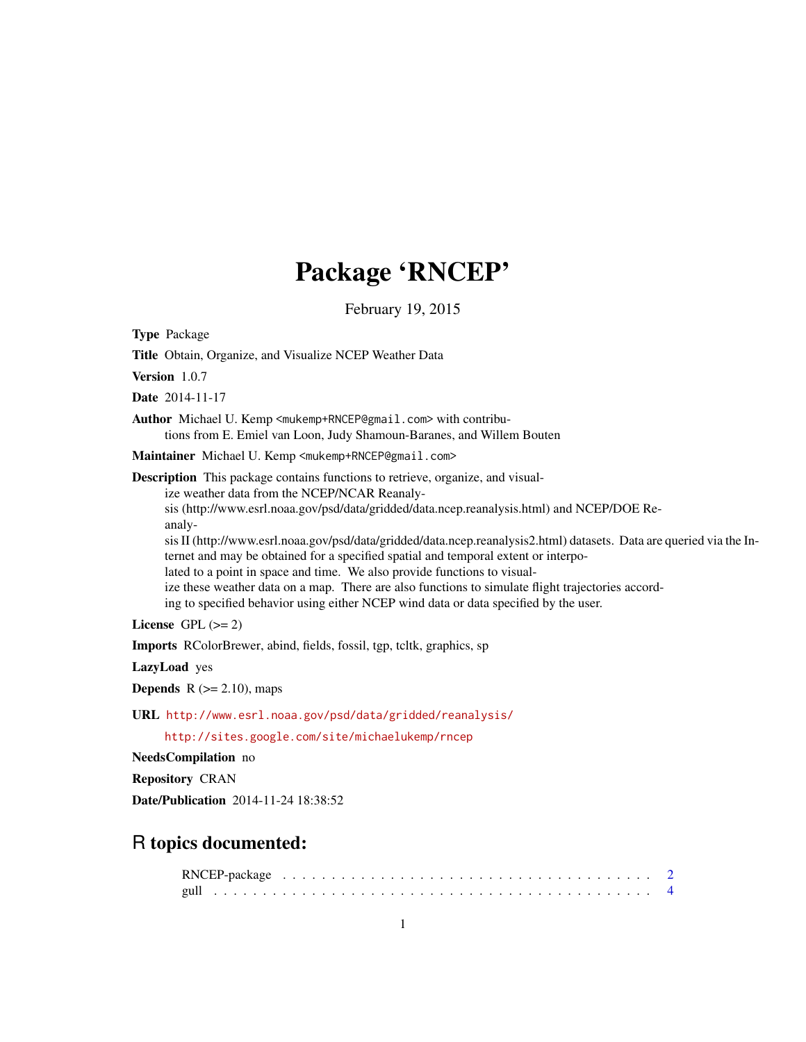## Package 'RNCEP'

February 19, 2015

<span id="page-0-0"></span>Type Package

Title Obtain, Organize, and Visualize NCEP Weather Data

Version 1.0.7

Date 2014-11-17

Author Michael U. Kemp <mukemp+RNCEP@gmail.com> with contributions from E. Emiel van Loon, Judy Shamoun-Baranes, and Willem Bouten

Maintainer Michael U. Kemp <mukemp+RNCEP@gmail.com>

Description This package contains functions to retrieve, organize, and visualize weather data from the NCEP/NCAR Reanaly-

sis (http://www.esrl.noaa.gov/psd/data/gridded/data.ncep.reanalysis.html) and NCEP/DOE Reanaly-

sis II (http://www.esrl.noaa.gov/psd/data/gridded/data.ncep.reanalysis2.html) datasets. Data are queried via the Internet and may be obtained for a specified spatial and temporal extent or interpo-

lated to a point in space and time. We also provide functions to visual-

ize these weather data on a map. There are also functions to simulate flight trajectories accord-

ing to specified behavior using either NCEP wind data or data specified by the user.

License GPL  $(>= 2)$ 

Imports RColorBrewer, abind, fields, fossil, tgp, tcltk, graphics, sp

LazyLoad yes

**Depends**  $R$  ( $>= 2.10$ ), maps

URL <http://www.esrl.noaa.gov/psd/data/gridded/reanalysis/>

<http://sites.google.com/site/michaelukemp/rncep>

NeedsCompilation no

Repository CRAN

Date/Publication 2014-11-24 18:38:52

## R topics documented: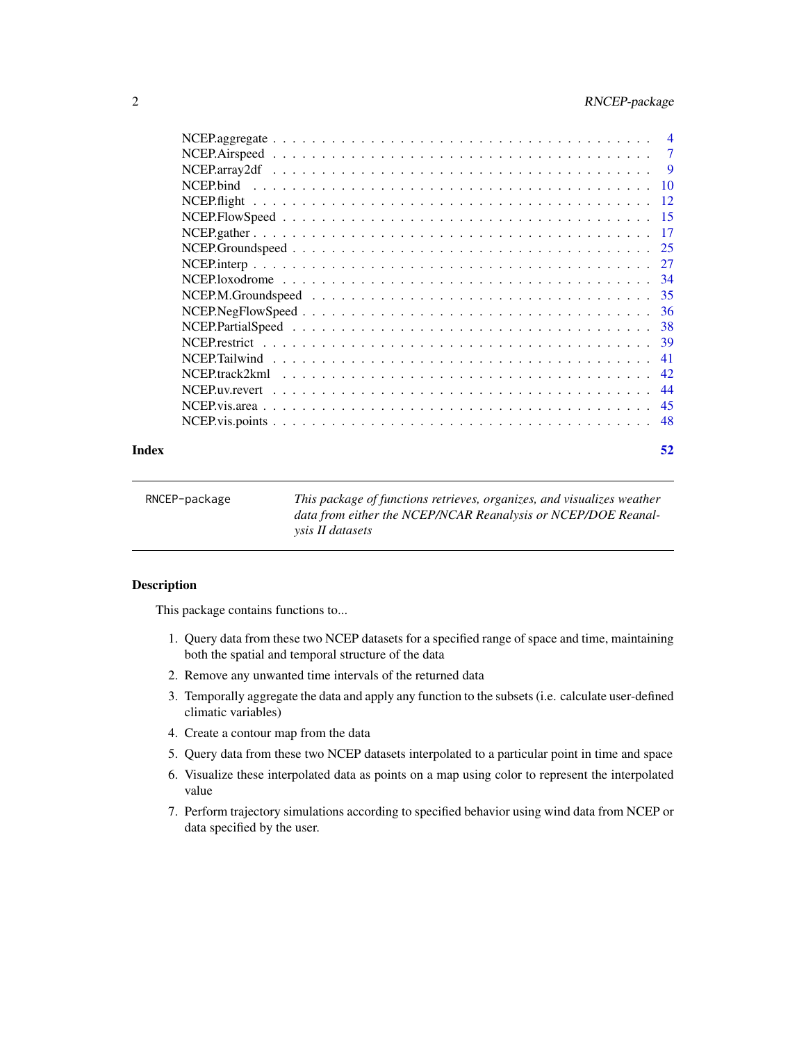<span id="page-1-0"></span>

|                                                                                                                     | 7        |
|---------------------------------------------------------------------------------------------------------------------|----------|
|                                                                                                                     | <b>9</b> |
|                                                                                                                     | 10       |
|                                                                                                                     | -12      |
| $NCEP. Flow Speed \ldots \ldots \ldots \ldots \ldots \ldots \ldots \ldots \ldots \ldots \ldots$                     | 15       |
|                                                                                                                     | 17       |
|                                                                                                                     | 25       |
|                                                                                                                     | 27       |
| NCEP.loxodrome $\ldots \ldots \ldots \ldots \ldots \ldots \ldots \ldots \ldots \ldots \ldots \ldots \ldots$         | -34      |
| $NCEP.M.Groundspeed \dots \dots \dots \dots \dots \dots \dots \dots \dots \dots \dots \dots \dots$                  | 35       |
|                                                                                                                     | 36       |
|                                                                                                                     | 38       |
|                                                                                                                     | 39       |
|                                                                                                                     | 41       |
| $NCEP\text{.}$ track $2$ km $1 \ldots \ldots \ldots \ldots \ldots \ldots \ldots \ldots \ldots \ldots \ldots \ldots$ | 42       |
|                                                                                                                     | 44       |
|                                                                                                                     | 45       |
|                                                                                                                     | 48       |
|                                                                                                                     |          |

#### **Index** [52](#page-51-0)

| RNCEP-package | This package of functions retrieves, organizes, and visualizes weather |
|---------------|------------------------------------------------------------------------|
|               | data from either the NCEP/NCAR Reanalysis or NCEP/DOE Reanal-          |
|               | <i>vsis II datasets</i>                                                |
|               |                                                                        |

## Description

This package contains functions to...

- 1. Query data from these two NCEP datasets for a specified range of space and time, maintaining both the spatial and temporal structure of the data
- 2. Remove any unwanted time intervals of the returned data
- 3. Temporally aggregate the data and apply any function to the subsets (i.e. calculate user-defined climatic variables)
- 4. Create a contour map from the data
- 5. Query data from these two NCEP datasets interpolated to a particular point in time and space
- 6. Visualize these interpolated data as points on a map using color to represent the interpolated value
- 7. Perform trajectory simulations according to specified behavior using wind data from NCEP or data specified by the user.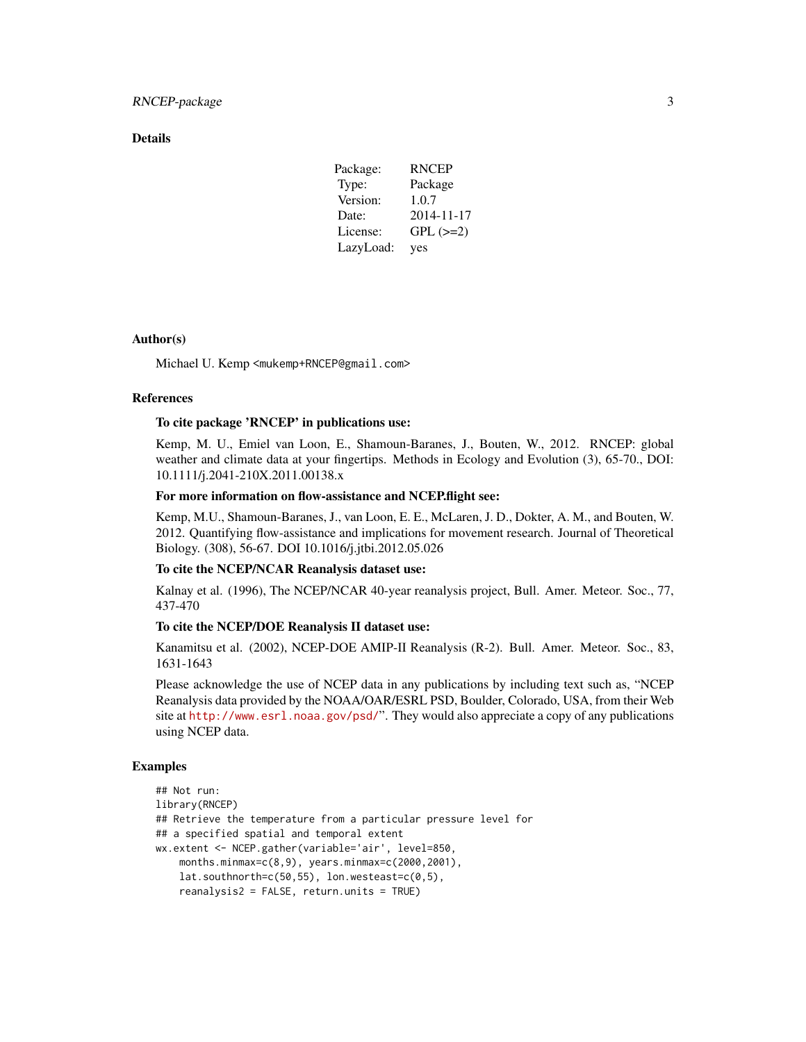## **Details**

| Package:  | <b>RNCEP</b>  |
|-----------|---------------|
| Type:     | Package       |
| Version:  | 1.0.7         |
| Date:     | 2014-11-17    |
| License:  | $GPL$ $(>=2)$ |
| LazyLoad: | yes           |

## Author(s)

Michael U. Kemp <mukemp+RNCEP@gmail.com>

## References

#### To cite package 'RNCEP' in publications use:

Kemp, M. U., Emiel van Loon, E., Shamoun-Baranes, J., Bouten, W., 2012. RNCEP: global weather and climate data at your fingertips. Methods in Ecology and Evolution (3), 65-70., DOI: 10.1111/j.2041-210X.2011.00138.x

## For more information on flow-assistance and NCEP.flight see:

Kemp, M.U., Shamoun-Baranes, J., van Loon, E. E., McLaren, J. D., Dokter, A. M., and Bouten, W. 2012. Quantifying flow-assistance and implications for movement research. Journal of Theoretical Biology. (308), 56-67. DOI 10.1016/j.jtbi.2012.05.026

## To cite the NCEP/NCAR Reanalysis dataset use:

Kalnay et al. (1996), The NCEP/NCAR 40-year reanalysis project, Bull. Amer. Meteor. Soc., 77, 437-470

## To cite the NCEP/DOE Reanalysis II dataset use:

Kanamitsu et al. (2002), NCEP-DOE AMIP-II Reanalysis (R-2). Bull. Amer. Meteor. Soc., 83, 1631-1643

Please acknowledge the use of NCEP data in any publications by including text such as, "NCEP Reanalysis data provided by the NOAA/OAR/ESRL PSD, Boulder, Colorado, USA, from their Web site at <http://www.esrl.noaa.gov/psd/>". They would also appreciate a copy of any publications using NCEP data.

```
## Not run:
library(RNCEP)
## Retrieve the temperature from a particular pressure level for
## a specified spatial and temporal extent
wx.extent <- NCEP.gather(variable='air', level=850,
   months.minmax=c(8,9), years.minmax=c(2000,2001),
   lat.southnorth=c(50,55), lon.westeast=c(0,5),
   reanalysis2 = FALSE, return.units = TRUE)
```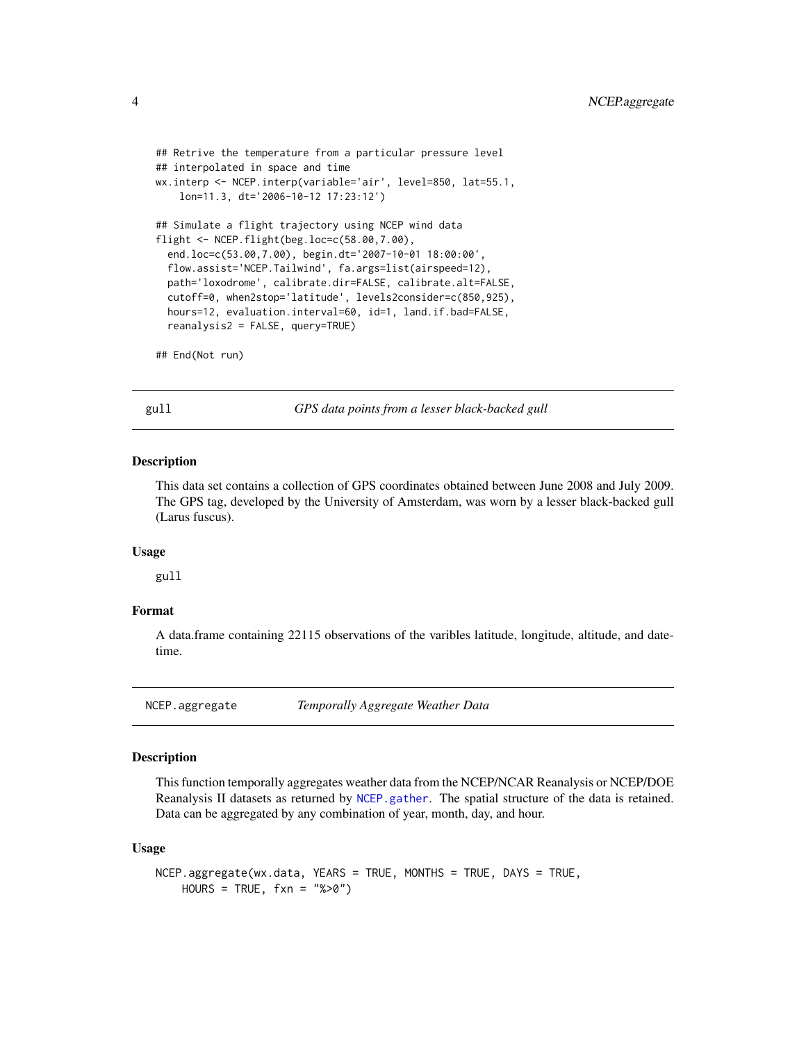```
## Retrive the temperature from a particular pressure level
## interpolated in space and time
wx.interp <- NCEP.interp(variable='air', level=850, lat=55.1,
   lon=11.3, dt='2006-10-12 17:23:12')
## Simulate a flight trajectory using NCEP wind data
flight <- NCEP.flight(beg.loc=c(58.00,7.00),
 end.loc=c(53.00,7.00), begin.dt='2007-10-01 18:00:00',
 flow.assist='NCEP.Tailwind', fa.args=list(airspeed=12),
 path='loxodrome', calibrate.dir=FALSE, calibrate.alt=FALSE,
 cutoff=0, when2stop='latitude', levels2consider=c(850,925),
 hours=12, evaluation.interval=60, id=1, land.if.bad=FALSE,
 reanalysis2 = FALSE, query=TRUE)
```
## End(Not run)

gull *GPS data points from a lesser black-backed gull*

#### Description

This data set contains a collection of GPS coordinates obtained between June 2008 and July 2009. The GPS tag, developed by the University of Amsterdam, was worn by a lesser black-backed gull (Larus fuscus).

## Usage

gull

#### Format

A data.frame containing 22115 observations of the varibles latitude, longitude, altitude, and datetime.

<span id="page-3-1"></span>NCEP.aggregate *Temporally Aggregate Weather Data*

### **Description**

This function temporally aggregates weather data from the NCEP/NCAR Reanalysis or NCEP/DOE Reanalysis II datasets as returned by [NCEP.gather](#page-16-1). The spatial structure of the data is retained. Data can be aggregated by any combination of year, month, day, and hour.

## Usage

```
NCEP.aggregate(wx.data, YEARS = TRUE, MONTHS = TRUE, DAYS = TRUE,
   HOUNS = TRUE, fxn = "%>0")
```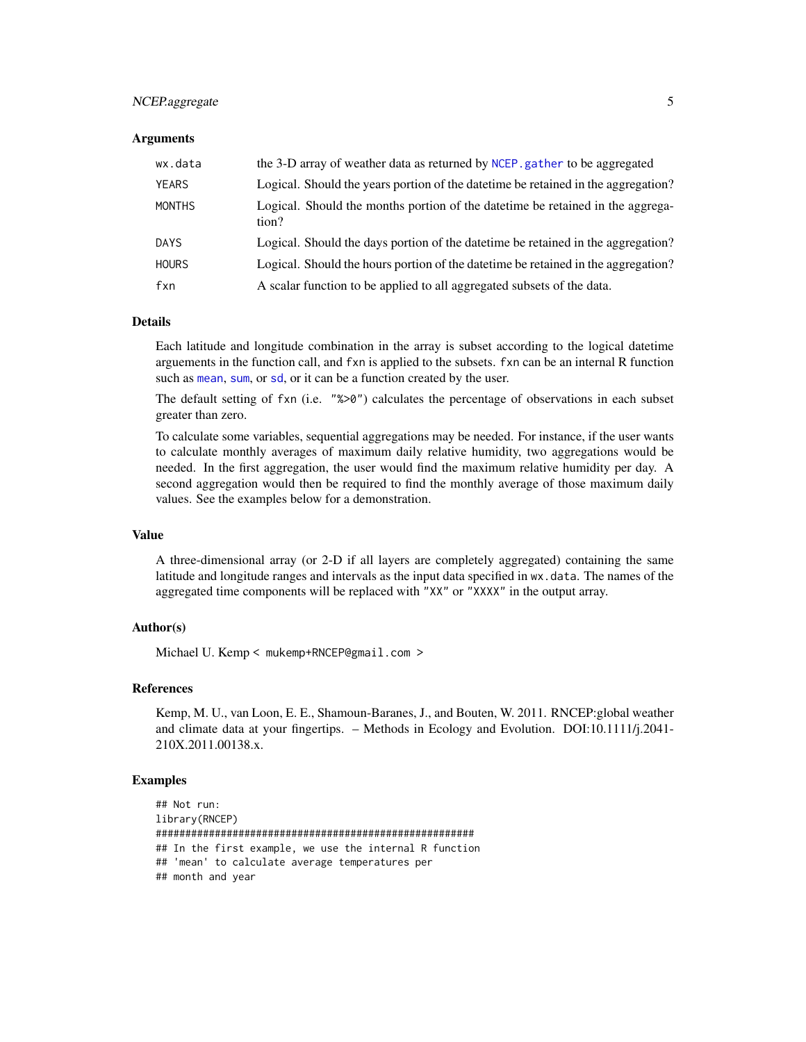## <span id="page-4-0"></span>NCEP.aggregate 5

#### **Arguments**

| wx.data       | the 3-D array of weather data as returned by NCEP, gather to be aggregated               |
|---------------|------------------------------------------------------------------------------------------|
| <b>YEARS</b>  | Logical. Should the years portion of the date time be retained in the aggregation?       |
| <b>MONTHS</b> | Logical. Should the months portion of the date time be retained in the aggrega-<br>tion? |
| DAYS          | Logical. Should the days portion of the date time be retained in the aggregation?        |
| <b>HOURS</b>  | Logical. Should the hours portion of the date time be retained in the aggregation?       |
| fxn           | A scalar function to be applied to all aggregated subsets of the data.                   |

## Details

Each latitude and longitude combination in the array is subset according to the logical datetime arguements in the function call, and fxn is applied to the subsets. fxn can be an internal R function such as [mean](#page-0-0), [sum](#page-0-0), or [sd](#page-0-0), or it can be a function created by the user.

The default setting of fxn (i.e. "%>0") calculates the percentage of observations in each subset greater than zero.

To calculate some variables, sequential aggregations may be needed. For instance, if the user wants to calculate monthly averages of maximum daily relative humidity, two aggregations would be needed. In the first aggregation, the user would find the maximum relative humidity per day. A second aggregation would then be required to find the monthly average of those maximum daily values. See the examples below for a demonstration.

## Value

A three-dimensional array (or 2-D if all layers are completely aggregated) containing the same latitude and longitude ranges and intervals as the input data specified in wx.data. The names of the aggregated time components will be replaced with "XX" or "XXXX" in the output array.

## Author(s)

Michael U. Kemp < mukemp+RNCEP@gmail.com >

## References

Kemp, M. U., van Loon, E. E., Shamoun-Baranes, J., and Bouten, W. 2011. RNCEP:global weather and climate data at your fingertips. – Methods in Ecology and Evolution. DOI:10.1111/j.2041- 210X.2011.00138.x.

```
## Not run:
library(RNCEP)
######################################################
## In the first example, we use the internal R function
## 'mean' to calculate average temperatures per
## month and year
```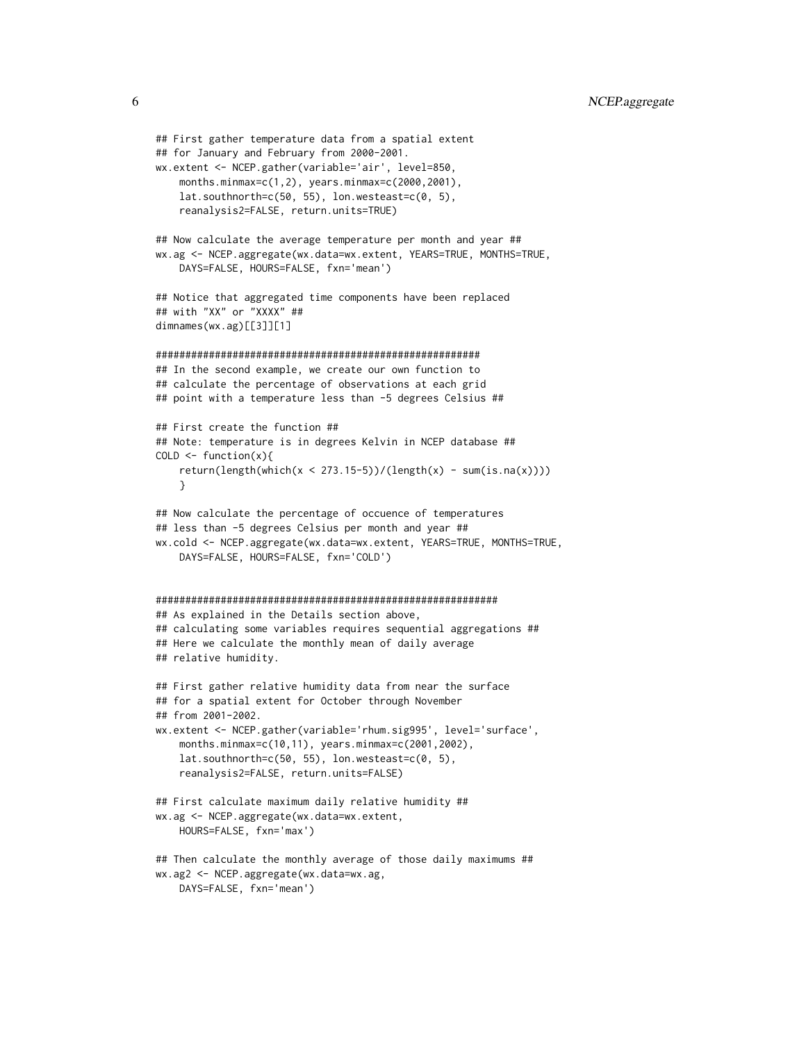```
## First gather temperature data from a spatial extent
## for January and February from 2000-2001.
wx.extent <- NCEP.gather(variable='air', level=850,
    months.minmax=c(1,2), years.minmax=c(2000,2001),
    lat.southnorth=c(50, 55), lon.westeast=c(0, 5),
   reanalysis2=FALSE, return.units=TRUE)
## Now calculate the average temperature per month and year ##
wx.ag <- NCEP.aggregate(wx.data=wx.extent, YEARS=TRUE, MONTHS=TRUE,
    DAYS=FALSE, HOURS=FALSE, fxn='mean')
## Notice that aggregated time components have been replaced
## with "XX" or "XXXX" ##
dimnames(wx.ag)[[3]][1]
#######################################################
## In the second example, we create our own function to
## calculate the percentage of observations at each grid
## point with a temperature less than -5 degrees Celsius ##
## First create the function ##
## Note: temperature is in degrees Kelvin in NCEP database ##
COLD \leftarrow function(x)return(length(which(x < 273.15-5))/(length(x) - sum(is.na(x))))}
## Now calculate the percentage of occuence of temperatures
## less than -5 degrees Celsius per month and year ##
wx.cold <- NCEP.aggregate(wx.data=wx.extent, YEARS=TRUE, MONTHS=TRUE,
   DAYS=FALSE, HOURS=FALSE, fxn='COLD')
##########################################################
## As explained in the Details section above,
## calculating some variables requires sequential aggregations ##
## Here we calculate the monthly mean of daily average
## relative humidity.
## First gather relative humidity data from near the surface
## for a spatial extent for October through November
## from 2001-2002.
wx.extent <- NCEP.gather(variable='rhum.sig995', level='surface',
    months.minmax=c(10,11), years.minmax=c(2001,2002),
   lat.southnorth=c(50, 55), lon.westeast=c(0, 5),
    reanalysis2=FALSE, return.units=FALSE)
## First calculate maximum daily relative humidity ##
wx.ag <- NCEP.aggregate(wx.data=wx.extent,
   HOURS=FALSE, fxn='max')
## Then calculate the monthly average of those daily maximums ##
wx.ag2 <- NCEP.aggregate(wx.data=wx.ag,
```

```
DAYS=FALSE, fxn='mean')
```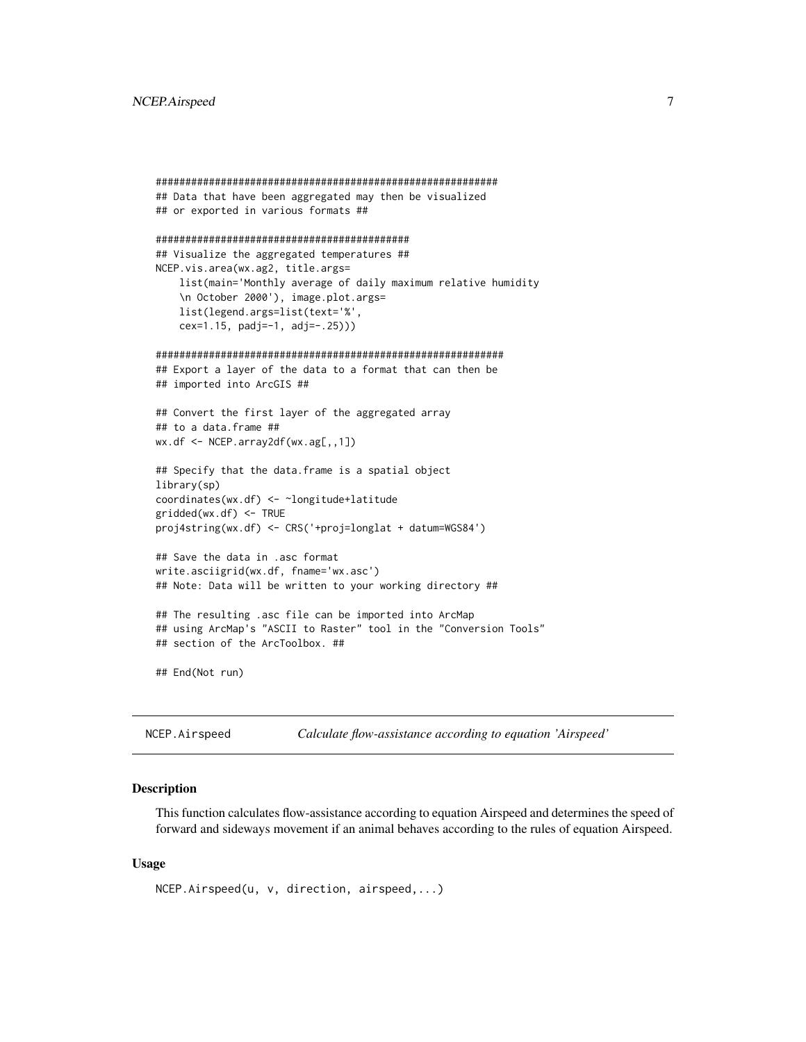## <span id="page-6-0"></span>NCEP.Airspeed 7

```
##########################################################
## Data that have been aggregated may then be visualized
## or exported in various formats ##
###########################################
## Visualize the aggregated temperatures ##
NCEP.vis.area(wx.ag2, title.args=
    list(main='Monthly average of daily maximum relative humidity
    \n October 2000'), image.plot.args=
    list(legend.args=list(text='%',
    cex=1.15, padj=-1, adj=-.25)))
###########################################################
## Export a layer of the data to a format that can then be
## imported into ArcGIS ##
## Convert the first layer of the aggregated array
## to a data.frame ##
wx.df <- NCEP.array2df(wx.ag[,,1])
## Specify that the data.frame is a spatial object
library(sp)
coordinates(wx.df) <- ~longitude+latitude
gridded(wx.df) <- TRUE
proj4string(wx.df) <- CRS('+proj=longlat + datum=WGS84')
## Save the data in .asc format
write.asciigrid(wx.df, fname='wx.asc')
## Note: Data will be written to your working directory ##
## The resulting .asc file can be imported into ArcMap
## using ArcMap's "ASCII to Raster" tool in the "Conversion Tools"
## section of the ArcToolbox. ##
## End(Not run)
```
<span id="page-6-1"></span>NCEP.Airspeed *Calculate flow-assistance according to equation 'Airspeed'*

## Description

This function calculates flow-assistance according to equation Airspeed and determines the speed of forward and sideways movement if an animal behaves according to the rules of equation Airspeed.

## Usage

```
NCEP.Airspeed(u, v, direction, airspeed,...)
```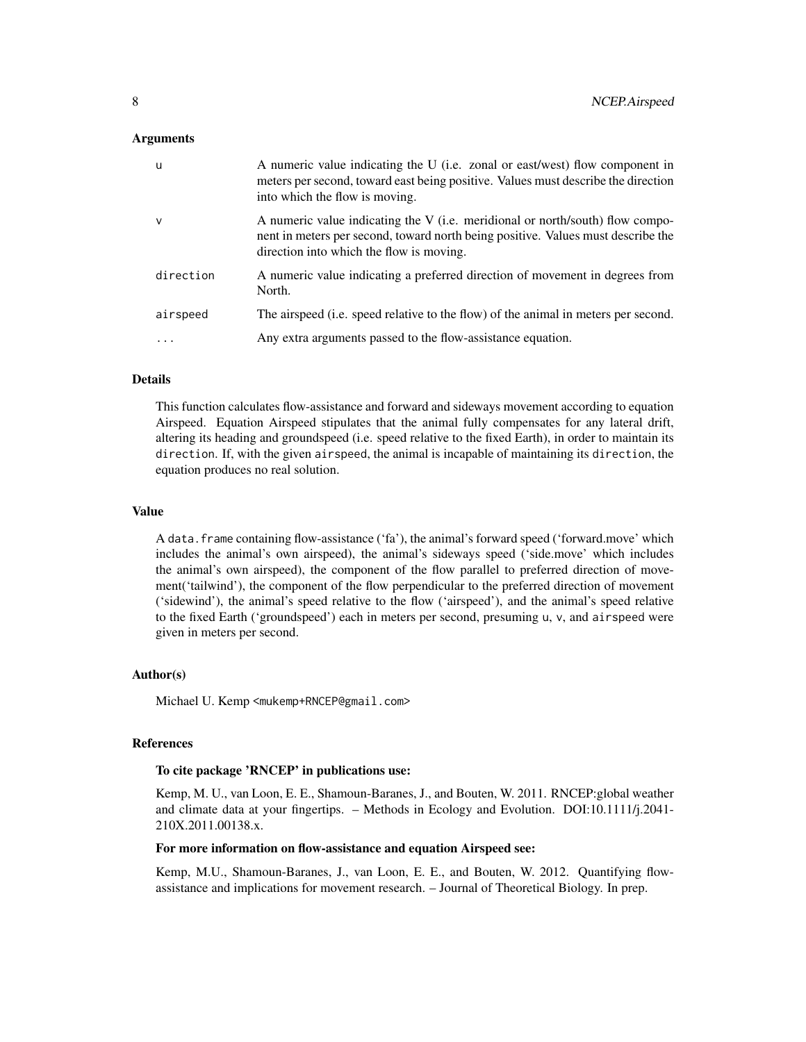#### Arguments

| <b>u</b>  | A numeric value indicating the U (i.e. zonal or east/west) flow component in<br>meters per second, toward east being positive. Values must describe the direction<br>into which the flow is moving.           |
|-----------|---------------------------------------------------------------------------------------------------------------------------------------------------------------------------------------------------------------|
| v         | A numeric value indicating the V (i.e. meridional or north/south) flow compo-<br>nent in meters per second, toward north being positive. Values must describe the<br>direction into which the flow is moving. |
| direction | A numeric value indicating a preferred direction of movement in degrees from<br>North.                                                                                                                        |
| airspeed  | The airspeed (i.e. speed relative to the flow) of the animal in meters per second.                                                                                                                            |
| .         | Any extra arguments passed to the flow-assistance equation.                                                                                                                                                   |

## Details

This function calculates flow-assistance and forward and sideways movement according to equation Airspeed. Equation Airspeed stipulates that the animal fully compensates for any lateral drift, altering its heading and groundspeed (i.e. speed relative to the fixed Earth), in order to maintain its direction. If, with the given airspeed, the animal is incapable of maintaining its direction, the equation produces no real solution.

#### Value

A data.frame containing flow-assistance ('fa'), the animal's forward speed ('forward.move' which includes the animal's own airspeed), the animal's sideways speed ('side.move' which includes the animal's own airspeed), the component of the flow parallel to preferred direction of movement('tailwind'), the component of the flow perpendicular to the preferred direction of movement ('sidewind'), the animal's speed relative to the flow ('airspeed'), and the animal's speed relative to the fixed Earth ('groundspeed') each in meters per second, presuming u, v, and airspeed were given in meters per second.

#### Author(s)

Michael U. Kemp <mukemp+RNCEP@gmail.com>

## References

## To cite package 'RNCEP' in publications use:

Kemp, M. U., van Loon, E. E., Shamoun-Baranes, J., and Bouten, W. 2011. RNCEP:global weather and climate data at your fingertips. – Methods in Ecology and Evolution. DOI:10.1111/j.2041- 210X.2011.00138.x.

## For more information on flow-assistance and equation Airspeed see:

Kemp, M.U., Shamoun-Baranes, J., van Loon, E. E., and Bouten, W. 2012. Quantifying flowassistance and implications for movement research. – Journal of Theoretical Biology. In prep.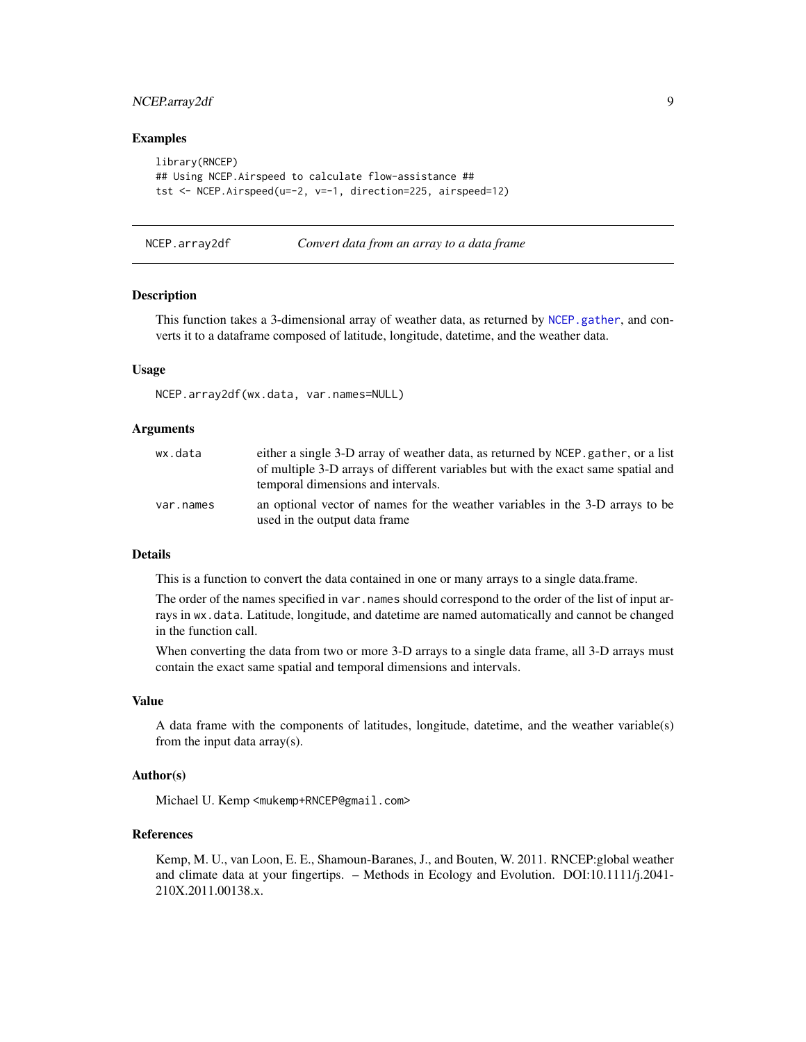## <span id="page-8-0"></span>NCEP.array2df 9

## Examples

```
library(RNCEP)
## Using NCEP.Airspeed to calculate flow-assistance ##
tst <- NCEP.Airspeed(u=-2, v=-1, direction=225, airspeed=12)
```
NCEP.array2df *Convert data from an array to a data frame*

## Description

This function takes a 3-dimensional array of weather data, as returned by [NCEP.gather](#page-16-1), and converts it to a dataframe composed of latitude, longitude, datetime, and the weather data.

## Usage

NCEP.array2df(wx.data, var.names=NULL)

#### **Arguments**

| wx.data   | either a single 3-D array of weather data, as returned by NCEP, gather, or a list<br>of multiple 3-D arrays of different variables but with the exact same spatial and<br>temporal dimensions and intervals. |
|-----------|--------------------------------------------------------------------------------------------------------------------------------------------------------------------------------------------------------------|
| var.names | an optional vector of names for the weather variables in the 3-D arrays to be<br>used in the output data frame                                                                                               |

#### Details

This is a function to convert the data contained in one or many arrays to a single data.frame.

The order of the names specified in var.names should correspond to the order of the list of input arrays in wx.data. Latitude, longitude, and datetime are named automatically and cannot be changed in the function call.

When converting the data from two or more 3-D arrays to a single data frame, all 3-D arrays must contain the exact same spatial and temporal dimensions and intervals.

#### Value

A data frame with the components of latitudes, longitude, datetime, and the weather variable(s) from the input data array(s).

## Author(s)

Michael U. Kemp <mukemp+RNCEP@gmail.com>

## References

Kemp, M. U., van Loon, E. E., Shamoun-Baranes, J., and Bouten, W. 2011. RNCEP:global weather and climate data at your fingertips. – Methods in Ecology and Evolution. DOI:10.1111/j.2041- 210X.2011.00138.x.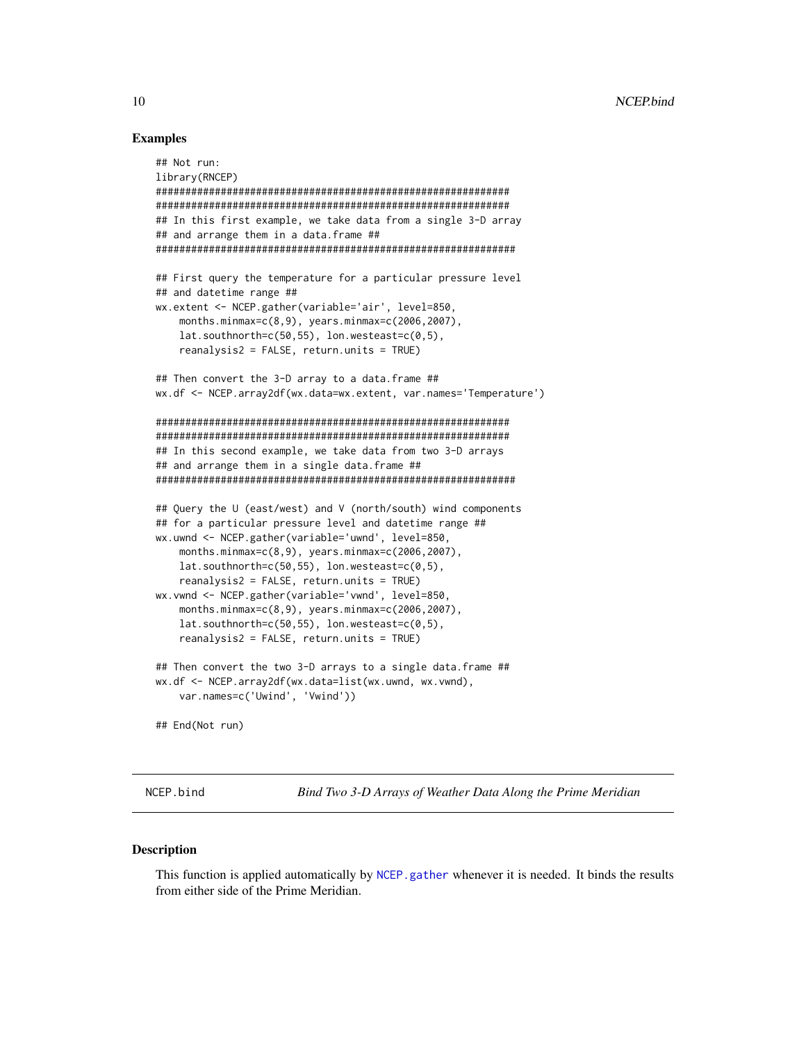## Examples

```
## Not run:
library(RNCEP)
############################################################
############################################################
## In this first example, we take data from a single 3-D array
## and arrange them in a data.frame ##
#############################################################
## First query the temperature for a particular pressure level
## and datetime range ##
wx.extent <- NCEP.gather(variable='air', level=850,
   months.minmax=c(8,9), years.minmax=c(2006,2007),
    lat.southnorth=c(50,55), lon.westeast=c(0,5),
    reanalysis2 = FALSE, return.units = TRUE)
## Then convert the 3-D array to a data.frame ##
wx.df <- NCEP.array2df(wx.data=wx.extent, var.names='Temperature')
############################################################
############################################################
## In this second example, we take data from two 3-D arrays
## and arrange them in a single data.frame ##
#############################################################
## Query the U (east/west) and V (north/south) wind components
## for a particular pressure level and datetime range ##
wx.uwnd <- NCEP.gather(variable='uwnd', level=850,
   months.minmax=c(8,9), years.minmax=c(2006,2007),
   lat.southnorth=c(50,55), lon.westeast=c(0,5),
    reanalysis2 = FALSE, return.units = TRUE)
wx.vwnd <- NCEP.gather(variable='vwnd', level=850,
    months.minmax=c(8,9), years.minmax=c(2006,2007),
    lat.southnorth=c(50,55), lon.westeast=c(0,5),
    reanalysis2 = FALSE, return.units = TRUE)
## Then convert the two 3-D arrays to a single data.frame ##
wx.df <- NCEP.array2df(wx.data=list(wx.uwnd, wx.vwnd),
   var.names=c('Uwind', 'Vwind'))
## End(Not run)
```
NCEP.bind *Bind Two 3-D Arrays of Weather Data Along the Prime Meridian*

## **Description**

This function is applied automatically by [NCEP.gather](#page-16-1) whenever it is needed. It binds the results from either side of the Prime Meridian.

<span id="page-9-0"></span>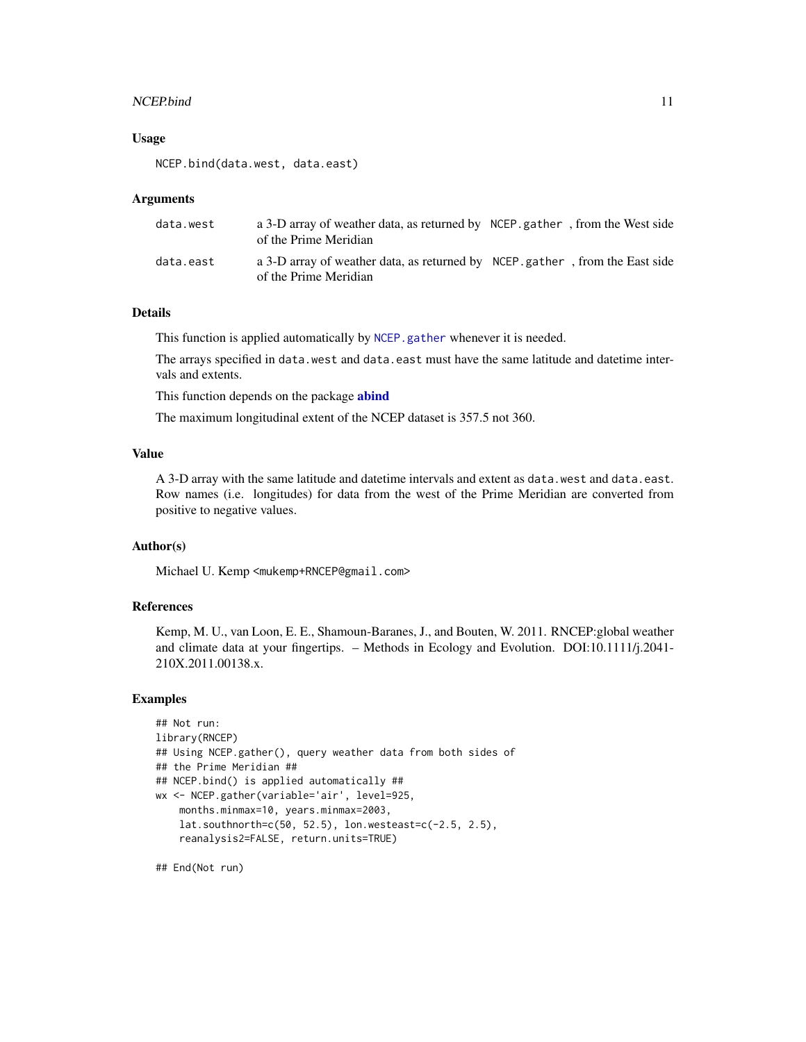## <span id="page-10-0"></span>NCEP.bind 11

## Usage

NCEP.bind(data.west, data.east)

#### Arguments

| data.west | a 3-D array of weather data, as returned by NCEP gather, from the West side<br>of the Prime Meridian |  |
|-----------|------------------------------------------------------------------------------------------------------|--|
| data.east | a 3-D array of weather data, as returned by NCEP gather, from the East side<br>of the Prime Meridian |  |

## Details

This function is applied automatically by [NCEP.gather](#page-16-1) whenever it is needed.

The arrays specified in data.west and data.east must have the same latitude and datetime intervals and extents.

This function depends on the package **[abind](#page-0-0)** 

The maximum longitudinal extent of the NCEP dataset is 357.5 not 360.

#### Value

A 3-D array with the same latitude and datetime intervals and extent as data.west and data.east. Row names (i.e. longitudes) for data from the west of the Prime Meridian are converted from positive to negative values.

## Author(s)

Michael U. Kemp <mukemp+RNCEP@gmail.com>

## References

Kemp, M. U., van Loon, E. E., Shamoun-Baranes, J., and Bouten, W. 2011. RNCEP:global weather and climate data at your fingertips. – Methods in Ecology and Evolution. DOI:10.1111/j.2041- 210X.2011.00138.x.

## Examples

```
## Not run:
library(RNCEP)
## Using NCEP.gather(), query weather data from both sides of
## the Prime Meridian ##
## NCEP.bind() is applied automatically ##
wx <- NCEP.gather(variable='air', level=925,
    months.minmax=10, years.minmax=2003,
   lat.southnorth=c(50, 52.5), lon.westeast=c(-2.5, 2.5),
    reanalysis2=FALSE, return.units=TRUE)
```
## End(Not run)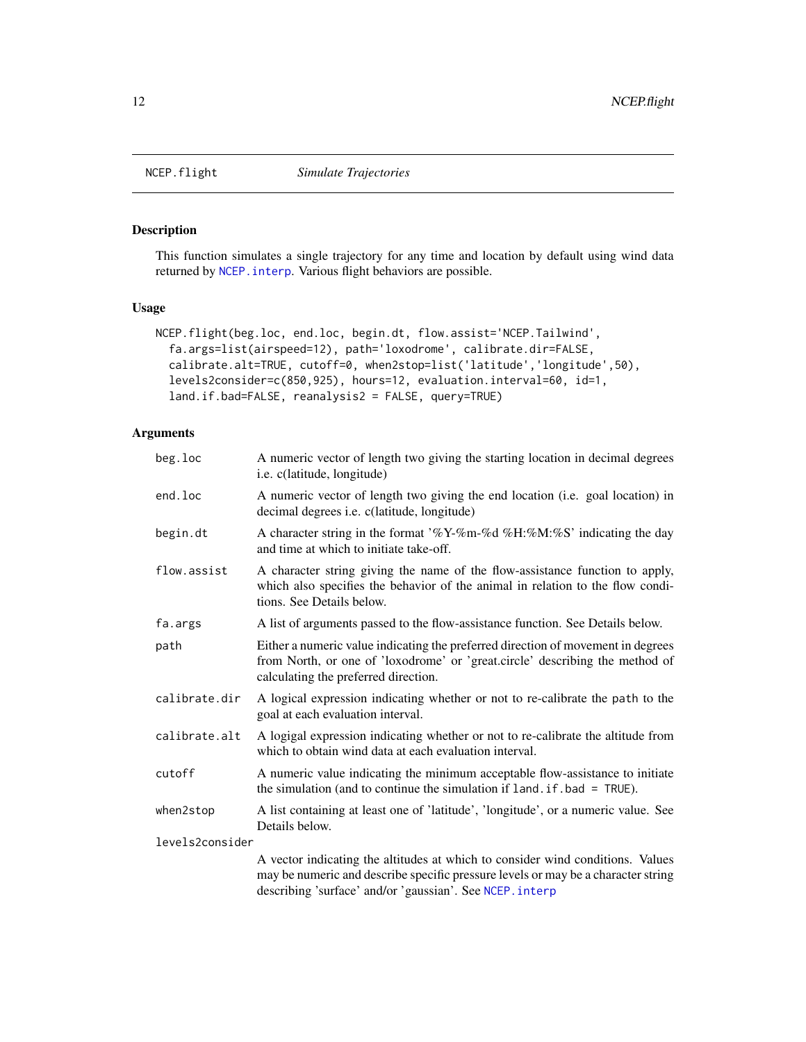## Description

This function simulates a single trajectory for any time and location by default using wind data returned by [NCEP.interp](#page-26-1). Various flight behaviors are possible.

## Usage

```
NCEP.flight(beg.loc, end.loc, begin.dt, flow.assist='NCEP.Tailwind',
  fa.args=list(airspeed=12), path='loxodrome', calibrate.dir=FALSE,
  calibrate.alt=TRUE, cutoff=0, when2stop=list('latitude','longitude',50),
  levels2consider=c(850,925), hours=12, evaluation.interval=60, id=1,
  land.if.bad=FALSE, reanalysis2 = FALSE, query=TRUE)
```
## Arguments

| beg.loc         | A numeric vector of length two giving the starting location in decimal degrees<br>i.e. c(latitude, longitude)                                                                                                                   |
|-----------------|---------------------------------------------------------------------------------------------------------------------------------------------------------------------------------------------------------------------------------|
| end.loc         | A numeric vector of length two giving the end location (i.e. goal location) in<br>decimal degrees <i>i.e.</i> c(latitude, longitude)                                                                                            |
| begin.dt        | A character string in the format '%Y-%m-%d %H:%M:%S' indicating the day<br>and time at which to initiate take-off.                                                                                                              |
| flow.assist     | A character string giving the name of the flow-assistance function to apply,<br>which also specifies the behavior of the animal in relation to the flow condi-<br>tions. See Details below.                                     |
| fa.args         | A list of arguments passed to the flow-assistance function. See Details below.                                                                                                                                                  |
| path            | Either a numeric value indicating the preferred direction of movement in degrees<br>from North, or one of 'loxodrome' or 'great.circle' describing the method of<br>calculating the preferred direction.                        |
| calibrate.dir   | A logical expression indicating whether or not to re-calibrate the path to the<br>goal at each evaluation interval.                                                                                                             |
| calibrate.alt   | A logigal expression indicating whether or not to re-calibrate the altitude from<br>which to obtain wind data at each evaluation interval.                                                                                      |
| cutoff          | A numeric value indicating the minimum acceptable flow-assistance to initiate<br>the simulation (and to continue the simulation if $land$ . if . bad = $TRUE$ ).                                                                |
| when2stop       | A list containing at least one of 'latitude', 'longitude', or a numeric value. See<br>Details below.                                                                                                                            |
| levels2consider |                                                                                                                                                                                                                                 |
|                 | A vector indicating the altitudes at which to consider wind conditions. Values<br>may be numeric and describe specific pressure levels or may be a character string<br>describing 'surface' and/or 'gaussian'. See NCEP. interp |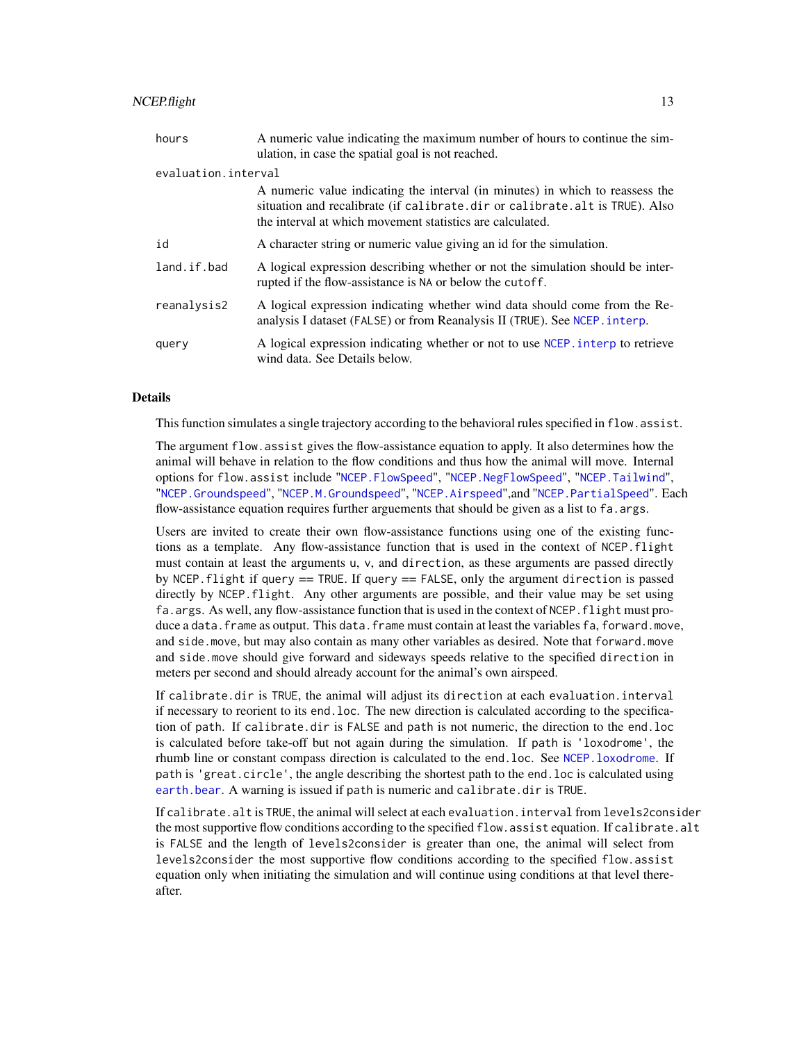## <span id="page-12-0"></span>NCEP.flight 13

| hours       | A numeric value indicating the maximum number of hours to continue the sim-<br>ulation, in case the spatial goal is not reached.                                                                                          |  |  |  |  |  |  |
|-------------|---------------------------------------------------------------------------------------------------------------------------------------------------------------------------------------------------------------------------|--|--|--|--|--|--|
|             | evaluation.interval                                                                                                                                                                                                       |  |  |  |  |  |  |
|             | A numeric value indicating the interval (in minutes) in which to reassess the<br>situation and recalibrate (if calibrate.dir or calibrate.alt is TRUE). Also<br>the interval at which movement statistics are calculated. |  |  |  |  |  |  |
| id          | A character string or numeric value giving an id for the simulation.                                                                                                                                                      |  |  |  |  |  |  |
| land.if.bad | A logical expression describing whether or not the simulation should be inter-<br>rupted if the flow-assistance is NA or below the cutoff.                                                                                |  |  |  |  |  |  |
| reanalysis2 | A logical expression indicating whether wind data should come from the Re-<br>analysis I dataset (FALSE) or from Reanalysis II (TRUE). See NCEP. interp.                                                                  |  |  |  |  |  |  |
| query       | A logical expression indicating whether or not to use NCEP. interp to retrieve<br>wind data. See Details below.                                                                                                           |  |  |  |  |  |  |

## **Details**

This function simulates a single trajectory according to the behavioral rules specified in flow.assist.

The argument flow.assist gives the flow-assistance equation to apply. It also determines how the animal will behave in relation to the flow conditions and thus how the animal will move. Internal options for flow.assist include "[NCEP.FlowSpeed](#page-14-1)", "[NCEP.NegFlowSpeed](#page-35-1)", "[NCEP.Tailwind](#page-40-1)", "[NCEP.Groundspeed](#page-24-1)", "[NCEP.M.Groundspeed](#page-34-1)", "[NCEP.Airspeed](#page-6-1)",and "[NCEP.PartialSpeed](#page-37-1)". Each flow-assistance equation requires further arguements that should be given as a list to fa. args.

Users are invited to create their own flow-assistance functions using one of the existing functions as a template. Any flow-assistance function that is used in the context of NCEP.flight must contain at least the arguments u, v, and direction, as these arguments are passed directly by NCEP.flight if query == TRUE. If query == FALSE, only the argument direction is passed directly by NCEP.flight. Any other arguments are possible, and their value may be set using fa.args. As well, any flow-assistance function that is used in the context of NCEP.flight must produce a data.frame as output. This data.frame must contain at least the variables fa, forward.move, and side.move, but may also contain as many other variables as desired. Note that forward.move and side.move should give forward and sideways speeds relative to the specified direction in meters per second and should already account for the animal's own airspeed.

If calibrate.dir is TRUE, the animal will adjust its direction at each evaluation.interval if necessary to reorient to its end.loc. The new direction is calculated according to the specification of path. If calibrate.dir is FALSE and path is not numeric, the direction to the end.loc is calculated before take-off but not again during the simulation. If path is 'loxodrome', the rhumb line or constant compass direction is calculated to the end.loc. See [NCEP.loxodrome](#page-33-1). If path is 'great.circle', the angle describing the shortest path to the end.loc is calculated using [earth.bear](#page-0-0). A warning is issued if path is numeric and calibrate.dir is TRUE.

If calibrate.alt is TRUE, the animal will select at each evaluation.interval from levels2consider the most supportive flow conditions according to the specified flow. assist equation. If calibrate. alt is FALSE and the length of levels2consider is greater than one, the animal will select from levels2consider the most supportive flow conditions according to the specified flow.assist equation only when initiating the simulation and will continue using conditions at that level thereafter.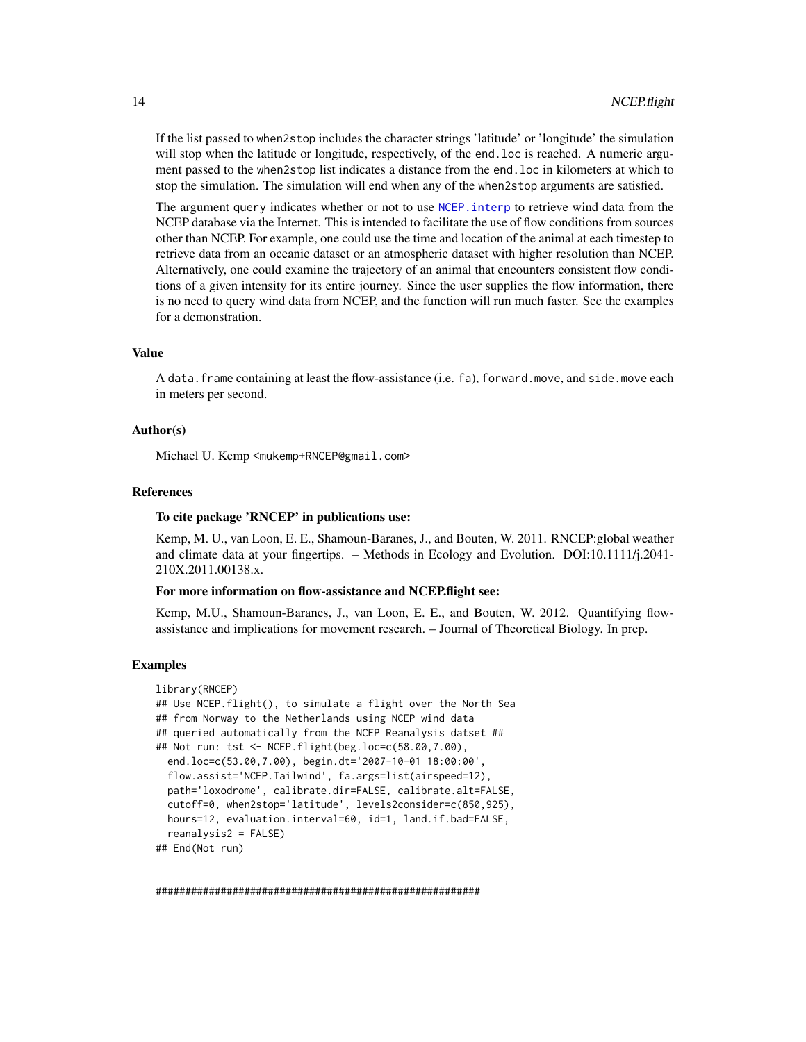<span id="page-13-0"></span>If the list passed to when2stop includes the character strings 'latitude' or 'longitude' the simulation will stop when the latitude or longitude, respectively, of the end. loc is reached. A numeric argument passed to the when2stop list indicates a distance from the end.loc in kilometers at which to stop the simulation. The simulation will end when any of the when2stop arguments are satisfied.

The argument query indicates whether or not to use NCEP, interp to retrieve wind data from the NCEP database via the Internet. This is intended to facilitate the use of flow conditions from sources other than NCEP. For example, one could use the time and location of the animal at each timestep to retrieve data from an oceanic dataset or an atmospheric dataset with higher resolution than NCEP. Alternatively, one could examine the trajectory of an animal that encounters consistent flow conditions of a given intensity for its entire journey. Since the user supplies the flow information, there is no need to query wind data from NCEP, and the function will run much faster. See the examples for a demonstration.

## Value

A data.frame containing at least the flow-assistance (i.e. fa), forward.move, and side.move each in meters per second.

## Author(s)

Michael U. Kemp <mukemp+RNCEP@gmail.com>

#### References

## To cite package 'RNCEP' in publications use:

Kemp, M. U., van Loon, E. E., Shamoun-Baranes, J., and Bouten, W. 2011. RNCEP:global weather and climate data at your fingertips. – Methods in Ecology and Evolution. DOI:10.1111/j.2041- 210X.2011.00138.x.

#### For more information on flow-assistance and NCEP.flight see:

Kemp, M.U., Shamoun-Baranes, J., van Loon, E. E., and Bouten, W. 2012. Quantifying flowassistance and implications for movement research. – Journal of Theoretical Biology. In prep.

## Examples

```
library(RNCEP)
## Use NCEP.flight(), to simulate a flight over the North Sea
## from Norway to the Netherlands using NCEP wind data
## queried automatically from the NCEP Reanalysis datset ##
## Not run: tst <- NCEP.flight(beg.loc=c(58.00,7.00),
 end.loc=c(53.00,7.00), begin.dt='2007-10-01 18:00:00',
 flow.assist='NCEP.Tailwind', fa.args=list(airspeed=12),
 path='loxodrome', calibrate.dir=FALSE, calibrate.alt=FALSE,
 cutoff=0, when2stop='latitude', levels2consider=c(850,925),
 hours=12, evaluation.interval=60, id=1, land.if.bad=FALSE,
 reanalysis2 = FALSE)
## End(Not run)
```
#######################################################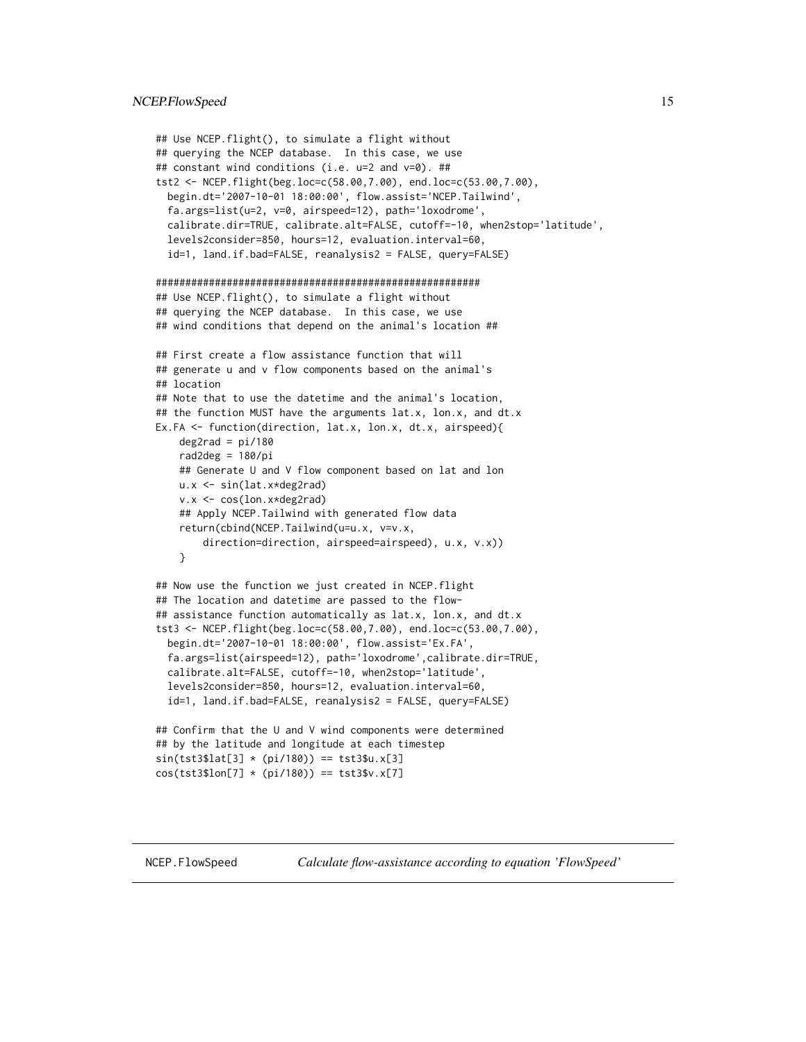```
## Use NCEP.flight(), to simulate a flight without
## querying the NCEP database. In this case, we use
## constant wind conditions (i.e. u=2 and v=0). ##
tst2 <- NCEP.flight(beg.loc=c(58.00,7.00), end.loc=c(53.00,7.00),
 begin.dt='2007-10-01 18:00:00', flow.assist='NCEP.Tailwind',
 fa.args=list(u=2, v=0, airspeed=12), path='loxodrome',
 calibrate.dir=TRUE, calibrate.alt=FALSE, cutoff=-10, when2stop='latitude',
 levels2consider=850, hours=12, evaluation.interval=60,
 id=1, land.if.bad=FALSE, reanalysis2 = FALSE, query=FALSE)
#######################################################
## Use NCEP.flight(), to simulate a flight without
## querying the NCEP database. In this case, we use
## wind conditions that depend on the animal's location ##
## First create a flow assistance function that will
## generate u and v flow components based on the animal's
## location
## Note that to use the datetime and the animal's location,
## the function MUST have the arguments lat.x, lon.x, and dt.x
Ex.FA <- function(direction, lat.x, lon.x, dt.x, airspeed){
    deg2rad = pi/180rad2deg = 180/pi
    ## Generate U and V flow component based on lat and lon
   u.x <- sin(lat.x*deg2rad)
    v.x <- cos(lon.x*deg2rad)
    ## Apply NCEP.Tailwind with generated flow data
    return(cbind(NCEP.Tailwind(u=u.x, v=v.x,
       direction=direction, airspeed=airspeed), u.x, v.x))
    }
## Now use the function we just created in NCEP.flight
## The location and datetime are passed to the flow-
## assistance function automatically as lat.x, lon.x, and dt.x
tst3 <- NCEP.flight(beg.loc=c(58.00,7.00), end.loc=c(53.00,7.00),
 begin.dt='2007-10-01 18:00:00', flow.assist='Ex.FA',
 fa.args=list(airspeed=12), path='loxodrome',calibrate.dir=TRUE,
 calibrate.alt=FALSE, cutoff=-10, when2stop='latitude',
 levels2consider=850, hours=12, evaluation.interval=60,
 id=1, land.if.bad=FALSE, reanalysis2 = FALSE, query=FALSE)
## Confirm that the U and V wind components were determined
## by the latitude and longitude at each timestep
sin(tst3$lat[3] * (pi/180)) == tst3$u.x[3]
```

```
cos(tst3$lon[7] * (pi/180)) == tst3$v.x[7]
```
<span id="page-14-1"></span>

NCEP.FlowSpeed *Calculate flow-assistance according to equation 'FlowSpeed'*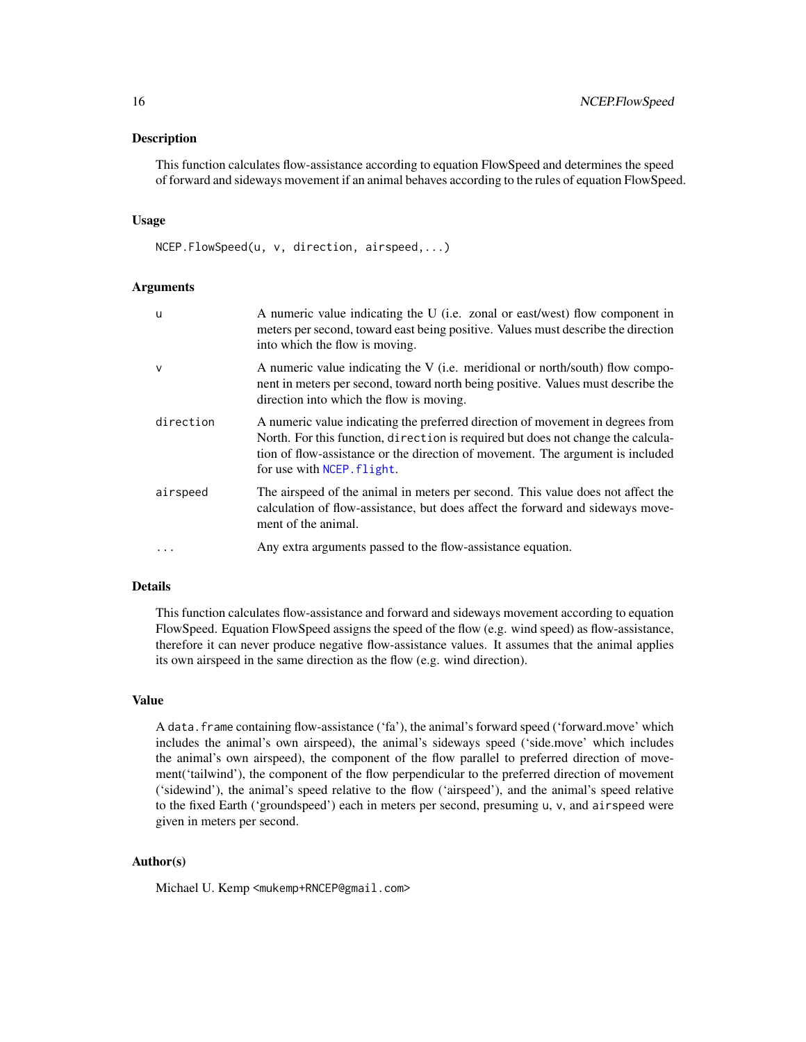#### <span id="page-15-0"></span>Description

This function calculates flow-assistance according to equation FlowSpeed and determines the speed of forward and sideways movement if an animal behaves according to the rules of equation FlowSpeed.

## Usage

NCEP.FlowSpeed(u, v, direction, airspeed,...)

## Arguments

| u            | A numeric value indicating the U (i.e. zonal or east/west) flow component in<br>meters per second, toward east being positive. Values must describe the direction<br>into which the flow is moving.                                                                                |
|--------------|------------------------------------------------------------------------------------------------------------------------------------------------------------------------------------------------------------------------------------------------------------------------------------|
| $\mathsf{V}$ | A numeric value indicating the V (i.e. meridional or north/south) flow compo-<br>nent in meters per second, toward north being positive. Values must describe the<br>direction into which the flow is moving.                                                                      |
| direction    | A numeric value indicating the preferred direction of movement in degrees from<br>North. For this function, direction is required but does not change the calcula-<br>tion of flow-assistance or the direction of movement. The argument is included<br>for use with NCEP. flight. |
| airspeed     | The airspeed of the animal in meters per second. This value does not affect the<br>calculation of flow-assistance, but does affect the forward and sideways move-<br>ment of the animal.                                                                                           |
| $\ddots$     | Any extra arguments passed to the flow-assistance equation.                                                                                                                                                                                                                        |

## Details

This function calculates flow-assistance and forward and sideways movement according to equation FlowSpeed. Equation FlowSpeed assigns the speed of the flow (e.g. wind speed) as flow-assistance, therefore it can never produce negative flow-assistance values. It assumes that the animal applies its own airspeed in the same direction as the flow (e.g. wind direction).

## Value

A data.frame containing flow-assistance ('fa'), the animal's forward speed ('forward.move' which includes the animal's own airspeed), the animal's sideways speed ('side.move' which includes the animal's own airspeed), the component of the flow parallel to preferred direction of movement('tailwind'), the component of the flow perpendicular to the preferred direction of movement ('sidewind'), the animal's speed relative to the flow ('airspeed'), and the animal's speed relative to the fixed Earth ('groundspeed') each in meters per second, presuming u, v, and airspeed were given in meters per second.

## Author(s)

Michael U. Kemp <mukemp+RNCEP@gmail.com>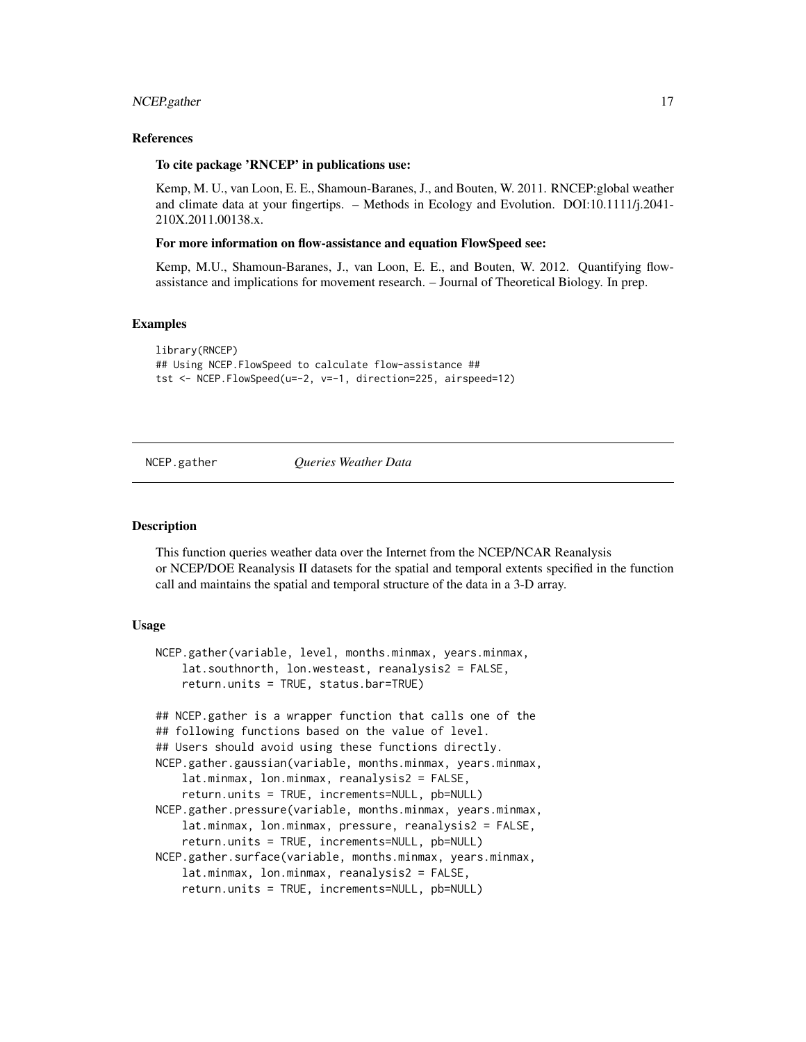#### <span id="page-16-0"></span>NCEP.gather 17

## References

#### To cite package 'RNCEP' in publications use:

Kemp, M. U., van Loon, E. E., Shamoun-Baranes, J., and Bouten, W. 2011. RNCEP:global weather and climate data at your fingertips. – Methods in Ecology and Evolution. DOI:10.1111/j.2041- 210X.2011.00138.x.

## For more information on flow-assistance and equation FlowSpeed see:

Kemp, M.U., Shamoun-Baranes, J., van Loon, E. E., and Bouten, W. 2012. Quantifying flowassistance and implications for movement research. – Journal of Theoretical Biology. In prep.

## Examples

```
library(RNCEP)
## Using NCEP.FlowSpeed to calculate flow-assistance ##
tst <- NCEP.FlowSpeed(u=-2, v=-1, direction=225, airspeed=12)
```
<span id="page-16-1"></span>

NCEP.gather *Queries Weather Data*

#### Description

This function queries weather data over the Internet from the NCEP/NCAR Reanalysis or NCEP/DOE Reanalysis II datasets for the spatial and temporal extents specified in the function call and maintains the spatial and temporal structure of the data in a 3-D array.

#### Usage

```
NCEP.gather(variable, level, months.minmax, years.minmax,
   lat.southnorth, lon.westeast, reanalysis2 = FALSE,
    return.units = TRUE, status.bar=TRUE)
## NCEP.gather is a wrapper function that calls one of the
## following functions based on the value of level.
## Users should avoid using these functions directly.
NCEP.gather.gaussian(variable, months.minmax, years.minmax,
    lat.minmax, lon.minmax, reanalysis2 = FALSE,
    return.units = TRUE, increments=NULL, pb=NULL)
NCEP.gather.pressure(variable, months.minmax, years.minmax,
    lat.minmax, lon.minmax, pressure, reanalysis2 = FALSE,
    return.units = TRUE, increments=NULL, pb=NULL)
NCEP.gather.surface(variable, months.minmax, years.minmax,
   lat.minmax, lon.minmax, reanalysis2 = FALSE,
    return.units = TRUE, increments=NULL, pb=NULL)
```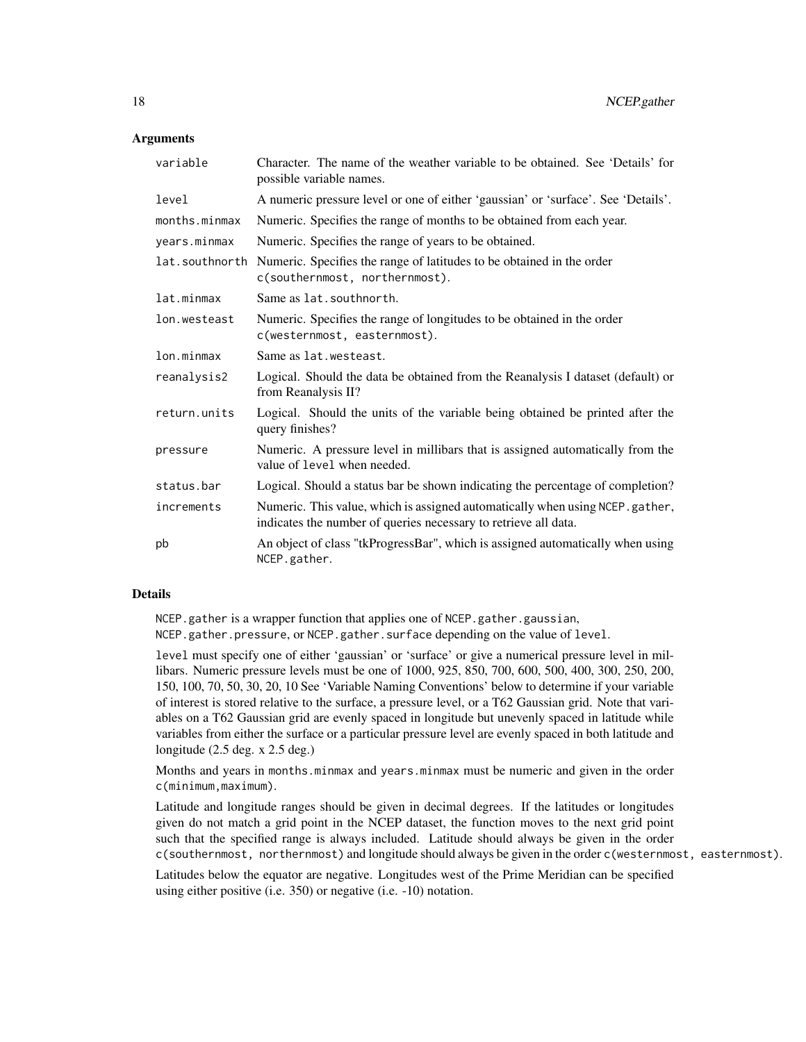## **Arguments**

| variable       | Character. The name of the weather variable to be obtained. See 'Details' for<br>possible variable names.                                        |
|----------------|--------------------------------------------------------------------------------------------------------------------------------------------------|
| level          | A numeric pressure level or one of either 'gaussian' or 'surface'. See 'Details'.                                                                |
| months.minmax  | Numeric. Specifies the range of months to be obtained from each year.                                                                            |
| years.minmax   | Numeric. Specifies the range of years to be obtained.                                                                                            |
| lat.southnorth | Numeric. Specifies the range of latitudes to be obtained in the order<br>c(southernmost, northernmost).                                          |
| lat.minmax     | Same as lat. southnorth.                                                                                                                         |
| lon.westeast   | Numeric. Specifies the range of longitudes to be obtained in the order<br>c(westernmost, easternmost).                                           |
| lon.minmax     | Same as lat. westeast.                                                                                                                           |
| reanalysis2    | Logical. Should the data be obtained from the Reanalysis I dataset (default) or<br>from Reanalysis II?                                           |
| return.units   | Logical. Should the units of the variable being obtained be printed after the<br>query finishes?                                                 |
| pressure       | Numeric. A pressure level in millibars that is assigned automatically from the<br>value of level when needed.                                    |
| status.bar     | Logical. Should a status bar be shown indicating the percentage of completion?                                                                   |
| increments     | Numeric. This value, which is assigned automatically when using NCEP. gather,<br>indicates the number of queries necessary to retrieve all data. |
| pb             | An object of class "tkProgressBar", which is assigned automatically when using<br>NCEP.gather.                                                   |

## Details

NCEP.gather is a wrapper function that applies one of NCEP.gather.gaussian, NCEP.gather.pressure, or NCEP.gather.surface depending on the value of level.

level must specify one of either 'gaussian' or 'surface' or give a numerical pressure level in millibars. Numeric pressure levels must be one of 1000, 925, 850, 700, 600, 500, 400, 300, 250, 200, 150, 100, 70, 50, 30, 20, 10 See 'Variable Naming Conventions' below to determine if your variable of interest is stored relative to the surface, a pressure level, or a T62 Gaussian grid. Note that variables on a T62 Gaussian grid are evenly spaced in longitude but unevenly spaced in latitude while variables from either the surface or a particular pressure level are evenly spaced in both latitude and longitude (2.5 deg. x 2.5 deg.)

Months and years in months.minmax and years.minmax must be numeric and given in the order c(minimum,maximum).

Latitude and longitude ranges should be given in decimal degrees. If the latitudes or longitudes given do not match a grid point in the NCEP dataset, the function moves to the next grid point such that the specified range is always included. Latitude should always be given in the order c(southernmost, northernmost) and longitude should always be given in the order c(westernmost, easternmost).

Latitudes below the equator are negative. Longitudes west of the Prime Meridian can be specified using either positive (i.e. 350) or negative (i.e. -10) notation.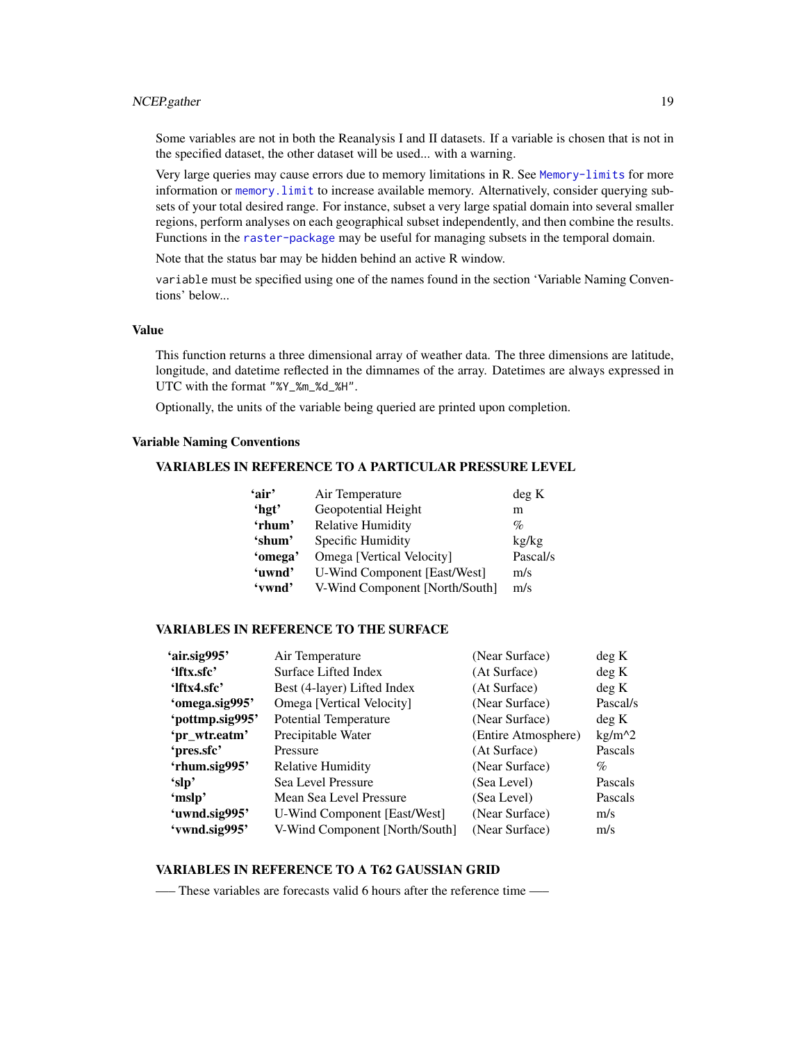## <span id="page-18-0"></span>NCEP.gather 19

Some variables are not in both the Reanalysis I and II datasets. If a variable is chosen that is not in the specified dataset, the other dataset will be used... with a warning.

Very large queries may cause errors due to memory limitations in R. See [Memory-limits](#page-0-0) for more information or [memory.limit](#page-0-0) to increase available memory. Alternatively, consider querying subsets of your total desired range. For instance, subset a very large spatial domain into several smaller regions, perform analyses on each geographical subset independently, and then combine the results. Functions in the [raster-package](#page-0-0) may be useful for managing subsets in the temporal domain.

Note that the status bar may be hidden behind an active R window.

variable must be specified using one of the names found in the section 'Variable Naming Conventions' below...

#### Value

This function returns a three dimensional array of weather data. The three dimensions are latitude, longitude, and datetime reflected in the dimnames of the array. Datetimes are always expressed in UTC with the format "%Y\_%m\_%d\_%H".

Optionally, the units of the variable being queried are printed upon completion.

## Variable Naming Conventions

## VARIABLES IN REFERENCE TO A PARTICULAR PRESSURE LEVEL

| Air Temperature                     | deg K    |
|-------------------------------------|----------|
| Geopotential Height                 | m        |
| <b>Relative Humidity</b>            | $\%$     |
| Specific Humidity                   | kg/kg    |
| Omega [Vertical Velocity]           | Pascal/s |
| <b>U-Wind Component [East/West]</b> | m/s      |
| V-Wind Component [North/South]      | m/s      |
|                                     |          |

## VARIABLES IN REFERENCE TO THE SURFACE

| 'air.sig995'    | Air Temperature                | (Near Surface)      | deg K    |
|-----------------|--------------------------------|---------------------|----------|
| 'Iftx.sfc'      | Surface Lifted Index           | (At Surface)        | deg K    |
| 'lftx4.sfc'     | Best (4-layer) Lifted Index    | (At Surface)        | deg K    |
| 'omega.sig995'  | Omega [Vertical Velocity]      | (Near Surface)      | Pascal/s |
| 'pottmp.sig995' | <b>Potential Temperature</b>   | (Near Surface)      | deg K    |
| 'pr_wtr.eatm'   | Precipitable Water             | (Entire Atmosphere) | $kg/m^2$ |
| 'pres.sfc'      | Pressure                       | (At Surface)        | Pascals  |
| 'rhum.sig995'   | <b>Relative Humidity</b>       | (Near Surface)      | %        |
| 'slp'           | Sea Level Pressure             | (Sea Level)         | Pascals  |
| 'mslp'          | Mean Sea Level Pressure        | (Sea Level)         | Pascals  |
| 'uwnd.sig995'   | U-Wind Component [East/West]   | (Near Surface)      | m/s      |
| 'vwnd.sig995'   | V-Wind Component [North/South] | (Near Surface)      | m/s      |
|                 |                                |                     |          |

## VARIABLES IN REFERENCE TO A T62 GAUSSIAN GRID

—– These variables are forecasts valid 6 hours after the reference time —–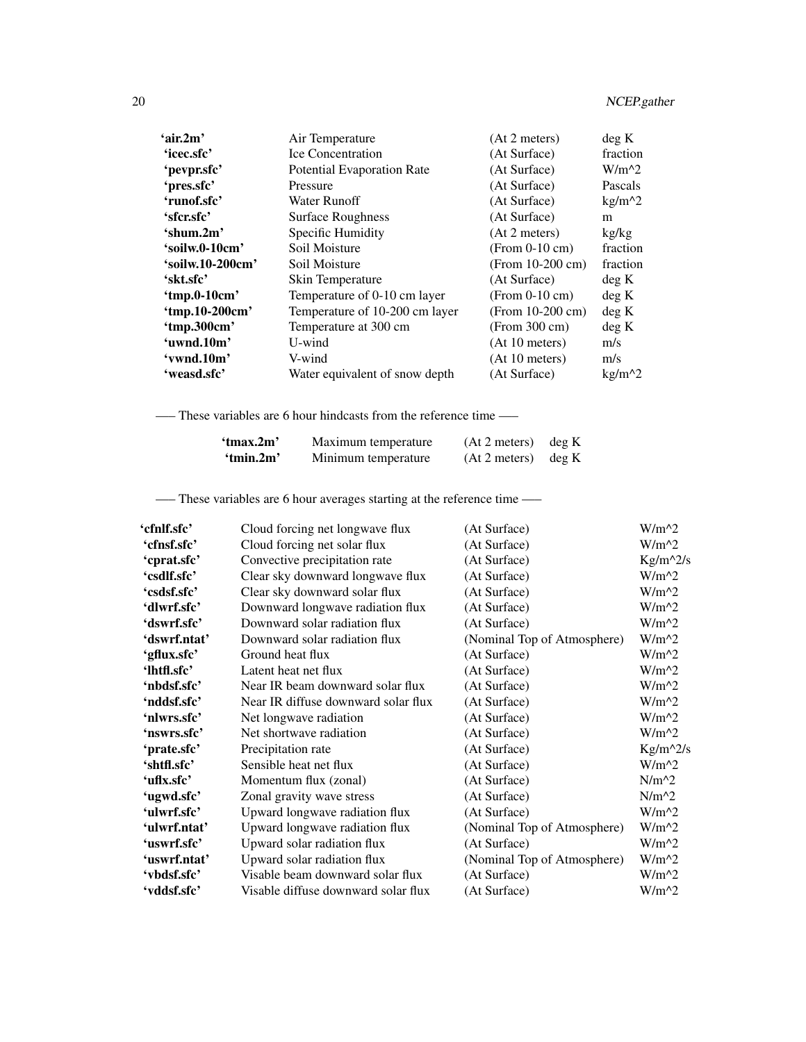| 'air.2m'         | Air Temperature                   | (At 2 meters)      | deg K    |
|------------------|-----------------------------------|--------------------|----------|
| 'icec.sfc'       | <b>Ice Concentration</b>          | (At Surface)       | fraction |
| 'pevpr.sfc'      | <b>Potential Evaporation Rate</b> | (At Surface)       | $W/m^2$  |
| 'pres.sfc'       | Pressure                          | (At Surface)       | Pascals  |
| 'runof.sfc'      | Water Runoff                      | (At Surface)       | $kg/m^2$ |
| 'sfer.sfc'       | <b>Surface Roughness</b>          | (At Surface)       | m        |
| 'shum.2m'        | Specific Humidity                 | (At 2 meters)      | kg/kg    |
| 'soilw.0-10cm'   | Soil Moisture                     | $(From 0-10 cm)$   | fraction |
| 'soilw.10-200cm' | Soil Moisture                     | (From $10-200$ cm) | fraction |
| 'skt.sfc'        | Skin Temperature                  | (At Surface)       | deg K    |
| 'tmp.0-10cm'     | Temperature of 0-10 cm layer      | $(From 0-10 cm)$   | deg K    |
| 'tmp.10-200cm'   | Temperature of 10-200 cm layer    | (From 10-200 cm)   | deg K    |
| 'tmp.300cm'      | Temperature at 300 cm             | (From 300 cm)      | deg K    |
| 'uwnd.10m'       | U-wind                            | (At 10 meters)     | m/s      |
| 'vwnd.10m'       | V-wind                            | (At 10 meters)     | m/s      |
| 'weasd.sfc'      | Water equivalent of snow depth    | (At Surface)       | $kg/m^2$ |

—– These variables are 6 hour hindcasts from the reference time —–

| 'tmax.2m' | Maximum temperature | $(At 2 meters)$ deg K |  |
|-----------|---------------------|-----------------------|--|
| 'tmin.2m' | Minimum temperature | $(At 2 meters)$ deg K |  |

—– These variables are 6 hour averages starting at the reference time —–

| 'cfnlf.sfc'  | Cloud forcing net longwave flux     | (At Surface)                | $W/m^2$    |
|--------------|-------------------------------------|-----------------------------|------------|
| 'cfnsf.sfc'  | Cloud forcing net solar flux        | (At Surface)                | $W/m^2$    |
| 'cprat.sfc'  | Convective precipitation rate       | (At Surface)                | $Kg/m^2/s$ |
| 'csdlf.sfc'  | Clear sky downward longwave flux    | (At Surface)                | $W/m^2$    |
| 'csdsf.sfc'  | Clear sky downward solar flux       | (At Surface)                | $W/m^2$    |
| 'dlwrf.sfc'  | Downward longwave radiation flux    | (At Surface)                | $W/m^2$    |
| 'dswrf.sfc'  | Downward solar radiation flux       | (At Surface)                | $W/m^2$    |
| 'dswrf.ntat' | Downward solar radiation flux       | (Nominal Top of Atmosphere) | $W/m^2$    |
| 'gflux.sfc'  | Ground heat flux                    | (At Surface)                | $W/m^2$    |
| 'lhtfl.sfc'  | Latent heat net flux                | (At Surface)                | $W/m^2$    |
| 'nbdsf.sfc'  | Near IR beam downward solar flux    | (At Surface)                | $W/m^2$    |
| 'nddsf.sfc'  | Near IR diffuse downward solar flux | (At Surface)                | $W/m^2$    |
| 'nlwrs.sfc'  | Net longwave radiation              | (At Surface)                | $W/m^2$    |
| 'nswrs.sfc'  | Net shortwave radiation             | (At Surface)                | $W/m^2$    |
| 'prate.sfc'  | Precipitation rate                  | (At Surface)                | $Kg/m^2/s$ |
| 'shtfl.sfc'  | Sensible heat net flux              | (At Surface)                | $W/m^2$    |
| 'uflx.sfc'   | Momentum flux (zonal)               | (At Surface)                | $N/m^2$    |
| 'ugwd.sfc'   | Zonal gravity wave stress           | (At Surface)                | $N/m^2$    |
| 'ulwrf.sfc'  | Upward longwave radiation flux      | (At Surface)                | $W/m^2$    |
| 'ulwrf.ntat' | Upward longwave radiation flux      | (Nominal Top of Atmosphere) | $W/m^2$    |
| 'uswrf.sfc'  | Upward solar radiation flux         | (At Surface)                | $W/m^2$    |
| 'uswrf.ntat' | Upward solar radiation flux         | (Nominal Top of Atmosphere) | $W/m^2$    |
| 'vbdsf.sfc'  | Visable beam downward solar flux    | (At Surface)                | $W/m^2$    |
| 'vddsf.sfc'  | Visable diffuse downward solar flux | (At Surface)                | $W/m^2$    |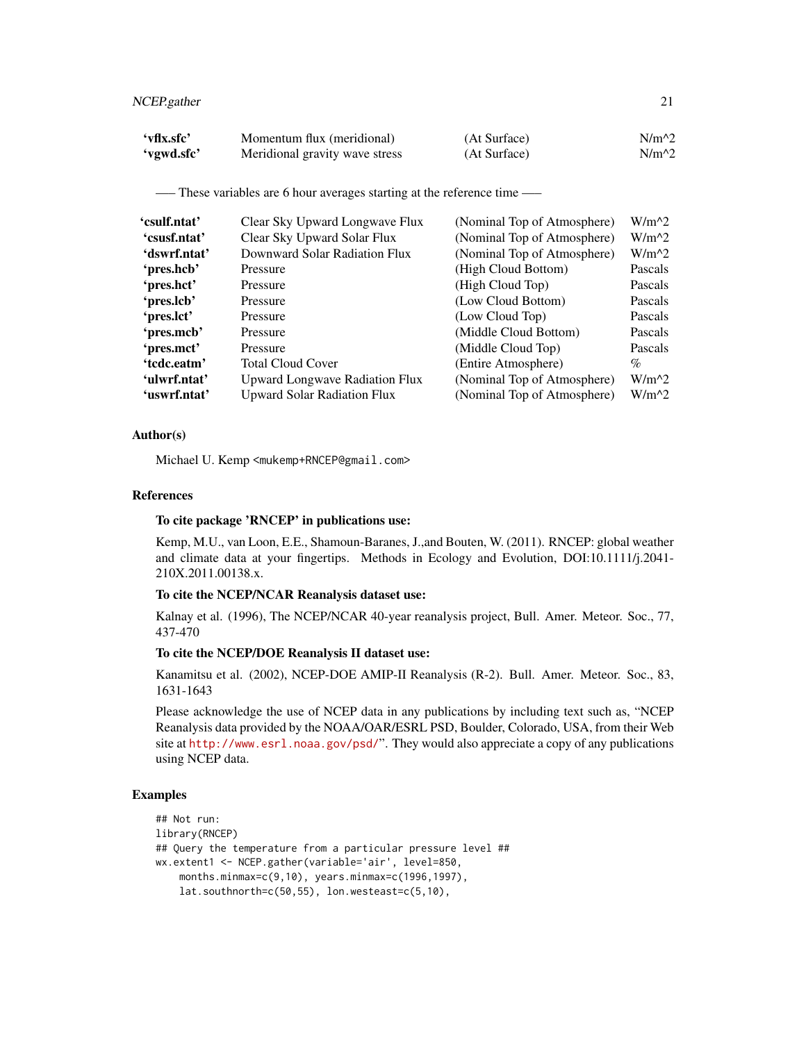| 'vflx.sfc' | Momentum flux (meridional)     | (At Surface) | $N/m^2$ |
|------------|--------------------------------|--------------|---------|
| 'vgwd.sfc' | Meridional gravity wave stress | (At Surface) | $N/m^2$ |

—– These variables are 6 hour averages starting at the reference time —–

| Clear Sky Upward Longwave Flux        | (Nominal Top of Atmosphere) | $W/m^2$        |
|---------------------------------------|-----------------------------|----------------|
| Clear Sky Upward Solar Flux           | (Nominal Top of Atmosphere) | $W/m^2$        |
| Downward Solar Radiation Flux         | (Nominal Top of Atmosphere) | $W/m^2$        |
| Pressure                              | (High Cloud Bottom)         | Pascals        |
| Pressure                              | (High Cloud Top)            | <b>Pascals</b> |
| Pressure                              | (Low Cloud Bottom)          | <b>Pascals</b> |
| Pressure                              | (Low Cloud Top)             | <b>Pascals</b> |
| Pressure                              | (Middle Cloud Bottom)       | Pascals        |
| Pressure                              | (Middle Cloud Top)          | Pascals        |
| <b>Total Cloud Cover</b>              | (Entire Atmosphere)         | $\%$           |
| <b>Upward Longwave Radiation Flux</b> | (Nominal Top of Atmosphere) | $W/m^2$        |
| <b>Upward Solar Radiation Flux</b>    | (Nominal Top of Atmosphere) | $W/m^2$        |
|                                       |                             |                |

## Author(s)

Michael U. Kemp <mukemp+RNCEP@gmail.com>

## References

## To cite package 'RNCEP' in publications use:

Kemp, M.U., van Loon, E.E., Shamoun-Baranes, J.,and Bouten, W. (2011). RNCEP: global weather and climate data at your fingertips. Methods in Ecology and Evolution, DOI:10.1111/j.2041- 210X.2011.00138.x.

## To cite the NCEP/NCAR Reanalysis dataset use:

Kalnay et al. (1996), The NCEP/NCAR 40-year reanalysis project, Bull. Amer. Meteor. Soc., 77, 437-470

## To cite the NCEP/DOE Reanalysis II dataset use:

Kanamitsu et al. (2002), NCEP-DOE AMIP-II Reanalysis (R-2). Bull. Amer. Meteor. Soc., 83, 1631-1643

Please acknowledge the use of NCEP data in any publications by including text such as, "NCEP Reanalysis data provided by the NOAA/OAR/ESRL PSD, Boulder, Colorado, USA, from their Web site at <http://www.esrl.noaa.gov/psd/>". They would also appreciate a copy of any publications using NCEP data.

```
## Not run:
library(RNCEP)
## Query the temperature from a particular pressure level ##
wx.extent1 <- NCEP.gather(variable='air', level=850,
    months.minmax=c(9,10), years.minmax=c(1996,1997),
    lat.southnorth=c(50,55), lon.westeast=c(5,10),
```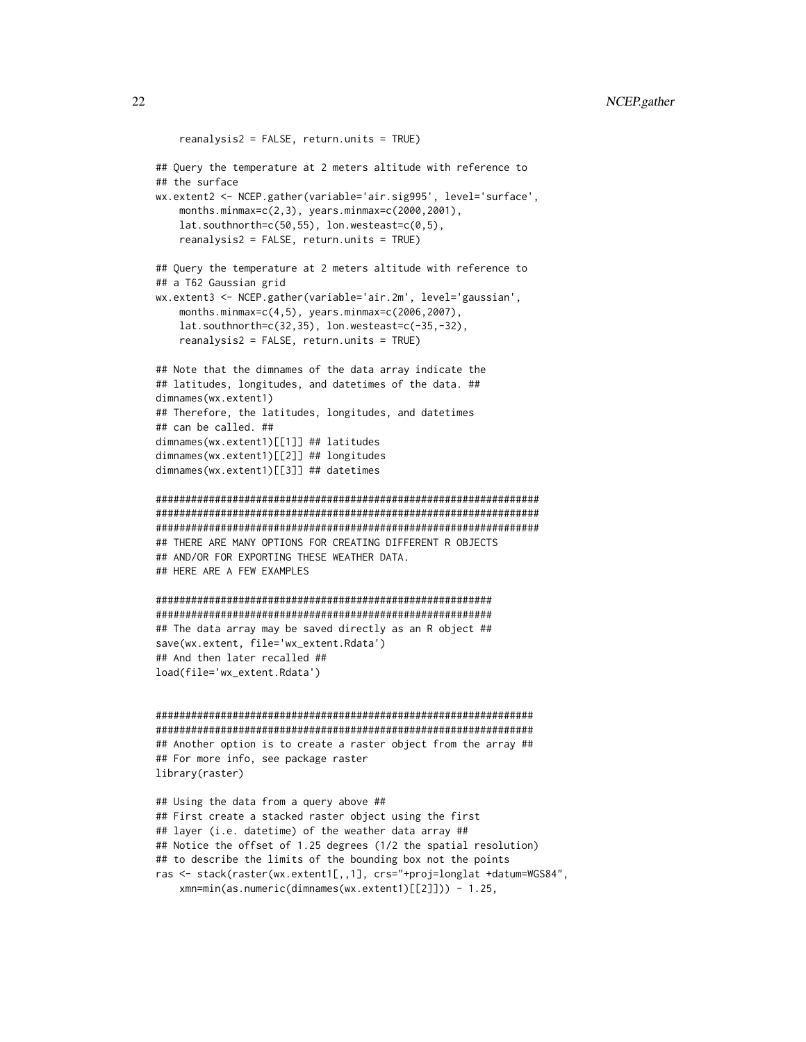```
reanalysis2 = FALSE, return.units = TRUE)
## Query the temperature at 2 meters altitude with reference to
## the surface
wx.extent2 <- NCEP.gather(variable='air.sig995', level='surface',
   months.minmax=c(2,3), years.minmax=c(2000,2001),
   lat.southnorth=c(50,55), lon.westeast=c(0,5),
    reanalysis2 = FALSE, return.units = TRUE)
## Query the temperature at 2 meters altitude with reference to
## a T62 Gaussian grid
wx.extent3 <- NCEP.gather(variable='air.2m', level='gaussian',
    months.minmax=c(4,5), years.minmax=c(2006,2007),
    lat.southnorth=c(32,35), lon.westeast=c(-35,-32),
    reanalysis2 = FALSE, return.units = TRUE)
## Note that the dimnames of the data array indicate the
## latitudes, longitudes, and datetimes of the data. ##
dimnames(wx.extent1)
## Therefore, the latitudes, longitudes, and datetimes
## can be called. ##
dimnames(wx.extent1)[[1]] ## latitudes
dimnames(wx.extent1)[[2]] ## longitudes
dimnames(wx.extent1)[[3]] ## datetimes
#################################################################
#################################################################
#################################################################
## THERE ARE MANY OPTIONS FOR CREATING DIFFERENT R OBJECTS
## AND/OR FOR EXPORTING THESE WEATHER DATA.
## HERE ARE A FEW EXAMPLES
#########################################################
#########################################################
## The data array may be saved directly as an R object ##
save(wx.extent, file='wx_extent.Rdata')
## And then later recalled ##
load(file='wx_extent.Rdata')
################################################################
################################################################
## Another option is to create a raster object from the array ##
## For more info, see package raster
library(raster)
## Using the data from a query above ##
## First create a stacked raster object using the first
## layer (i.e. datetime) of the weather data array ##
## Notice the offset of 1.25 degrees (1/2 the spatial resolution)
## to describe the limits of the bounding box not the points
```
ras <- stack(raster(wx.extent1[,,1], crs="+proj=longlat +datum=WGS84", xmn=min(as.numeric(dimnames(wx.extent1)[[2]])) - 1.25,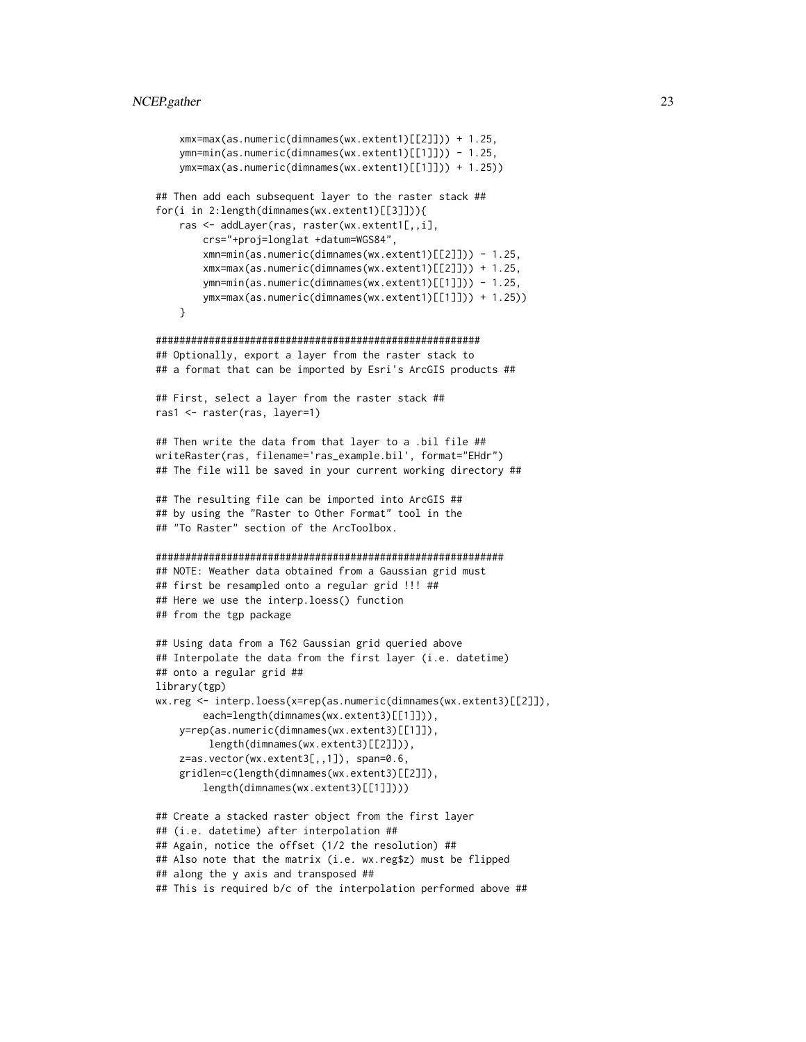```
xmx=max(as.numeric(dimnames(wx.extent1)[[2]])) + 1.25,
    ymn=min(as.numeric(dimnames(wx.extent1)[[1]])) - 1.25,
   ymx=max(as.numeric(dimnames(wx.extent1)[[1]])) + 1.25))
## Then add each subsequent layer to the raster stack ##
for(i in 2:length(dimnames(wx.extent1)[[3]])){
    ras <- addLayer(ras, raster(wx.extent1[,,i],
       crs="+proj=longlat +datum=WGS84",
       xmn=min(as.numeric(dimnames(wx.extent1)[[2]])) - 1.25,
       xmx=max(as.numeric(dimnames(wx.extent1)[[2]])) + 1.25,
       ymn=min(as.numeric(dimnames(wx.extent1)[[1]])) - 1.25,
       ymx=max(as.numeric(dimnames(wx.extent1)[[1]])) + 1.25))
    }
#######################################################
## Optionally, export a layer from the raster stack to
## a format that can be imported by Esri's ArcGIS products ##
## First, select a layer from the raster stack ##
ras1 <- raster(ras, layer=1)
## Then write the data from that layer to a .bil file ##
writeRaster(ras, filename='ras_example.bil', format="EHdr")
## The file will be saved in your current working directory ##
## The resulting file can be imported into ArcGIS ##
## by using the "Raster to Other Format" tool in the
## "To Raster" section of the ArcToolbox.
###########################################################
## NOTE: Weather data obtained from a Gaussian grid must
## first be resampled onto a regular grid !!! ##
## Here we use the interp.loess() function
## from the tgp package
## Using data from a T62 Gaussian grid queried above
## Interpolate the data from the first layer (i.e. datetime)
## onto a regular grid ##
library(tgp)
wx.reg <- interp.loess(x=rep(as.numeric(dimnames(wx.extent3)[[2]]),
        each=length(dimnames(wx.extent3)[[1]])),
   y=rep(as.numeric(dimnames(wx.extent3)[[1]]),
        length(dimnames(wx.extent3)[[2]])),
    z=as.vector(wx.extent3[,,1]), span=0.6,
    gridlen=c(length(dimnames(wx.extent3)[[2]]),
       length(dimnames(wx.extent3)[[1]])))
## Create a stacked raster object from the first layer
## (i.e. datetime) after interpolation ##
## Again, notice the offset (1/2 the resolution) ##
## Also note that the matrix (i.e. wx.reg$z) must be flipped
## along the y axis and transposed ##
## This is required b/c of the interpolation performed above ##
```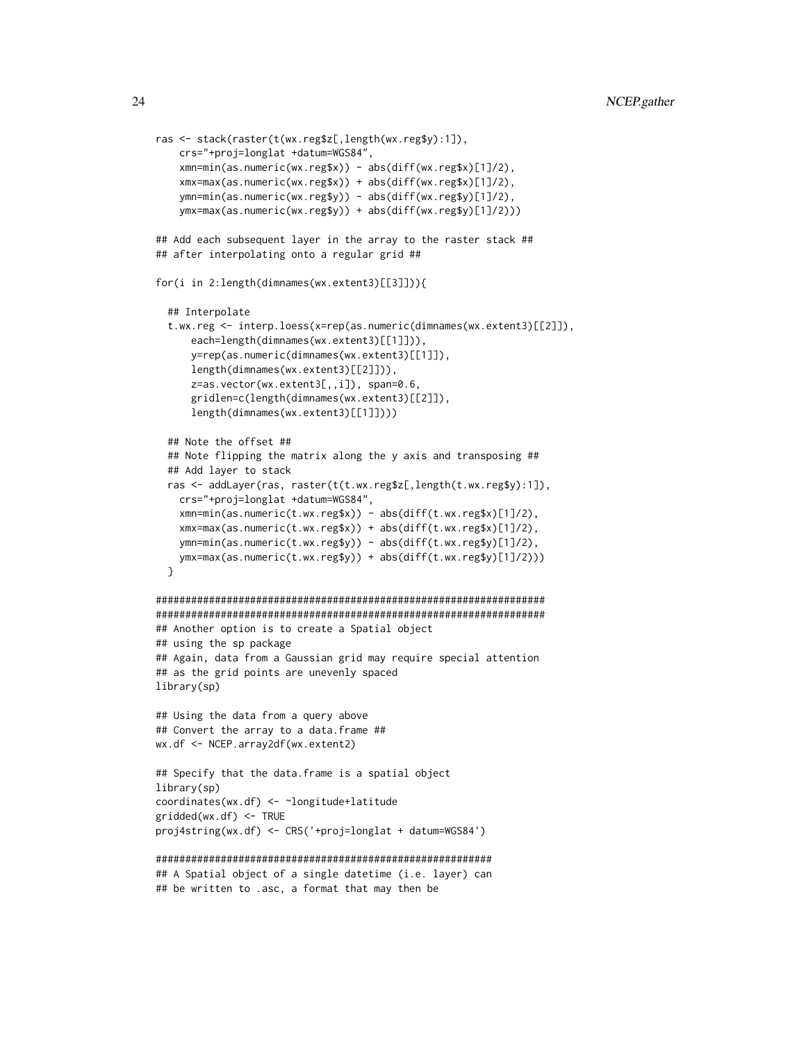```
ras <- stack(raster(t(wx.reg$z[,length(wx.reg$y):1]),
   crs="+proj=longlat +datum=WGS84",
    xmn=min(as.numeric(wx.reg$x)) - abs(diff(wx.reg$x)[1]/2),
    xmx=max(as.numeric(wx.reg$x)) + abs(diff(wx.reg$x)[1]/2),
    ymn=min(as.numeric(wx.reg$y)) - abs(diff(wx.reg$y)[1]/2),
   ymx=max(as.numeric(wx.reg$y)) + abs(diff(wx.reg$y)[1]/2)))
## Add each subsequent layer in the array to the raster stack ##
## after interpolating onto a regular grid ##
for(i in 2:length(dimnames(wx.extent3)[[3]])){
  ## Interpolate
 t.wx.reg <- interp.loess(x=rep(as.numeric(dimnames(wx.extent3)[[2]]),
      each=length(dimnames(wx.extent3)[[1]])),
      y=rep(as.numeric(dimnames(wx.extent3)[[1]]),
      length(dimnames(wx.extent3)[[2]])),
      z=as.vector(wx.extent3[,,i]), span=0.6,
      gridlen=c(length(dimnames(wx.extent3)[[2]]),
      length(dimnames(wx.extent3)[[1]])))
 ## Note the offset ##
 ## Note flipping the matrix along the y axis and transposing ##
 ## Add layer to stack
 ras <- addLayer(ras, raster(t(t.wx.reg$z[,length(t.wx.reg$y):1]),
    crs="+proj=longlat +datum=WGS84",
    xmn=min(as.numeric(t.wx.reg$x)) - abs(diff(t.wx.reg$x)[1]/2),
    xmx=max(as.numeric(t.wx.reg$x)) + abs(diff(t.wx.reg$x)[1]/2),
   ymn=min(as.numeric(t.wx.reg$y)) - abs(diff(t.wx.reg$y)[1]/2),
   ymx=max(as.numeric(t.wx.reg$y)) + abs(diff(t.wx.reg$y)[1]/2)))
 }
##################################################################
##################################################################
## Another option is to create a Spatial object
## using the sp package
## Again, data from a Gaussian grid may require special attention
## as the grid points are unevenly spaced
library(sp)
## Using the data from a query above
## Convert the array to a data.frame ##
wx.df <- NCEP.array2df(wx.extent2)
## Specify that the data.frame is a spatial object
library(sp)
coordinates(wx.df) <- ~longitude+latitude
gridded(wx.df) <- TRUE
proj4string(wx.df) <- CRS('+proj=longlat + datum=WGS84')
#########################################################
## A Spatial object of a single datetime (i.e. layer) can
## be written to .asc, a format that may then be
```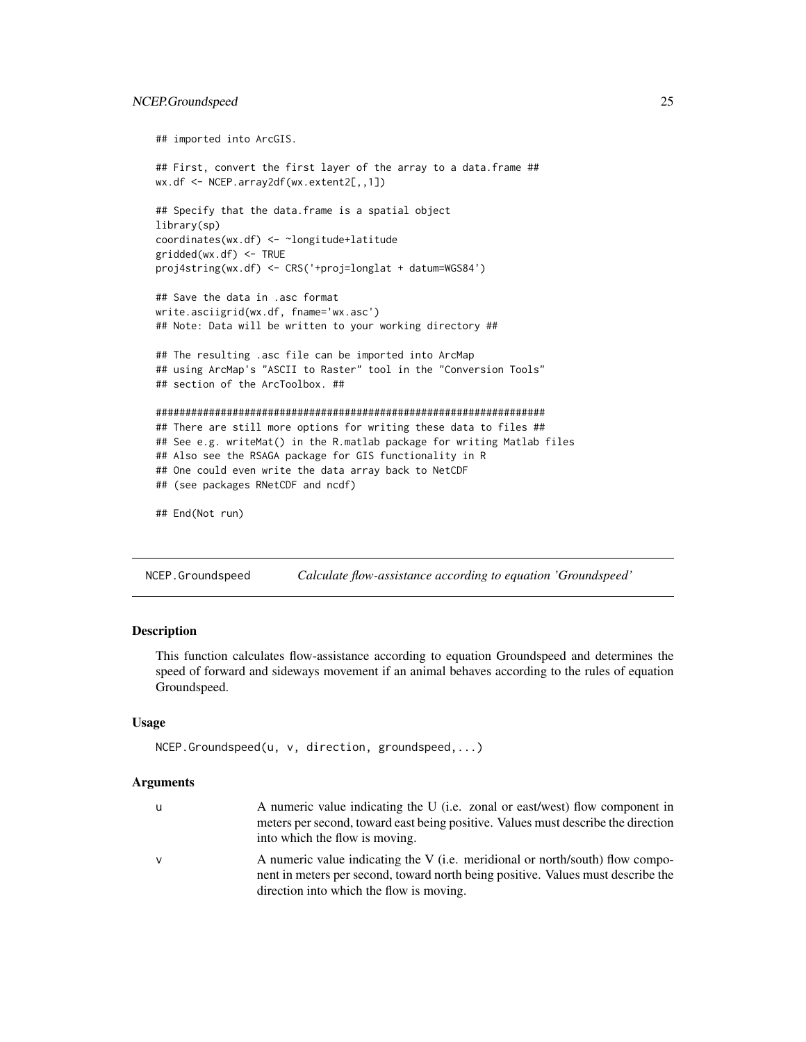## <span id="page-24-0"></span>NCEP.Groundspeed 25

```
## imported into ArcGIS.
## First, convert the first layer of the array to a data.frame ##
wx.df <- NCEP.array2df(wx.extent2[,,1])
## Specify that the data.frame is a spatial object
library(sp)
coordinates(wx.df) <- ~longitude+latitude
gridded(wx.df) <- TRUE
proj4string(wx.df) <- CRS('+proj=longlat + datum=WGS84')
## Save the data in .asc format
write.asciigrid(wx.df, fname='wx.asc')
## Note: Data will be written to your working directory ##
## The resulting .asc file can be imported into ArcMap
## using ArcMap's "ASCII to Raster" tool in the "Conversion Tools"
## section of the ArcToolbox. ##
##################################################################
## There are still more options for writing these data to files ##
## See e.g. writeMat() in the R.matlab package for writing Matlab files
## Also see the RSAGA package for GIS functionality in R
## One could even write the data array back to NetCDF
## (see packages RNetCDF and ncdf)
```

```
## End(Not run)
```
<span id="page-24-1"></span>NCEP.Groundspeed *Calculate flow-assistance according to equation 'Groundspeed'*

## **Description**

This function calculates flow-assistance according to equation Groundspeed and determines the speed of forward and sideways movement if an animal behaves according to the rules of equation Groundspeed.

## Usage

```
NCEP.Groundspeed(u, v, direction, groundspeed,...)
```
## Arguments

| u            | A numeric value indicating the U (i.e. zonal or east/west) flow component in      |
|--------------|-----------------------------------------------------------------------------------|
|              | meters per second, toward east being positive. Values must describe the direction |
|              | into which the flow is moving.                                                    |
| $\mathsf{V}$ | A numeric value indicating the V (i.e. meridional or north/south) flow compo-     |
|              | nent in meters per second, toward north being positive. Values must describe the  |
|              | direction into which the flow is moving.                                          |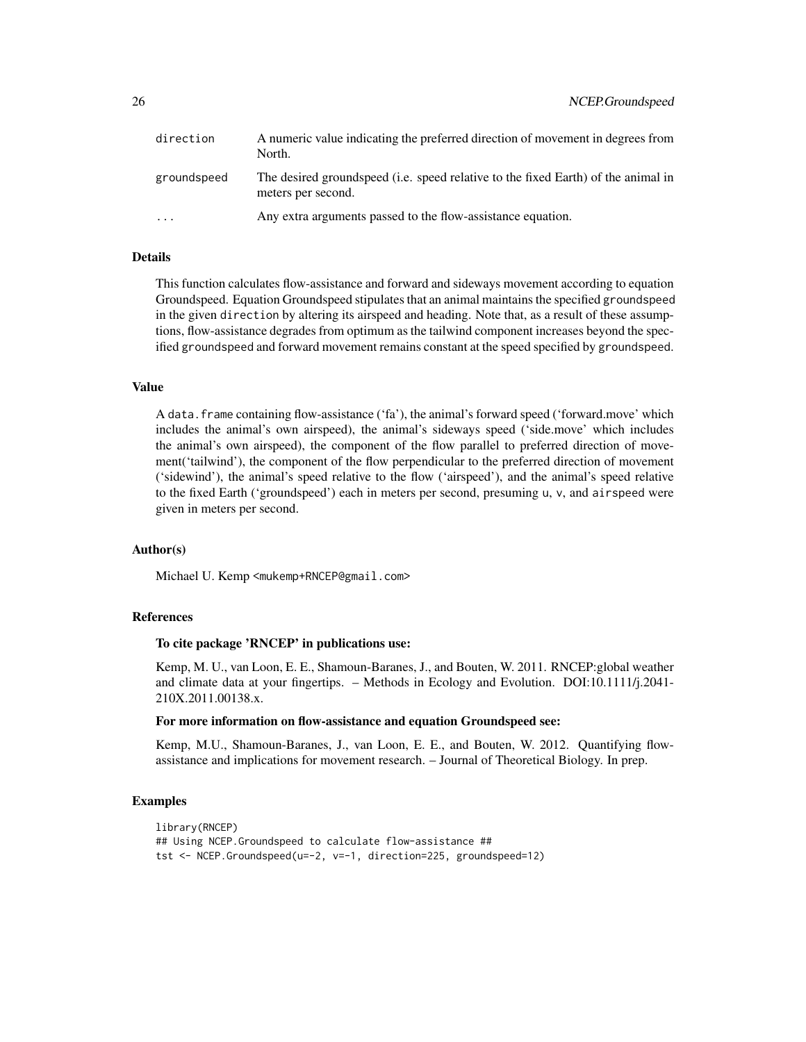| direction   | A numeric value indicating the preferred direction of movement in degrees from<br>North.                |
|-------------|---------------------------------------------------------------------------------------------------------|
| groundspeed | The desired groundspeed (i.e. speed relative to the fixed Earth) of the animal in<br>meters per second. |
| $\cdot$     | Any extra arguments passed to the flow-assistance equation.                                             |

## Details

This function calculates flow-assistance and forward and sideways movement according to equation Groundspeed. Equation Groundspeed stipulates that an animal maintains the specified groundspeed in the given direction by altering its airspeed and heading. Note that, as a result of these assumptions, flow-assistance degrades from optimum as the tailwind component increases beyond the specified groundspeed and forward movement remains constant at the speed specified by groundspeed.

#### Value

A data.frame containing flow-assistance ('fa'), the animal's forward speed ('forward.move' which includes the animal's own airspeed), the animal's sideways speed ('side.move' which includes the animal's own airspeed), the component of the flow parallel to preferred direction of movement('tailwind'), the component of the flow perpendicular to the preferred direction of movement ('sidewind'), the animal's speed relative to the flow ('airspeed'), and the animal's speed relative to the fixed Earth ('groundspeed') each in meters per second, presuming u, v, and airspeed were given in meters per second.

## Author(s)

Michael U. Kemp <mukemp+RNCEP@gmail.com>

## References

## To cite package 'RNCEP' in publications use:

Kemp, M. U., van Loon, E. E., Shamoun-Baranes, J., and Bouten, W. 2011. RNCEP:global weather and climate data at your fingertips. – Methods in Ecology and Evolution. DOI:10.1111/j.2041- 210X.2011.00138.x.

#### For more information on flow-assistance and equation Groundspeed see:

Kemp, M.U., Shamoun-Baranes, J., van Loon, E. E., and Bouten, W. 2012. Quantifying flowassistance and implications for movement research. – Journal of Theoretical Biology. In prep.

```
library(RNCEP)
## Using NCEP.Groundspeed to calculate flow-assistance ##
tst <- NCEP.Groundspeed(u=-2, v=-1, direction=225, groundspeed=12)
```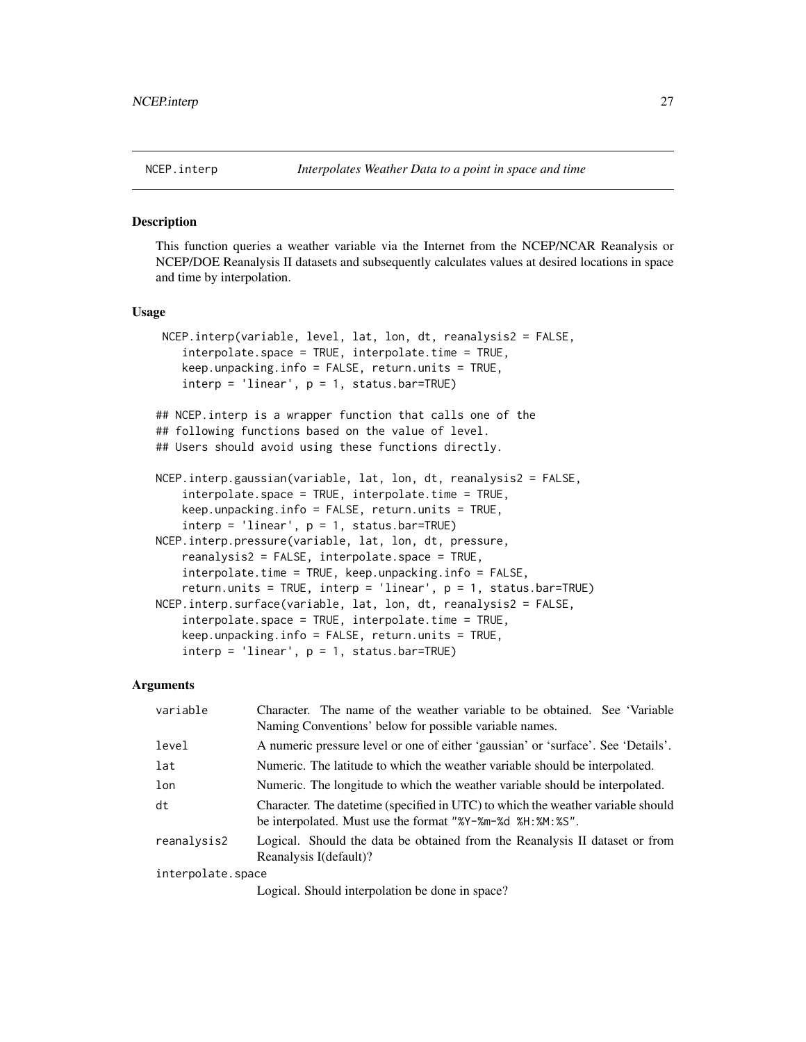#### <span id="page-26-1"></span><span id="page-26-0"></span>**Description**

This function queries a weather variable via the Internet from the NCEP/NCAR Reanalysis or NCEP/DOE Reanalysis II datasets and subsequently calculates values at desired locations in space and time by interpolation.

## Usage

```
NCEP.interp(variable, level, lat, lon, dt, reanalysis2 = FALSE,
    interpolate.space = TRUE, interpolate.time = TRUE,
    keep.unpacking.info = FALSE, return.units = TRUE,
    \text{interp} = ' \text{linear}', \text{p} = 1, \text{ status}.\text{bar} = \text{TRUE}## NCEP.interp is a wrapper function that calls one of the
## following functions based on the value of level.
## Users should avoid using these functions directly.
NCEP.interp.gaussian(variable, lat, lon, dt, reanalysis2 = FALSE,
    interpolate.space = TRUE, interpolate.time = TRUE,
    keep.unpacking.info = FALSE, return.units = TRUE,
    \text{interp} = ' \text{linear}', \text{p} = 1, \text{ status}.\text{bar} = \text{TRUE}NCEP.interp.pressure(variable, lat, lon, dt, pressure,
    reanalysis2 = FALSE, interpolate.space = TRUE,
    interpolate.time = TRUE, keep.unpacking.info = FALSE,
    return.units = TRUE, interp = 'linear', p = 1, status.bar=TRUE)
NCEP.interp.surface(variable, lat, lon, dt, reanalysis2 = FALSE,
    interpolate.space = TRUE, interpolate.time = TRUE,
    keep.unpacking.info = FALSE, return.units = TRUE,
    \text{interp} = ' \text{linear}', p = 1, \text{ status}.\text{bar} = \text{TRUE}
```
#### Arguments

| variable          | Character. The name of the weather variable to be obtained. See 'Variable'<br>Naming Conventions' below for possible variable names.          |
|-------------------|-----------------------------------------------------------------------------------------------------------------------------------------------|
| level             | A numeric pressure level or one of either 'gaussian' or 'surface'. See 'Details'.                                                             |
| lat               | Numeric. The latitude to which the weather variable should be interpolated.                                                                   |
| lon               | Numeric. The longitude to which the weather variable should be interpolated.                                                                  |
| dt                | Character. The date time (specified in UTC) to which the weather variable should<br>be interpolated. Must use the format "%Y-%m-%d %H:%M:%S". |
| reanalysis2       | Logical. Should the data be obtained from the Reanalysis II dataset or from<br>Reanalysis I(default)?                                         |
| interpolate.space |                                                                                                                                               |
|                   | $I = 1.4$ $\Omega$ , $\Omega$ , $\Omega$ , $\Omega$ , $\Omega$ is the set of $\Omega$ is the set of $\Omega$                                  |

Logical. Should interpolation be done in space?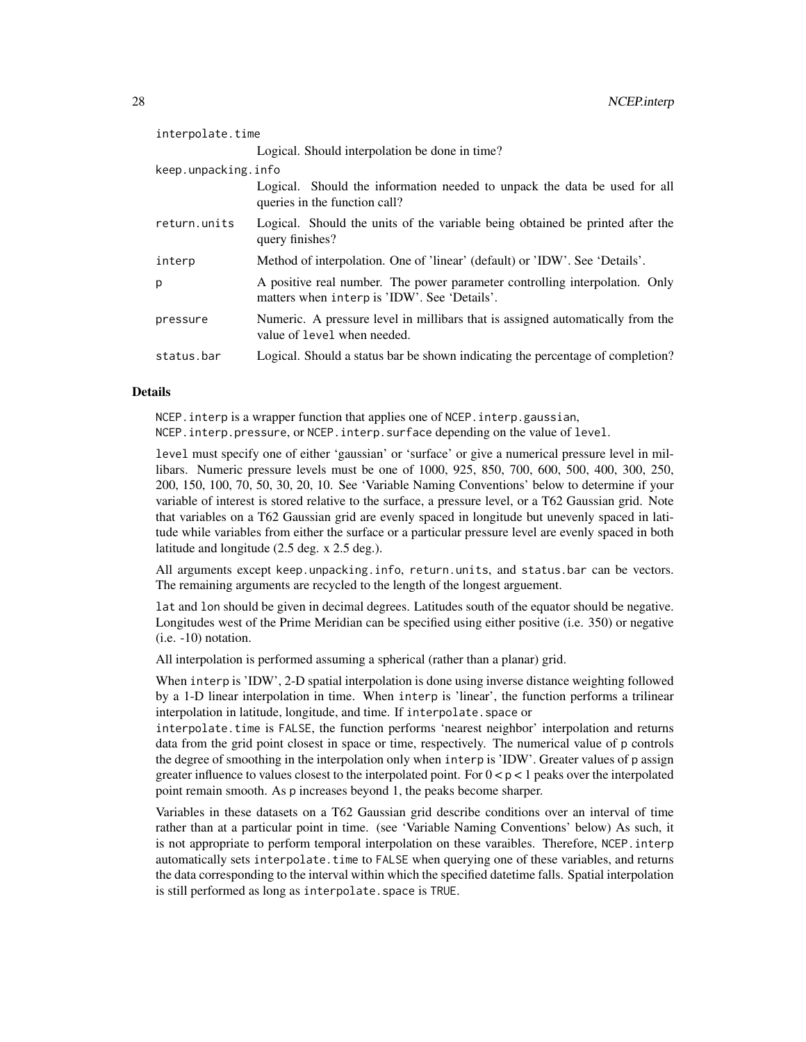| interpolate.time    |                                                                                                                             |
|---------------------|-----------------------------------------------------------------------------------------------------------------------------|
|                     | Logical. Should interpolation be done in time?                                                                              |
| keep.unpacking.info |                                                                                                                             |
|                     | Logical. Should the information needed to unpack the data be used for all<br>queries in the function call?                  |
| return.units        | Logical. Should the units of the variable being obtained be printed after the<br>query finishes?                            |
| interp              | Method of interpolation. One of 'linear' (default) or 'IDW'. See 'Details'.                                                 |
| p                   | A positive real number. The power parameter controlling interpolation. Only<br>matters when interp is 'IDW'. See 'Details'. |
| pressure            | Numeric. A pressure level in millibars that is assigned automatically from the<br>value of level when needed.               |
| status.bar          | Logical. Should a status bar be shown indicating the percentage of completion?                                              |

## Details

NCEP.interp is a wrapper function that applies one of NCEP.interp.gaussian,

NCEP.interp.pressure, or NCEP.interp.surface depending on the value of level.

level must specify one of either 'gaussian' or 'surface' or give a numerical pressure level in millibars. Numeric pressure levels must be one of 1000, 925, 850, 700, 600, 500, 400, 300, 250, 200, 150, 100, 70, 50, 30, 20, 10. See 'Variable Naming Conventions' below to determine if your variable of interest is stored relative to the surface, a pressure level, or a T62 Gaussian grid. Note that variables on a T62 Gaussian grid are evenly spaced in longitude but unevenly spaced in latitude while variables from either the surface or a particular pressure level are evenly spaced in both latitude and longitude (2.5 deg. x 2.5 deg.).

All arguments except keep.unpacking.info, return.units, and status.bar can be vectors. The remaining arguments are recycled to the length of the longest arguement.

lat and lon should be given in decimal degrees. Latitudes south of the equator should be negative. Longitudes west of the Prime Meridian can be specified using either positive (i.e. 350) or negative (i.e. -10) notation.

All interpolation is performed assuming a spherical (rather than a planar) grid.

When interp is 'IDW', 2-D spatial interpolation is done using inverse distance weighting followed by a 1-D linear interpolation in time. When interp is 'linear', the function performs a trilinear interpolation in latitude, longitude, and time. If interpolate.space or

interpolate.time is FALSE, the function performs 'nearest neighbor' interpolation and returns data from the grid point closest in space or time, respectively. The numerical value of p controls the degree of smoothing in the interpolation only when interp is 'IDW'. Greater values of p assign greater influence to values closest to the interpolated point. For  $0 < p < 1$  peaks over the interpolated point remain smooth. As p increases beyond 1, the peaks become sharper.

Variables in these datasets on a T62 Gaussian grid describe conditions over an interval of time rather than at a particular point in time. (see 'Variable Naming Conventions' below) As such, it is not appropriate to perform temporal interpolation on these varaibles. Therefore, NCEP.interp automatically sets interpolate.time to FALSE when querying one of these variables, and returns the data corresponding to the interval within which the specified datetime falls. Spatial interpolation is still performed as long as interpolate. space is TRUE.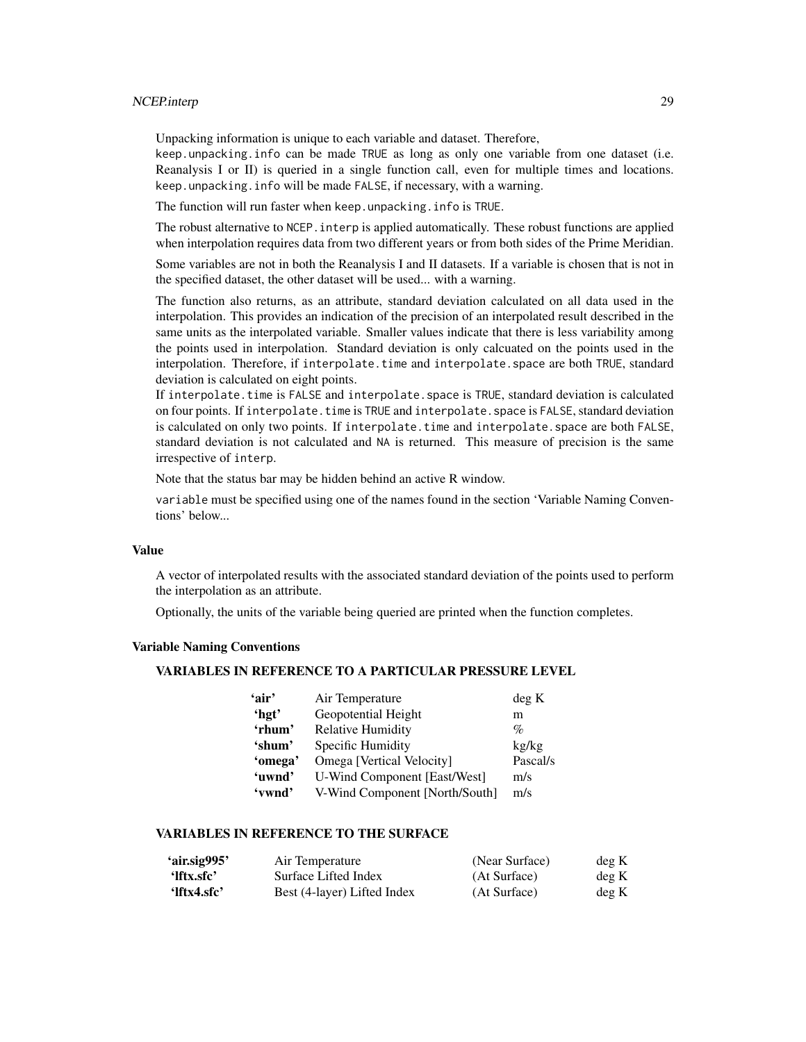## NCEP.interp 29

Unpacking information is unique to each variable and dataset. Therefore,

keep.unpacking.info can be made TRUE as long as only one variable from one dataset (i.e. Reanalysis I or II) is queried in a single function call, even for multiple times and locations. keep.unpacking.info will be made FALSE, if necessary, with a warning.

The function will run faster when keep.unpacking.info is TRUE.

The robust alternative to NCEP. interp is applied automatically. These robust functions are applied when interpolation requires data from two different years or from both sides of the Prime Meridian.

Some variables are not in both the Reanalysis I and II datasets. If a variable is chosen that is not in the specified dataset, the other dataset will be used... with a warning.

The function also returns, as an attribute, standard deviation calculated on all data used in the interpolation. This provides an indication of the precision of an interpolated result described in the same units as the interpolated variable. Smaller values indicate that there is less variability among the points used in interpolation. Standard deviation is only calcuated on the points used in the interpolation. Therefore, if interpolate.time and interpolate.space are both TRUE, standard deviation is calculated on eight points.

If interpolate.time is FALSE and interpolate.space is TRUE, standard deviation is calculated on four points. If interpolate.time is TRUE and interpolate.space is FALSE, standard deviation is calculated on only two points. If interpolate.time and interpolate.space are both FALSE, standard deviation is not calculated and NA is returned. This measure of precision is the same irrespective of interp.

Note that the status bar may be hidden behind an active R window.

variable must be specified using one of the names found in the section 'Variable Naming Conventions' below...

## Value

A vector of interpolated results with the associated standard deviation of the points used to perform the interpolation as an attribute.

Optionally, the units of the variable being queried are printed when the function completes.

## Variable Naming Conventions

## VARIABLES IN REFERENCE TO A PARTICULAR PRESSURE LEVEL

| 'air'   | Air Temperature                | deg K    |
|---------|--------------------------------|----------|
| 'hgt'   | Geopotential Height            | m        |
| 'rhum'  | <b>Relative Humidity</b>       | $\%$     |
| 'shum'  | Specific Humidity              | kg/kg    |
| 'omega' | Omega [Vertical Velocity]      | Pascal/s |
| 'uwnd'  | U-Wind Component [East/West]   | m/s      |
| 'vwnd'  | V-Wind Component [North/South] | m/s      |

## VARIABLES IN REFERENCE TO THE SURFACE

| 'air.sig995'          | Air Temperature             | (Near Surface) | deg K |
|-----------------------|-----------------------------|----------------|-------|
| 'lftx.sfc'            | Surface Lifted Index        | (At Surface)   | deg K |
| $^{\circ}$ lftx4.sfc' | Best (4-layer) Lifted Index | (At Surface)   | deg K |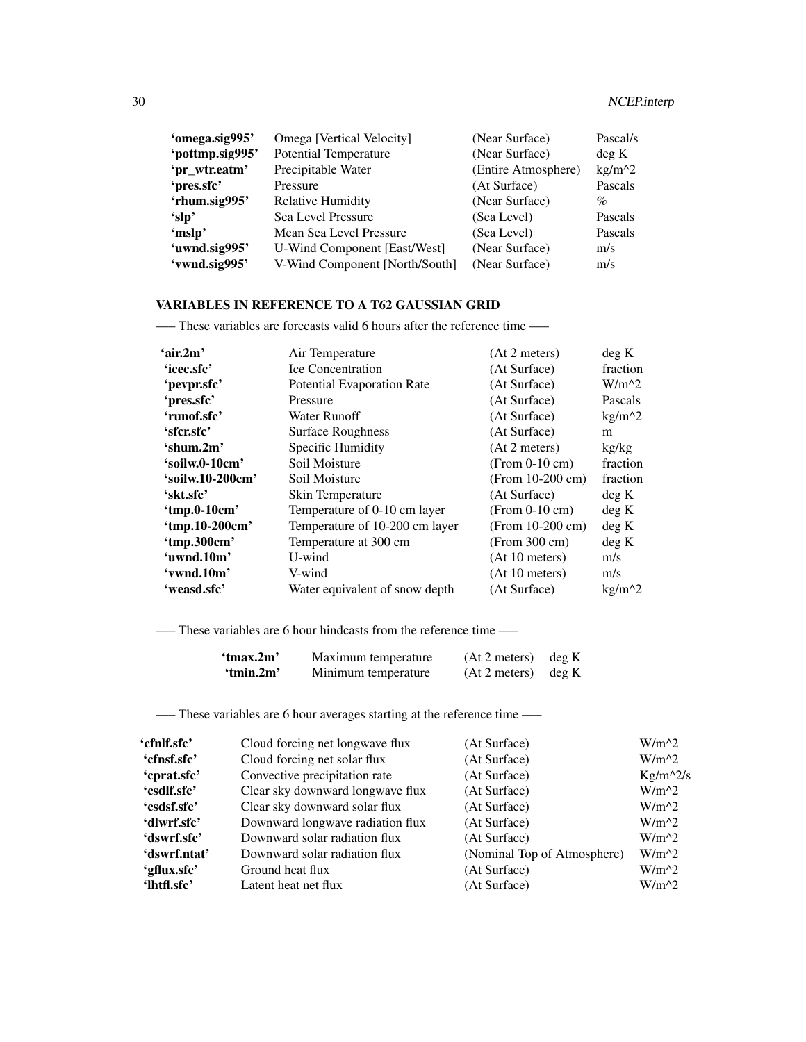| 'omega.sig995'  | Omega [Vertical Velocity]      | (Near Surface)      | Pascal/s |
|-----------------|--------------------------------|---------------------|----------|
| 'pottmp.sig995' | <b>Potential Temperature</b>   | (Near Surface)      | deg K    |
| 'pr_wtr.eatm'   | Precipitable Water             | (Entire Atmosphere) | $kg/m^2$ |
| 'pres.sfc'      | Pressure                       | (At Surface)        | Pascals  |
| 'rhum.sig995'   | <b>Relative Humidity</b>       | (Near Surface)      | $\%$     |
| 'slp'           | Sea Level Pressure             | (Sea Level)         | Pascals  |
| 'mslp'          | Mean Sea Level Pressure        | (Sea Level)         | Pascals  |
| 'uwnd.sig995'   | U-Wind Component [East/West]   | (Near Surface)      | m/s      |
| 'vwnd.sig995'   | V-Wind Component [North/South] | (Near Surface)      | m/s      |

## VARIABLES IN REFERENCE TO A T62 GAUSSIAN GRID

—– These variables are forecasts valid 6 hours after the reference time —–

| 'air.2m'         | Air Temperature                   | (At 2 meters)      | deg K    |
|------------------|-----------------------------------|--------------------|----------|
| 'icec.sfc'       | <b>Ice Concentration</b>          | (At Surface)       | fraction |
| 'pevpr.sfc'      | <b>Potential Evaporation Rate</b> | (At Surface)       | $W/m^2$  |
| 'pres.sfc'       | Pressure                          | (At Surface)       | Pascals  |
| 'runof.sfc'      | <b>Water Runoff</b>               | (At Surface)       | $kg/m^2$ |
| 'sfcr.sfc'       | <b>Surface Roughness</b>          | (At Surface)       | m        |
| 'shum.2m'        | Specific Humidity                 | (At 2 meters)      | kg/kg    |
| 'soilw.0-10cm'   | Soil Moisture                     | $(From 0-10 cm)$   | fraction |
| 'soilw.10-200cm' | Soil Moisture                     | $(From 10-200 cm)$ | fraction |
| 'skt.sfc'        | Skin Temperature                  | (At Surface)       | deg K    |
| 'tmp.0-10cm'     | Temperature of 0-10 cm layer      | $(From 0-10 cm)$   | deg K    |
| 'tmp.10-200cm'   | Temperature of 10-200 cm layer    | (From $10-200$ cm) | deg K    |
| 'tmp.300cm'      | Temperature at 300 cm             | (From 300 cm)      | deg K    |
| 'uwnd.10m'       | U-wind                            | (At 10 meters)     | m/s      |
| 'vwnd.10m'       | V-wind                            | (At 10 meters)     | m/s      |
| 'weasd.sfc'      | Water equivalent of snow depth    | (At Surface)       | $kg/m^2$ |

—– These variables are 6 hour hindcasts from the reference time —–

| 'tmax.2m' | Maximum temperature | (At 2 meters)         | deg K |
|-----------|---------------------|-----------------------|-------|
| 'tmin.2m' | Minimum temperature | $(At 2 meters)$ deg K |       |

—– These variables are 6 hour averages starting at the reference time —–

| 'cfnlf.sfc'  | Cloud forcing net longwave flux  | (At Surface)                | $W/m^2$    |
|--------------|----------------------------------|-----------------------------|------------|
| 'cfnsf.sfc'  | Cloud forcing net solar flux     | (At Surface)                | $W/m^2$    |
| 'cprat.sfc'  | Convective precipitation rate    | (At Surface)                | $Kg/m^2/s$ |
| 'csdlf.sfc'  | Clear sky downward longwave flux | (At Surface)                | $W/m^2$    |
| 'csdsf.sfc'  | Clear sky downward solar flux    | (At Surface)                | $W/m^2$    |
| 'dlwrf.sfc'  | Downward longwave radiation flux | (At Surface)                | $W/m^{2}$  |
| 'dswrf.sfc'  | Downward solar radiation flux    | (At Surface)                | $W/m^2$    |
| 'dswrf.ntat' | Downward solar radiation flux    | (Nominal Top of Atmosphere) | $W/m^2$    |
| 'gflux.sfc'  | Ground heat flux                 | (At Surface)                | $W/m^2$    |
| 'lhtfl.sfc'  | Latent heat net flux             | (At Surface)                | $W/m^2$    |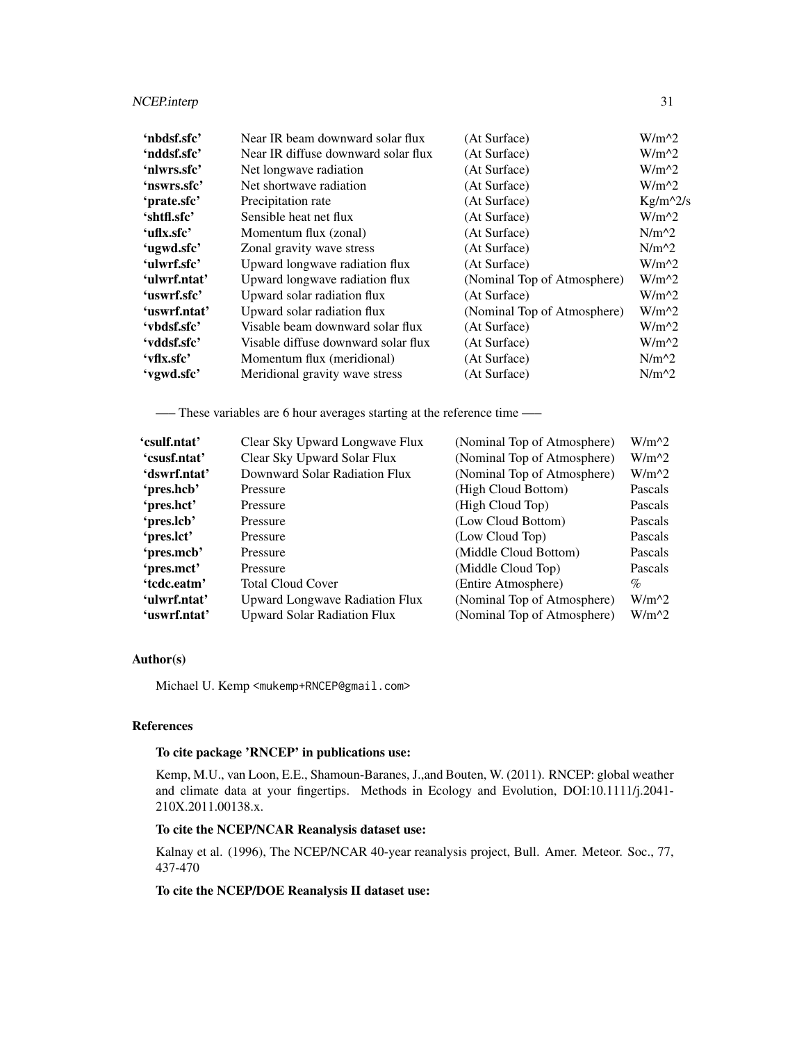## NCEP.interp 31

| Near IR beam downward solar flux    | (At Surface)                | $W/m^{2}$  |
|-------------------------------------|-----------------------------|------------|
| Near IR diffuse downward solar flux | (At Surface)                | $W/m^2$    |
| Net longwave radiation              | (At Surface)                | $W/m^2$    |
| Net shortwave radiation             | (At Surface)                | $W/m^2$    |
| Precipitation rate                  | (At Surface)                | $Kg/m^2/s$ |
| Sensible heat net flux              | (At Surface)                | $W/m^2$    |
| Momentum flux (zonal)               | (At Surface)                | $N/m^2$    |
| Zonal gravity wave stress           | (At Surface)                | $N/m^2$    |
| Upward longwave radiation flux      | (At Surface)                | $W/m^2$    |
| Upward longwave radiation flux      | (Nominal Top of Atmosphere) | $W/m^2$    |
| Upward solar radiation flux         | (At Surface)                | $W/m^2$    |
| Upward solar radiation flux         | (Nominal Top of Atmosphere) | $W/m^2$    |
| Visable beam downward solar flux    | (At Surface)                | $W/m^2$    |
| Visable diffuse downward solar flux | (At Surface)                | $W/m^2$    |
| Momentum flux (meridional)          | (At Surface)                | $N/m^2$    |
| Meridional gravity wave stress      | (At Surface)                | $N/m^2$    |
|                                     |                             |            |

—– These variables are 6 hour averages starting at the reference time —–

| 'csulf.ntat' | Clear Sky Upward Longwave Flux        | (Nominal Top of Atmosphere) | $W/m^2$ |
|--------------|---------------------------------------|-----------------------------|---------|
| 'csusf.ntat' | Clear Sky Upward Solar Flux           | (Nominal Top of Atmosphere) | $W/m^2$ |
| 'dswrf.ntat' | Downward Solar Radiation Flux         | (Nominal Top of Atmosphere) | $W/m^2$ |
| 'pres.hcb'   | Pressure                              | (High Cloud Bottom)         | Pascals |
| 'pres.hct'   | Pressure                              | (High Cloud Top)            | Pascals |
| 'pres.lcb'   | Pressure                              | (Low Cloud Bottom)          | Pascals |
| 'pres.lct'   | Pressure                              | (Low Cloud Top)             | Pascals |
| 'pres.mcb'   | Pressure                              | (Middle Cloud Bottom)       | Pascals |
| 'pres.mct'   | Pressure                              | (Middle Cloud Top)          | Pascals |
| 'tcdc.eatm'  | <b>Total Cloud Cover</b>              | (Entire Atmosphere)         | $\%$    |
| 'ulwrf.ntat' | <b>Upward Longwave Radiation Flux</b> | (Nominal Top of Atmosphere) | $W/m^2$ |
| 'uswrf.ntat' | <b>Upward Solar Radiation Flux</b>    | (Nominal Top of Atmosphere) | $W/m^2$ |

## Author(s)

Michael U. Kemp <mukemp+RNCEP@gmail.com>

## References

## To cite package 'RNCEP' in publications use:

Kemp, M.U., van Loon, E.E., Shamoun-Baranes, J.,and Bouten, W. (2011). RNCEP: global weather and climate data at your fingertips. Methods in Ecology and Evolution, DOI:10.1111/j.2041- 210X.2011.00138.x.

## To cite the NCEP/NCAR Reanalysis dataset use:

Kalnay et al. (1996), The NCEP/NCAR 40-year reanalysis project, Bull. Amer. Meteor. Soc., 77, 437-470

## To cite the NCEP/DOE Reanalysis II dataset use: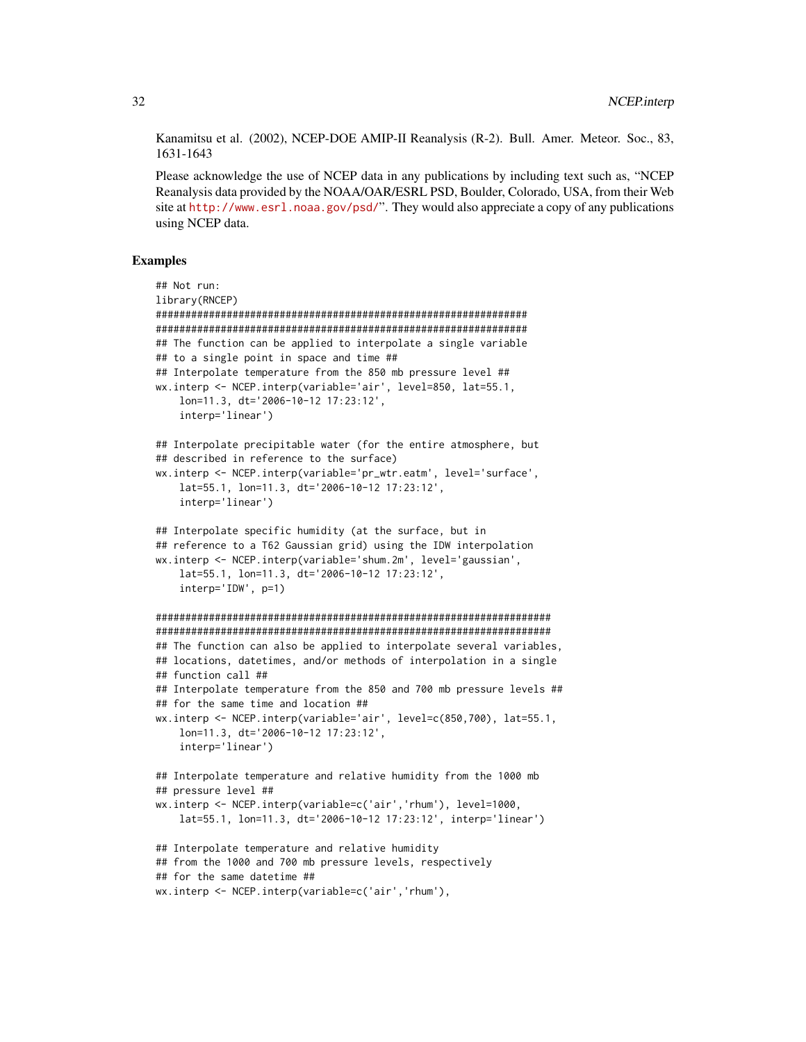Kanamitsu et al. (2002), NCEP-DOE AMIP-II Reanalysis (R-2). Bull. Amer. Meteor. Soc., 83, 1631-1643

Please acknowledge the use of NCEP data in any publications by including text such as, "NCEP Reanalysis data provided by the NOAA/OAR/ESRL PSD, Boulder, Colorado, USA, from their Web site at <http://www.esrl.noaa.gov/psd/>". They would also appreciate a copy of any publications using NCEP data.

```
## Not run:
library(RNCEP)
###############################################################
###############################################################
## The function can be applied to interpolate a single variable
## to a single point in space and time ##
## Interpolate temperature from the 850 mb pressure level ##
wx.interp <- NCEP.interp(variable='air', level=850, lat=55.1,
    lon=11.3, dt='2006-10-12 17:23:12',
    interp='linear')
## Interpolate precipitable water (for the entire atmosphere, but
## described in reference to the surface)
wx.interp <- NCEP.interp(variable='pr_wtr.eatm', level='surface',
   lat=55.1, lon=11.3, dt='2006-10-12 17:23:12',
    interp='linear')
## Interpolate specific humidity (at the surface, but in
## reference to a T62 Gaussian grid) using the IDW interpolation
wx.interp <- NCEP.interp(variable='shum.2m', level='gaussian',
    lat=55.1, lon=11.3, dt='2006-10-12 17:23:12',
    interp='IDW', p=1)
###################################################################
###################################################################
## The function can also be applied to interpolate several variables,
## locations, datetimes, and/or methods of interpolation in a single
## function call ##
## Interpolate temperature from the 850 and 700 mb pressure levels ##
## for the same time and location ##
wx.interp <- NCEP.interp(variable='air', level=c(850,700), lat=55.1,
    lon=11.3, dt='2006-10-12 17:23:12',
    interp='linear')
## Interpolate temperature and relative humidity from the 1000 mb
## pressure level ##
wx.interp <- NCEP.interp(variable=c('air','rhum'), level=1000,
   lat=55.1, lon=11.3, dt='2006-10-12 17:23:12', interp='linear')
## Interpolate temperature and relative humidity
## from the 1000 and 700 mb pressure levels, respectively
## for the same datetime ##
wx.interp <- NCEP.interp(variable=c('air','rhum'),
```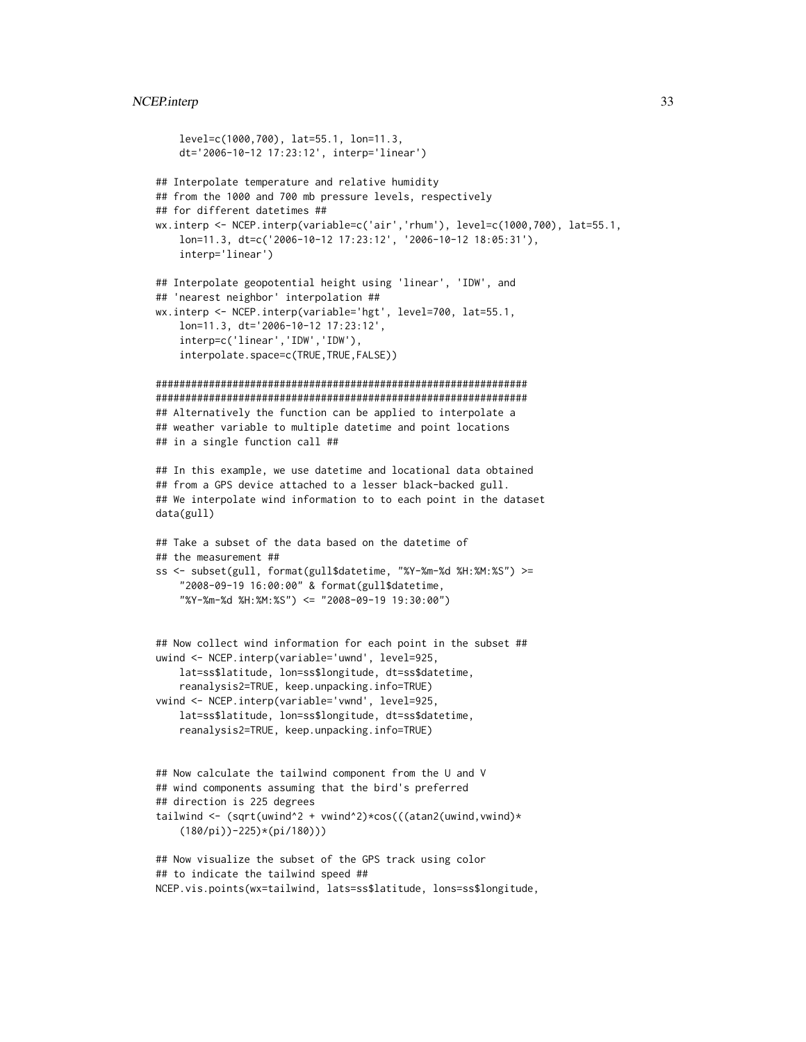```
level=c(1000,700), lat=55.1, lon=11.3,
    dt='2006-10-12 17:23:12', interp='linear')
## Interpolate temperature and relative humidity
## from the 1000 and 700 mb pressure levels, respectively
## for different datetimes ##
wx.interp <- NCEP.interp(variable=c('air','rhum'), level=c(1000,700), lat=55.1,
    lon=11.3, dt=c('2006-10-12 17:23:12', '2006-10-12 18:05:31'),
    interp='linear')
## Interpolate geopotential height using 'linear', 'IDW', and
## 'nearest neighbor' interpolation ##
wx.interp <- NCEP.interp(variable='hgt', level=700, lat=55.1,
    lon=11.3, dt='2006-10-12 17:23:12',
    interp=c('linear','IDW','IDW'),
    interpolate.space=c(TRUE,TRUE,FALSE))
###############################################################
###############################################################
## Alternatively the function can be applied to interpolate a
## weather variable to multiple datetime and point locations
## in a single function call ##
## In this example, we use datetime and locational data obtained
## from a GPS device attached to a lesser black-backed gull.
## We interpolate wind information to to each point in the dataset
data(gull)
## Take a subset of the data based on the datetime of
## the measurement ##
ss <- subset(gull, format(gull$datetime, "%Y-%m-%d %H:%M:%S") >=
    "2008-09-19 16:00:00" & format(gull$datetime,
    "%Y-%m-%d %H:%M:%S") <= "2008-09-19 19:30:00")
## Now collect wind information for each point in the subset ##
uwind <- NCEP.interp(variable='uwnd', level=925,
    lat=ss$latitude, lon=ss$longitude, dt=ss$datetime,
    reanalysis2=TRUE, keep.unpacking.info=TRUE)
vwind <- NCEP.interp(variable='vwnd', level=925,
    lat=ss$latitude, lon=ss$longitude, dt=ss$datetime,
    reanalysis2=TRUE, keep.unpacking.info=TRUE)
## Now calculate the tailwind component from the U and V
## wind components assuming that the bird's preferred
## direction is 225 degrees
tailwind <- (sqrt(uwind^2 + vwind^2)*cos(((atan2(uwind,vwind)*
    (180/pi))-225)*(pi/180)))
## Now visualize the subset of the GPS track using color
## to indicate the tailwind speed ##
NCEP.vis.points(wx=tailwind, lats=ss$latitude, lons=ss$longitude,
```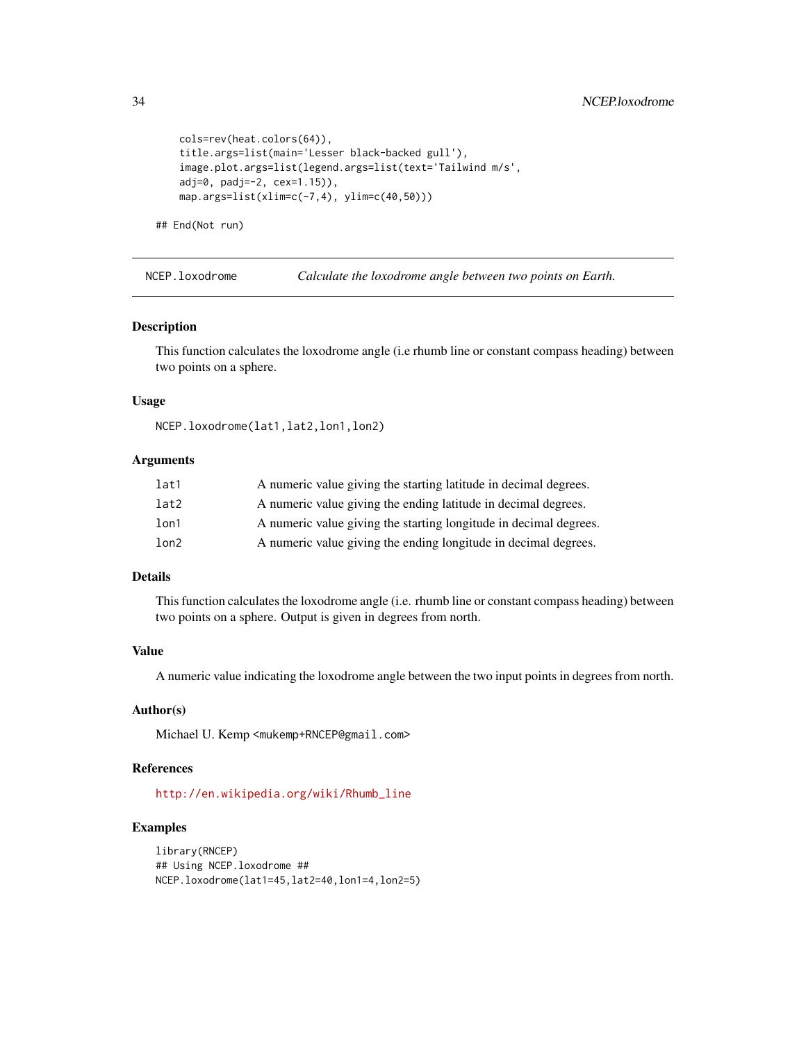```
cols=rev(heat.colors(64)),
title.args=list(main='Lesser black-backed gull'),
image.plot.args=list(legend.args=list(text='Tailwind m/s',
adj=0, padj=-2, cex=1.15)),
map.args=list(xlim=c(-7,4), ylim=c(40,50)))
```

```
## End(Not run)
```
<span id="page-33-1"></span>NCEP.loxodrome *Calculate the loxodrome angle between two points on Earth.*

## Description

This function calculates the loxodrome angle (i.e rhumb line or constant compass heading) between two points on a sphere.

## Usage

NCEP.loxodrome(lat1,lat2,lon1,lon2)

## Arguments

| lat1 | A numeric value giving the starting latitude in decimal degrees.  |
|------|-------------------------------------------------------------------|
| lat2 | A numeric value giving the ending latitude in decimal degrees.    |
| lon1 | A numeric value giving the starting longitude in decimal degrees. |
| lon2 | A numeric value giving the ending longitude in decimal degrees.   |

#### Details

This function calculates the loxodrome angle (i.e. rhumb line or constant compass heading) between two points on a sphere. Output is given in degrees from north.

## Value

A numeric value indicating the loxodrome angle between the two input points in degrees from north.

## Author(s)

Michael U. Kemp <mukemp+RNCEP@gmail.com>

## References

[http://en.wikipedia.org/wiki/Rhumb\\_line](http://en.wikipedia.org/wiki/Rhumb_line)

```
library(RNCEP)
## Using NCEP.loxodrome ##
NCEP.loxodrome(lat1=45,lat2=40,lon1=4,lon2=5)
```
<span id="page-33-0"></span>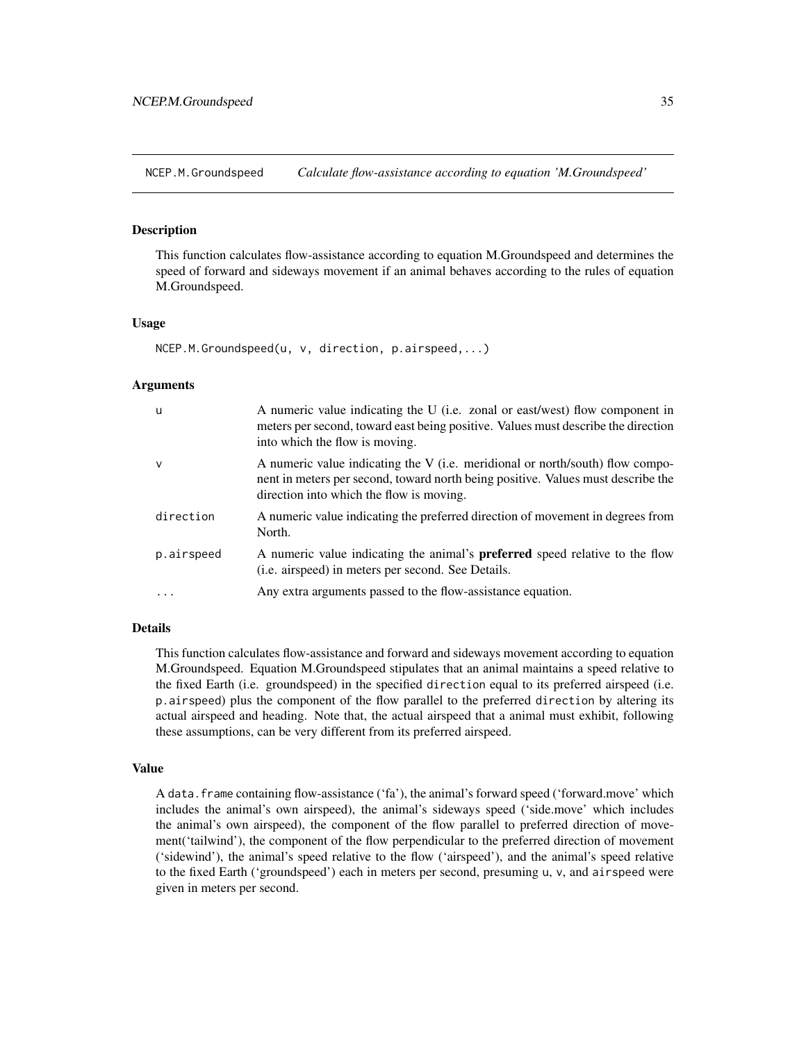<span id="page-34-1"></span><span id="page-34-0"></span>NCEP.M.Groundspeed *Calculate flow-assistance according to equation 'M.Groundspeed'*

## Description

This function calculates flow-assistance according to equation M.Groundspeed and determines the speed of forward and sideways movement if an animal behaves according to the rules of equation M.Groundspeed.

## Usage

```
NCEP.M.Groundspeed(u, v, direction, p.airspeed,...)
```
## Arguments

| -u         | A numeric value indicating the U (i.e. zonal or east/west) flow component in<br>meters per second, toward east being positive. Values must describe the direction<br>into which the flow is moving.           |
|------------|---------------------------------------------------------------------------------------------------------------------------------------------------------------------------------------------------------------|
| $\vee$     | A numeric value indicating the V (i.e. meridional or north/south) flow compo-<br>nent in meters per second, toward north being positive. Values must describe the<br>direction into which the flow is moving. |
| direction  | A numeric value indicating the preferred direction of movement in degrees from<br>North.                                                                                                                      |
| p.airspeed | A numeric value indicating the animal's <b>preferred</b> speed relative to the flow<br>(i.e. airspeed) in meters per second. See Details.                                                                     |
|            | Any extra arguments passed to the flow-assistance equation.                                                                                                                                                   |

## Details

This function calculates flow-assistance and forward and sideways movement according to equation M.Groundspeed. Equation M.Groundspeed stipulates that an animal maintains a speed relative to the fixed Earth (i.e. groundspeed) in the specified direction equal to its preferred airspeed (i.e. p.airspeed) plus the component of the flow parallel to the preferred direction by altering its actual airspeed and heading. Note that, the actual airspeed that a animal must exhibit, following these assumptions, can be very different from its preferred airspeed.

## Value

A data.frame containing flow-assistance ('fa'), the animal's forward speed ('forward.move' which includes the animal's own airspeed), the animal's sideways speed ('side.move' which includes the animal's own airspeed), the component of the flow parallel to preferred direction of movement('tailwind'), the component of the flow perpendicular to the preferred direction of movement ('sidewind'), the animal's speed relative to the flow ('airspeed'), and the animal's speed relative to the fixed Earth ('groundspeed') each in meters per second, presuming u, v, and airspeed were given in meters per second.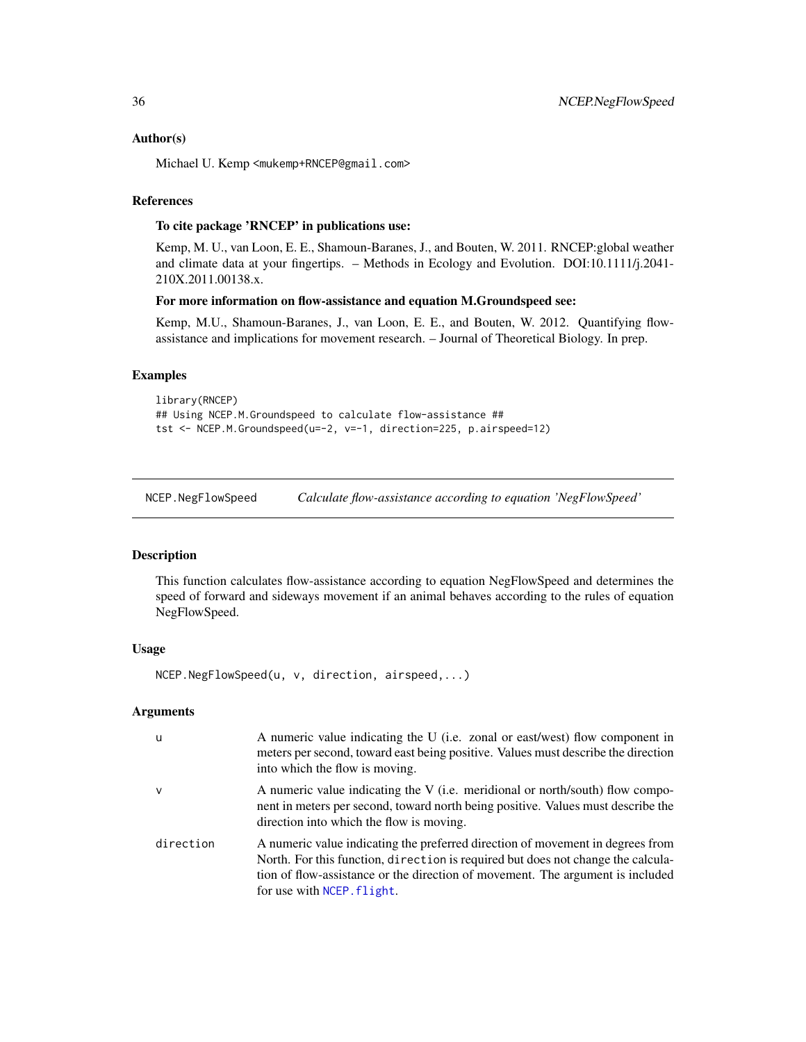## <span id="page-35-0"></span>Author(s)

Michael U. Kemp <mukemp+RNCEP@gmail.com>

## References

## To cite package 'RNCEP' in publications use:

Kemp, M. U., van Loon, E. E., Shamoun-Baranes, J., and Bouten, W. 2011. RNCEP:global weather and climate data at your fingertips. – Methods in Ecology and Evolution. DOI:10.1111/j.2041- 210X.2011.00138.x.

## For more information on flow-assistance and equation M.Groundspeed see:

Kemp, M.U., Shamoun-Baranes, J., van Loon, E. E., and Bouten, W. 2012. Quantifying flowassistance and implications for movement research. – Journal of Theoretical Biology. In prep.

## Examples

```
library(RNCEP)
## Using NCEP.M.Groundspeed to calculate flow-assistance ##
tst <- NCEP.M.Groundspeed(u=-2, v=-1, direction=225, p.airspeed=12)
```
<span id="page-35-1"></span>NCEP.NegFlowSpeed *Calculate flow-assistance according to equation 'NegFlowSpeed'*

## **Description**

This function calculates flow-assistance according to equation NegFlowSpeed and determines the speed of forward and sideways movement if an animal behaves according to the rules of equation NegFlowSpeed.

#### Usage

NCEP.NegFlowSpeed(u, v, direction, airspeed,...)

## Arguments

| u            | A numeric value indicating the U (i.e. zonal or east/west) flow component in<br>meters per second, toward east being positive. Values must describe the direction<br>into which the flow is moving.                                                                                |
|--------------|------------------------------------------------------------------------------------------------------------------------------------------------------------------------------------------------------------------------------------------------------------------------------------|
| $\mathsf{v}$ | A numeric value indicating the V (i.e. meridional or north/south) flow compo-<br>nent in meters per second, toward north being positive. Values must describe the<br>direction into which the flow is moving.                                                                      |
| direction    | A numeric value indicating the preferred direction of movement in degrees from<br>North. For this function, direction is required but does not change the calcula-<br>tion of flow-assistance or the direction of movement. The argument is included<br>for use with NCEP. flight. |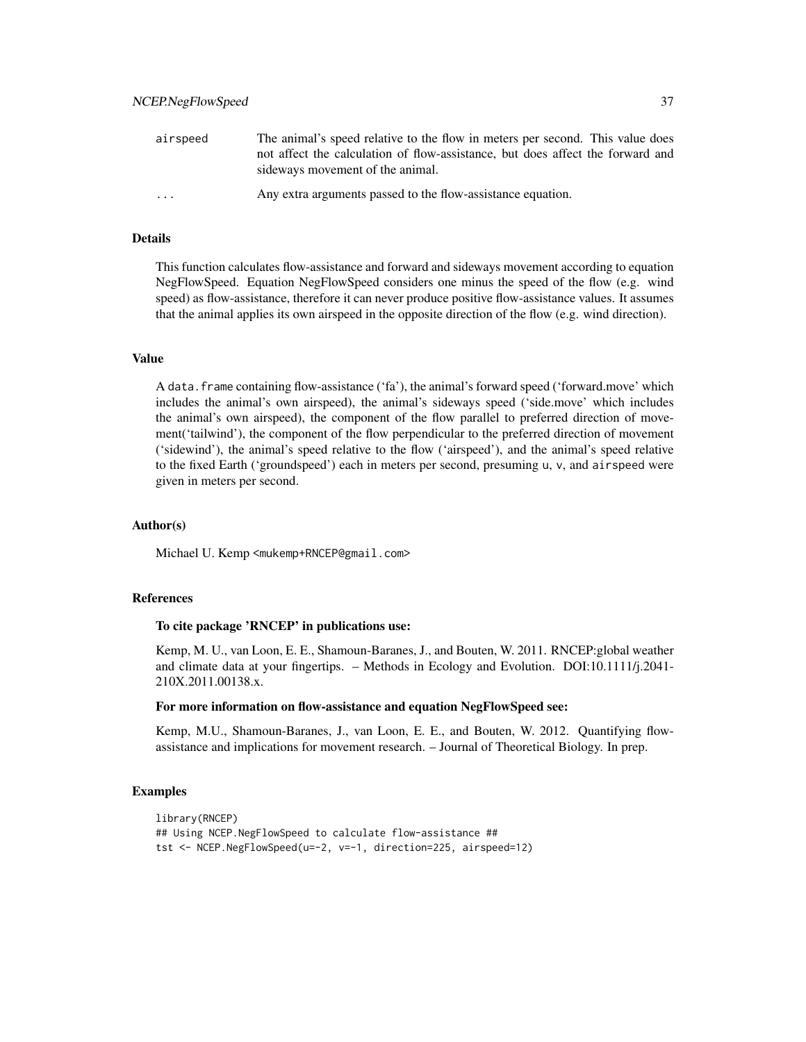| airspeed                | The animal's speed relative to the flow in meters per second. This value does  |
|-------------------------|--------------------------------------------------------------------------------|
|                         | not affect the calculation of flow-assistance, but does affect the forward and |
|                         | sideways movement of the animal.                                               |
| $\cdot$ $\cdot$ $\cdot$ | Any extra arguments passed to the flow-assistance equation.                    |

## Details

This function calculates flow-assistance and forward and sideways movement according to equation NegFlowSpeed. Equation NegFlowSpeed considers one minus the speed of the flow (e.g. wind speed) as flow-assistance, therefore it can never produce positive flow-assistance values. It assumes that the animal applies its own airspeed in the opposite direction of the flow (e.g. wind direction).

## Value

A data.frame containing flow-assistance ('fa'), the animal's forward speed ('forward.move' which includes the animal's own airspeed), the animal's sideways speed ('side.move' which includes the animal's own airspeed), the component of the flow parallel to preferred direction of movement('tailwind'), the component of the flow perpendicular to the preferred direction of movement ('sidewind'), the animal's speed relative to the flow ('airspeed'), and the animal's speed relative to the fixed Earth ('groundspeed') each in meters per second, presuming u, v, and airspeed were given in meters per second.

## Author(s)

Michael U. Kemp <mukemp+RNCEP@gmail.com>

## References

## To cite package 'RNCEP' in publications use:

Kemp, M. U., van Loon, E. E., Shamoun-Baranes, J., and Bouten, W. 2011. RNCEP:global weather and climate data at your fingertips. – Methods in Ecology and Evolution. DOI:10.1111/j.2041- 210X.2011.00138.x.

## For more information on flow-assistance and equation NegFlowSpeed see:

Kemp, M.U., Shamoun-Baranes, J., van Loon, E. E., and Bouten, W. 2012. Quantifying flowassistance and implications for movement research. – Journal of Theoretical Biology. In prep.

```
library(RNCEP)
## Using NCEP.NegFlowSpeed to calculate flow-assistance ##
tst <- NCEP.NegFlowSpeed(u=-2, v=-1, direction=225, airspeed=12)
```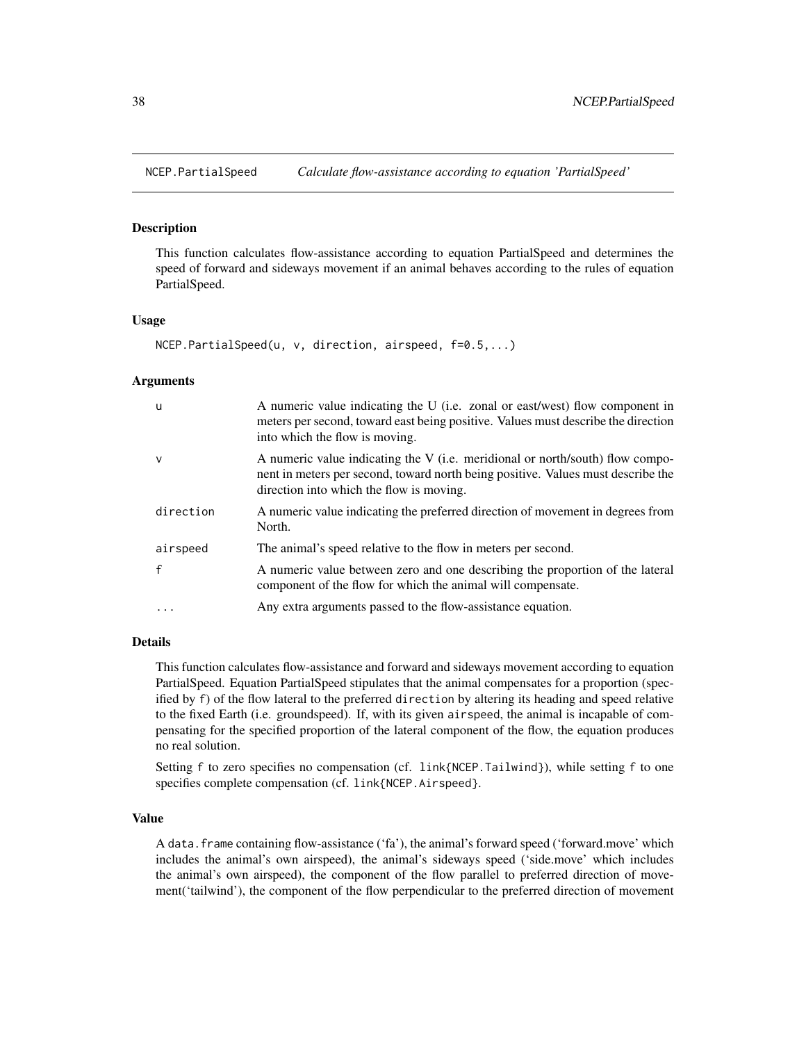<span id="page-37-1"></span><span id="page-37-0"></span>

## Description

This function calculates flow-assistance according to equation PartialSpeed and determines the speed of forward and sideways movement if an animal behaves according to the rules of equation PartialSpeed.

## Usage

```
NCEP.PartialSpeed(u, v, direction, airspeed, f=0.5,...)
```
#### Arguments

| -u           | A numeric value indicating the U (i.e. zonal or east/west) flow component in<br>meters per second, toward east being positive. Values must describe the direction<br>into which the flow is moving.           |
|--------------|---------------------------------------------------------------------------------------------------------------------------------------------------------------------------------------------------------------|
| $\vee$       | A numeric value indicating the V (i.e. meridional or north/south) flow compo-<br>nent in meters per second, toward north being positive. Values must describe the<br>direction into which the flow is moving. |
| direction    | A numeric value indicating the preferred direction of movement in degrees from<br>North.                                                                                                                      |
| airspeed     | The animal's speed relative to the flow in meters per second.                                                                                                                                                 |
| $\mathsf{f}$ | A numeric value between zero and one describing the proportion of the lateral<br>component of the flow for which the animal will compensate.                                                                  |
|              | Any extra arguments passed to the flow-assistance equation.                                                                                                                                                   |

#### Details

This function calculates flow-assistance and forward and sideways movement according to equation PartialSpeed. Equation PartialSpeed stipulates that the animal compensates for a proportion (specified by f) of the flow lateral to the preferred direction by altering its heading and speed relative to the fixed Earth (i.e. groundspeed). If, with its given airspeed, the animal is incapable of compensating for the specified proportion of the lateral component of the flow, the equation produces no real solution.

Setting f to zero specifies no compensation (cf. link{NCEP.Tailwind}), while setting f to one specifies complete compensation (cf. link{NCEP.Airspeed}.

#### Value

A data.frame containing flow-assistance ('fa'), the animal's forward speed ('forward.move' which includes the animal's own airspeed), the animal's sideways speed ('side.move' which includes the animal's own airspeed), the component of the flow parallel to preferred direction of movement('tailwind'), the component of the flow perpendicular to the preferred direction of movement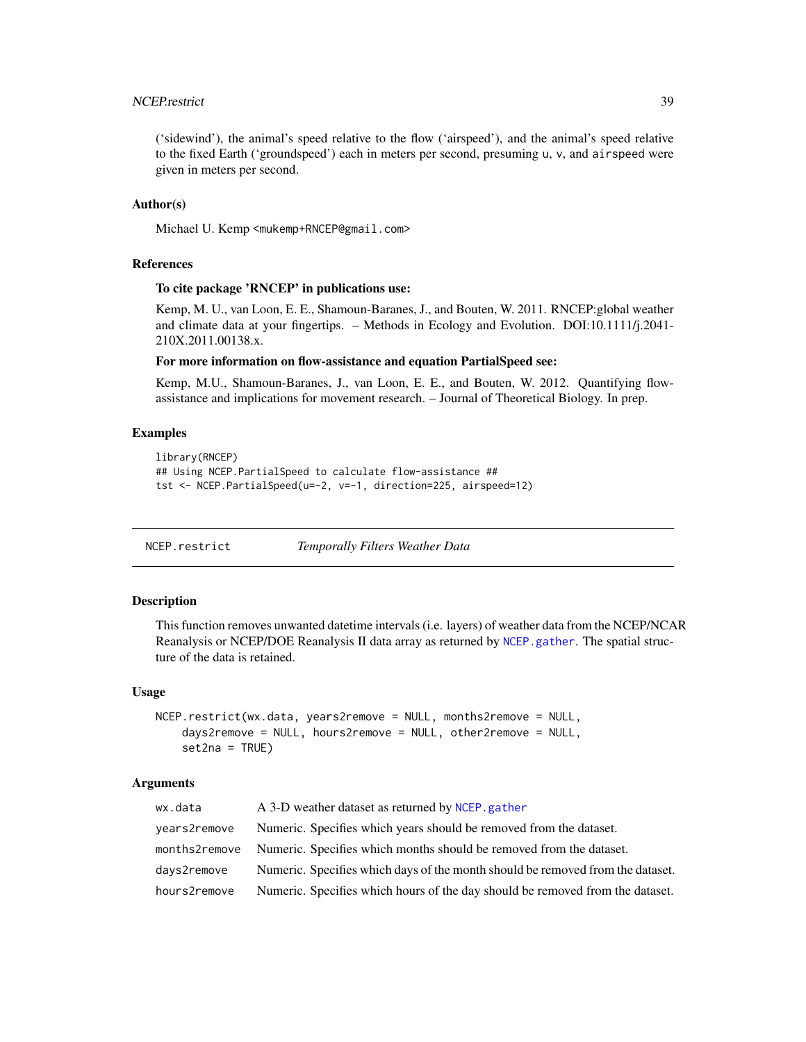## <span id="page-38-0"></span>NCEP.restrict 39

('sidewind'), the animal's speed relative to the flow ('airspeed'), and the animal's speed relative to the fixed Earth ('groundspeed') each in meters per second, presuming u, v, and airspeed were given in meters per second.

## Author(s)

Michael U. Kemp <mukemp+RNCEP@gmail.com>

#### References

## To cite package 'RNCEP' in publications use:

Kemp, M. U., van Loon, E. E., Shamoun-Baranes, J., and Bouten, W. 2011. RNCEP:global weather and climate data at your fingertips. – Methods in Ecology and Evolution. DOI:10.1111/j.2041- 210X.2011.00138.x.

## For more information on flow-assistance and equation PartialSpeed see:

Kemp, M.U., Shamoun-Baranes, J., van Loon, E. E., and Bouten, W. 2012. Quantifying flowassistance and implications for movement research. – Journal of Theoretical Biology. In prep.

## Examples

```
library(RNCEP)
## Using NCEP.PartialSpeed to calculate flow-assistance ##
tst <- NCEP.PartialSpeed(u=-2, v=-1, direction=225, airspeed=12)
```
NCEP.restrict *Temporally Filters Weather Data*

## Description

This function removes unwanted datetime intervals (i.e. layers) of weather data from the NCEP/NCAR Reanalysis or NCEP/DOE Reanalysis II data array as returned by [NCEP.gather](#page-16-1). The spatial structure of the data is retained.

### Usage

```
NCEP.restrict(wx.data, years2remove = NULL, months2remove = NULL,
    days2remove = NULL, hours2remove = NULL, other2remove = NULL,
    set2na = TRUE)
```
## Arguments

| wx.data       | A 3-D weather dataset as returned by NCEP, gather                              |
|---------------|--------------------------------------------------------------------------------|
| years2remove  | Numeric. Specifies which years should be removed from the dataset.             |
| months2remove | Numeric. Specifies which months should be removed from the dataset.            |
| days2remove   | Numeric. Specifies which days of the month should be removed from the dataset. |
| hours2remove  | Numeric. Specifies which hours of the day should be removed from the dataset.  |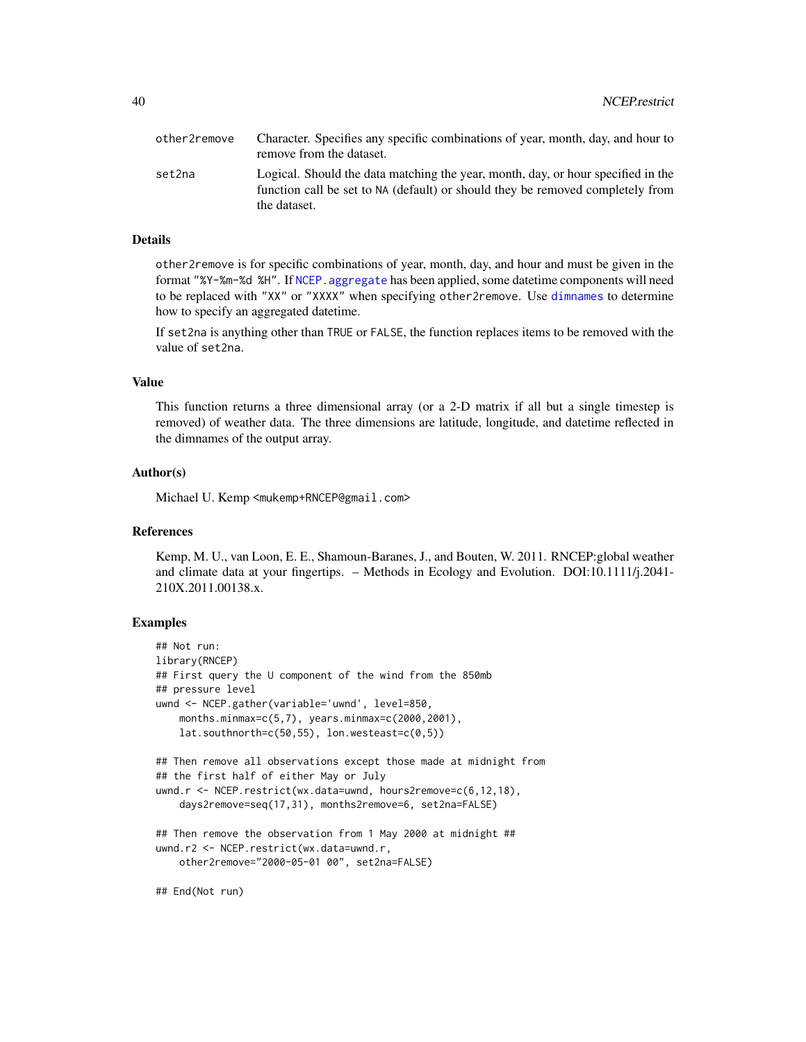<span id="page-39-0"></span>

| other2remove | Character. Specifies any specific combinations of year, month, day, and hour to<br>remove from the dataset.                                                                        |
|--------------|------------------------------------------------------------------------------------------------------------------------------------------------------------------------------------|
| set2na       | Logical. Should the data matching the year, month, day, or hour specified in the<br>function call be set to NA (default) or should they be removed completely from<br>the dataset. |

## Details

other2remove is for specific combinations of year, month, day, and hour and must be given in the format "%Y-%m-%d %H". If [NCEP.aggregate](#page-3-1) has been applied, some datetime components will need to be replaced with "XX" or "XXXX" when specifying other2remove. Use [dimnames](#page-0-0) to determine how to specify an aggregated datetime.

If set2na is anything other than TRUE or FALSE, the function replaces items to be removed with the value of set2na.

## Value

This function returns a three dimensional array (or a 2-D matrix if all but a single timestep is removed) of weather data. The three dimensions are latitude, longitude, and datetime reflected in the dimnames of the output array.

## Author(s)

Michael U. Kemp <mukemp+RNCEP@gmail.com>

## References

Kemp, M. U., van Loon, E. E., Shamoun-Baranes, J., and Bouten, W. 2011. RNCEP:global weather and climate data at your fingertips. – Methods in Ecology and Evolution. DOI:10.1111/j.2041- 210X.2011.00138.x.

```
## Not run:
library(RNCEP)
## First query the U component of the wind from the 850mb
## pressure level
uwnd <- NCEP.gather(variable='uwnd', level=850,
    months.minmax=c(5,7), years.minmax=c(2000,2001),
    lat.southnorth=c(50,55), lon.westeast=c(0,5))## Then remove all observations except those made at midnight from
## the first half of either May or July
uwnd.r <- NCEP.restrict(wx.data=uwnd, hours2remove=c(6,12,18),
    days2remove=seq(17,31), months2remove=6, set2na=FALSE)
## Then remove the observation from 1 May 2000 at midnight ##
uwnd.r2 <- NCEP.restrict(wx.data=uwnd.r,
    other2remove="2000-05-01 00", set2na=FALSE)
```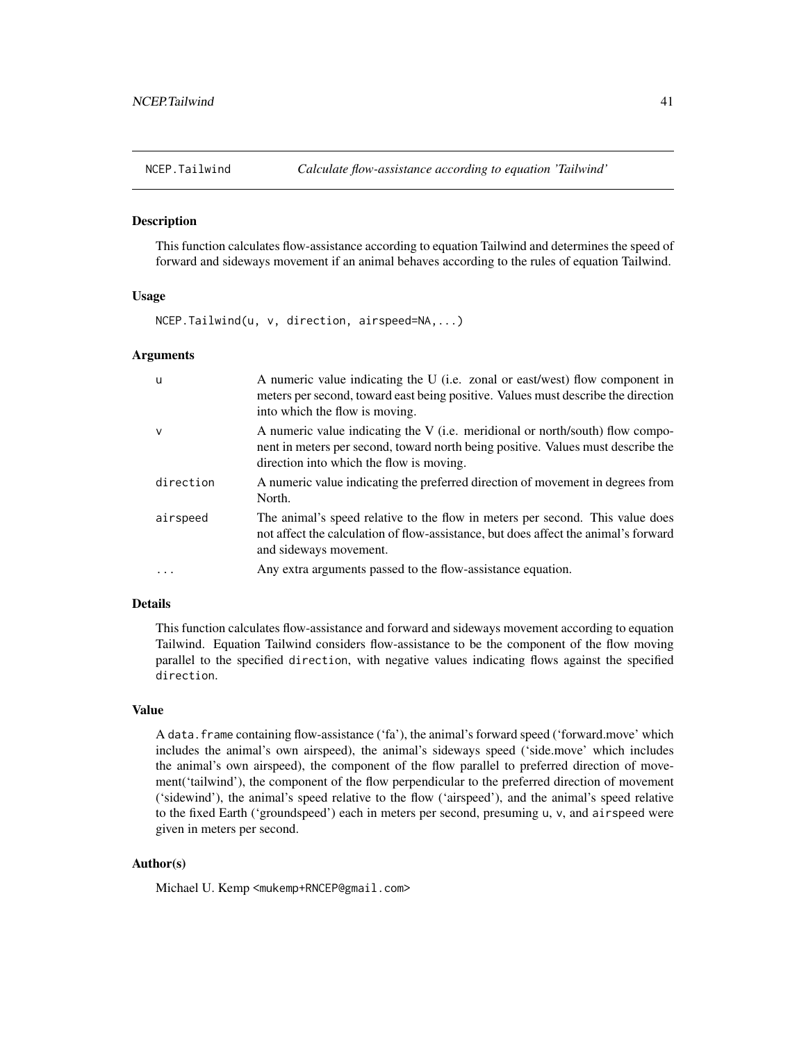<span id="page-40-1"></span><span id="page-40-0"></span>

#### **Description**

This function calculates flow-assistance according to equation Tailwind and determines the speed of forward and sideways movement if an animal behaves according to the rules of equation Tailwind.

## Usage

NCEP.Tailwind(u, v, direction, airspeed=NA,...)

## Arguments

| u            | A numeric value indicating the U (i.e. zonal or east/west) flow component in<br>meters per second, toward east being positive. Values must describe the direction<br>into which the flow is moving.           |
|--------------|---------------------------------------------------------------------------------------------------------------------------------------------------------------------------------------------------------------|
| $\mathsf{V}$ | A numeric value indicating the V (i.e. meridional or north/south) flow compo-<br>nent in meters per second, toward north being positive. Values must describe the<br>direction into which the flow is moving. |
| direction    | A numeric value indicating the preferred direction of movement in degrees from<br>North.                                                                                                                      |
| airspeed     | The animal's speed relative to the flow in meters per second. This value does<br>not affect the calculation of flow-assistance, but does affect the animal's forward<br>and sideways movement.                |
| $\cdots$     | Any extra arguments passed to the flow-assistance equation.                                                                                                                                                   |

## Details

This function calculates flow-assistance and forward and sideways movement according to equation Tailwind. Equation Tailwind considers flow-assistance to be the component of the flow moving parallel to the specified direction, with negative values indicating flows against the specified direction.

## Value

A data.frame containing flow-assistance ('fa'), the animal's forward speed ('forward.move' which includes the animal's own airspeed), the animal's sideways speed ('side.move' which includes the animal's own airspeed), the component of the flow parallel to preferred direction of movement('tailwind'), the component of the flow perpendicular to the preferred direction of movement ('sidewind'), the animal's speed relative to the flow ('airspeed'), and the animal's speed relative to the fixed Earth ('groundspeed') each in meters per second, presuming u, v, and airspeed were given in meters per second.

## Author(s)

Michael U. Kemp <mukemp+RNCEP@gmail.com>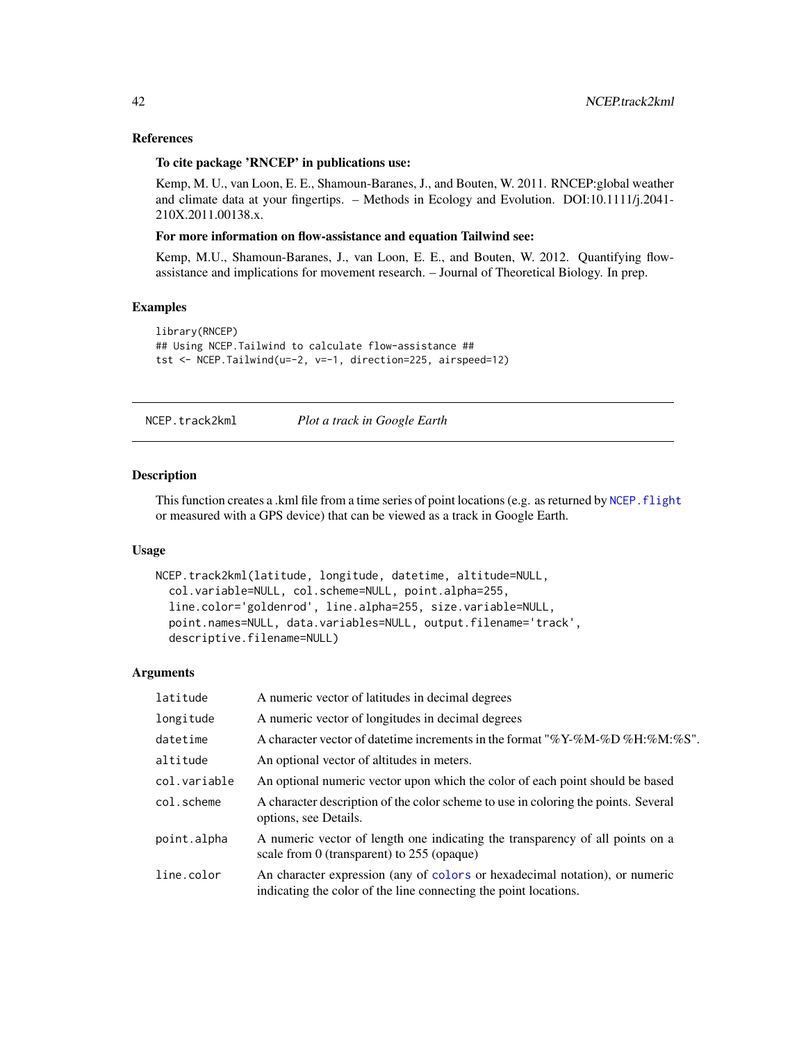## References

## To cite package 'RNCEP' in publications use:

Kemp, M. U., van Loon, E. E., Shamoun-Baranes, J., and Bouten, W. 2011. RNCEP:global weather and climate data at your fingertips. – Methods in Ecology and Evolution. DOI:10.1111/j.2041- 210X.2011.00138.x.

#### For more information on flow-assistance and equation Tailwind see:

Kemp, M.U., Shamoun-Baranes, J., van Loon, E. E., and Bouten, W. 2012. Quantifying flowassistance and implications for movement research. – Journal of Theoretical Biology. In prep.

#### Examples

```
library(RNCEP)
## Using NCEP.Tailwind to calculate flow-assistance ##
tst <- NCEP.Tailwind(u=-2, v=-1, direction=225, airspeed=12)
```
NCEP.track2kml *Plot a track in Google Earth*

## Description

This function creates a .kml file from a time series of point locations (e.g. as returned by NCEP. flight or measured with a GPS device) that can be viewed as a track in Google Earth.

## Usage

```
NCEP.track2kml(latitude, longitude, datetime, altitude=NULL,
  col.variable=NULL, col.scheme=NULL, point.alpha=255,
  line.color='goldenrod', line.alpha=255, size.variable=NULL,
 point.names=NULL, data.variables=NULL, output.filename='track',
  descriptive.filename=NULL)
```
## Arguments

| latitude     | A numeric vector of latitudes in decimal degrees                                                                                                |
|--------------|-------------------------------------------------------------------------------------------------------------------------------------------------|
| longitude    | A numeric vector of longitudes in decimal degrees                                                                                               |
| datetime     | A character vector of date time increments in the format "%Y-%M-%D %H:%M:%S".                                                                   |
| altitude     | An optional vector of altitudes in meters.                                                                                                      |
| col.variable | An optional numeric vector upon which the color of each point should be based                                                                   |
| col.scheme   | A character description of the color scheme to use in coloring the points. Several<br>options, see Details.                                     |
| point.alpha  | A numeric vector of length one indicating the transparency of all points on a<br>scale from 0 (transparent) to $255$ (opaque)                   |
| line.color   | An character expression (any of colors or hexadecimal notation), or numeric<br>indicating the color of the line connecting the point locations. |

<span id="page-41-0"></span>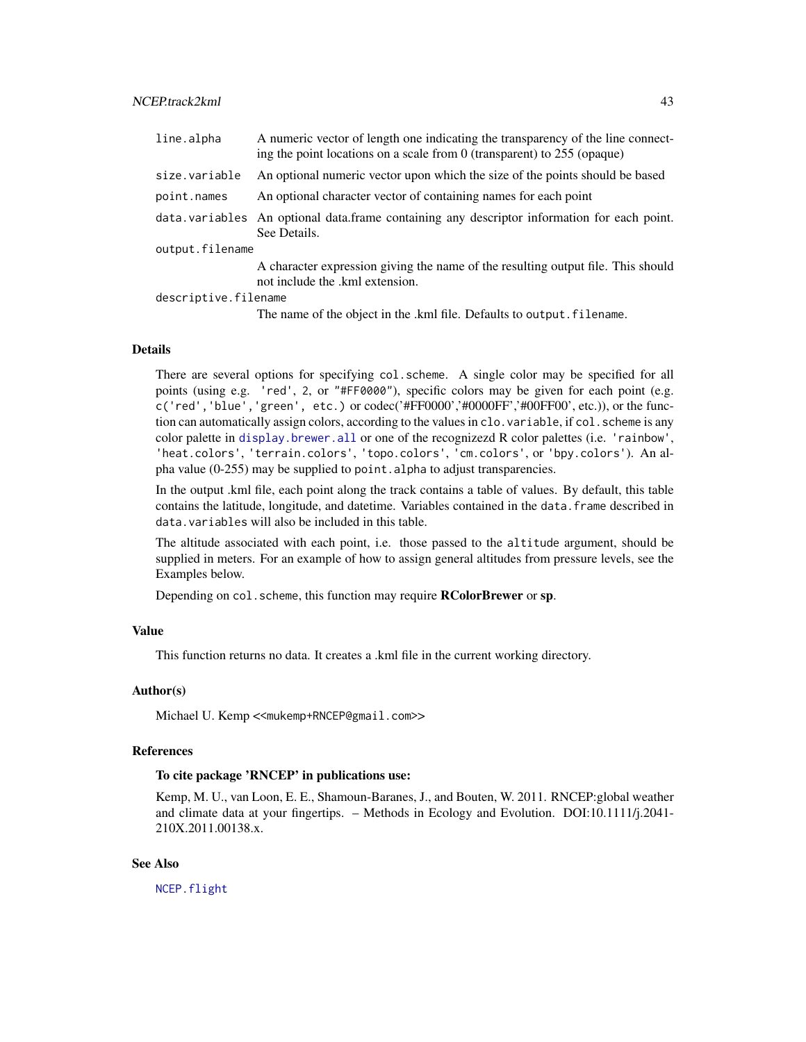<span id="page-42-0"></span>

| line.alpha      | A numeric vector of length one indicating the transparency of the line connect-<br>ing the point locations on a scale from 0 (transparent) to $255$ (opaque) |
|-----------------|--------------------------------------------------------------------------------------------------------------------------------------------------------------|
| size.variable   | An optional numeric vector upon which the size of the points should be based                                                                                 |
| point.names     | An optional character vector of containing names for each point                                                                                              |
|                 | data.variables An optional data.frame containing any descriptor information for each point.<br>See Details.                                                  |
| output.filename |                                                                                                                                                              |
|                 | A character expression giving the name of the resulting output file. This should<br>not include the .kml extension.                                          |
|                 |                                                                                                                                                              |

descriptive.filename

The name of the object in the .kml file. Defaults to output.filename.

#### Details

There are several options for specifying col.scheme. A single color may be specified for all points (using e.g. 'red', 2, or "#FF0000"), specific colors may be given for each point (e.g. c('red','blue','green', etc.) or codec('#FF0000','#0000FF','#00FF00', etc.)), or the function can automatically assign colors, according to the values in clo. variable, if col. scheme is any color palette in [display.brewer.all](#page-0-0) or one of the recognizezd R color palettes (i.e. 'rainbow', 'heat.colors', 'terrain.colors', 'topo.colors', 'cm.colors', or 'bpy.colors'). An alpha value (0-255) may be supplied to point.alpha to adjust transparencies.

In the output .kml file, each point along the track contains a table of values. By default, this table contains the latitude, longitude, and datetime. Variables contained in the data. frame described in data.variables will also be included in this table.

The altitude associated with each point, i.e. those passed to the altitude argument, should be supplied in meters. For an example of how to assign general altitudes from pressure levels, see the Examples below.

Depending on col. scheme, this function may require RColorBrewer or sp.

## Value

This function returns no data. It creates a .kml file in the current working directory.

## Author(s)

Michael U. Kemp << mukemp+RNCEP@gmail.com>>

#### References

## To cite package 'RNCEP' in publications use:

Kemp, M. U., van Loon, E. E., Shamoun-Baranes, J., and Bouten, W. 2011. RNCEP:global weather and climate data at your fingertips. – Methods in Ecology and Evolution. DOI:10.1111/j.2041- 210X.2011.00138.x.

## See Also

[NCEP.flight](#page-11-1)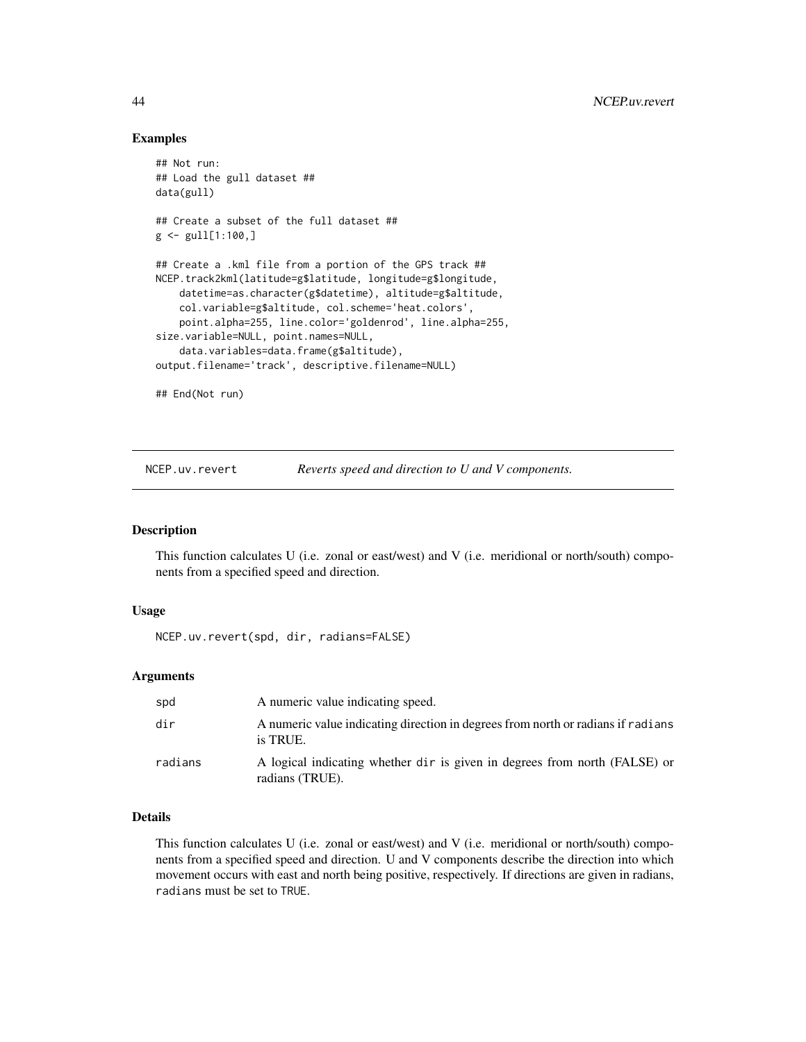## Examples

```
## Not run:
## Load the gull dataset ##
data(gull)
## Create a subset of the full dataset ##
g \leftarrow \text{gull}[1:100, ]## Create a .kml file from a portion of the GPS track ##
NCEP.track2kml(latitude=g$latitude, longitude=g$longitude,
    datetime=as.character(g$datetime), altitude=g$altitude,
    col.variable=g$altitude, col.scheme='heat.colors',
    point.alpha=255, line.color='goldenrod', line.alpha=255,
size.variable=NULL, point.names=NULL,
    data.variables=data.frame(g$altitude),
output.filename='track', descriptive.filename=NULL)
## End(Not run)
```
NCEP.uv.revert *Reverts speed and direction to U and V components.*

## Description

This function calculates U (i.e. zonal or east/west) and V (i.e. meridional or north/south) components from a specified speed and direction.

#### Usage

NCEP.uv.revert(spd, dir, radians=FALSE)

## Arguments

| spd     | A numeric value indicating speed.                                                             |
|---------|-----------------------------------------------------------------------------------------------|
| dir     | A numeric value indicating direction in degrees from north or radians if radians<br>is TRUE.  |
| radians | A logical indicating whether dir is given in degrees from north (FALSE) or<br>radians (TRUE). |

## Details

This function calculates U (i.e. zonal or east/west) and V (i.e. meridional or north/south) components from a specified speed and direction. U and V components describe the direction into which movement occurs with east and north being positive, respectively. If directions are given in radians, radians must be set to TRUE.

<span id="page-43-0"></span>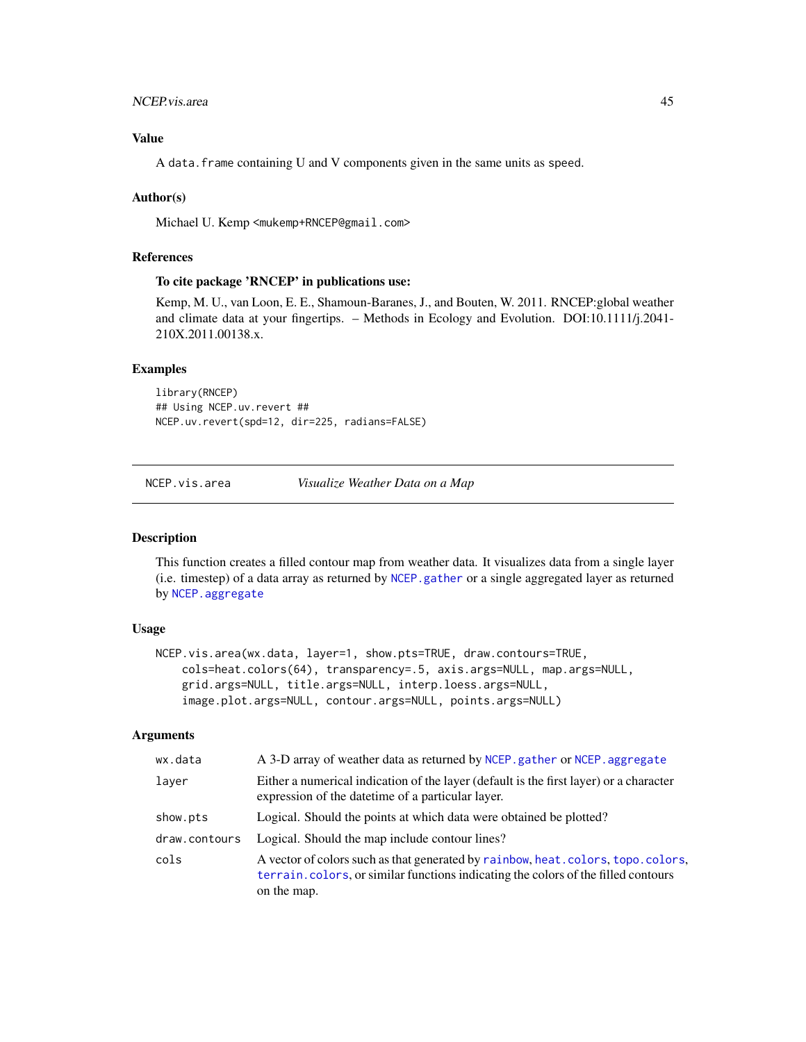## <span id="page-44-0"></span>NCEP.vis.area 45

## Value

A data.frame containing U and V components given in the same units as speed.

## Author(s)

Michael U. Kemp <mukemp+RNCEP@gmail.com>

## References

## To cite package 'RNCEP' in publications use:

Kemp, M. U., van Loon, E. E., Shamoun-Baranes, J., and Bouten, W. 2011. RNCEP:global weather and climate data at your fingertips. – Methods in Ecology and Evolution. DOI:10.1111/j.2041- 210X.2011.00138.x.

## Examples

library(RNCEP) ## Using NCEP.uv.revert ## NCEP.uv.revert(spd=12, dir=225, radians=FALSE)

NCEP.vis.area *Visualize Weather Data on a Map*

## Description

This function creates a filled contour map from weather data. It visualizes data from a single layer (i.e. timestep) of a data array as returned by [NCEP.gather](#page-16-1) or a single aggregated layer as returned by [NCEP.aggregate](#page-3-1)

#### Usage

```
NCEP.vis.area(wx.data, layer=1, show.pts=TRUE, draw.contours=TRUE,
   cols=heat.colors(64), transparency=.5, axis.args=NULL, map.args=NULL,
   grid.args=NULL, title.args=NULL, interp.loess.args=NULL,
    image.plot.args=NULL, contour.args=NULL, points.args=NULL)
```
#### Arguments

| wx.data       | A 3-D array of weather data as returned by NCEP. gather or NCEP. aggregate                                                                                                           |
|---------------|--------------------------------------------------------------------------------------------------------------------------------------------------------------------------------------|
| laver         | Either a numerical indication of the layer (default is the first layer) or a character<br>expression of the date time of a particular layer.                                         |
| show.pts      | Logical. Should the points at which data were obtained be plotted?                                                                                                                   |
| draw.contours | Logical. Should the map include contour lines?                                                                                                                                       |
| cols          | A vector of colors such as that generated by rainbow, heat.colors, topo.colors,<br>terrain, colors, or similar functions indicating the colors of the filled contours<br>on the map. |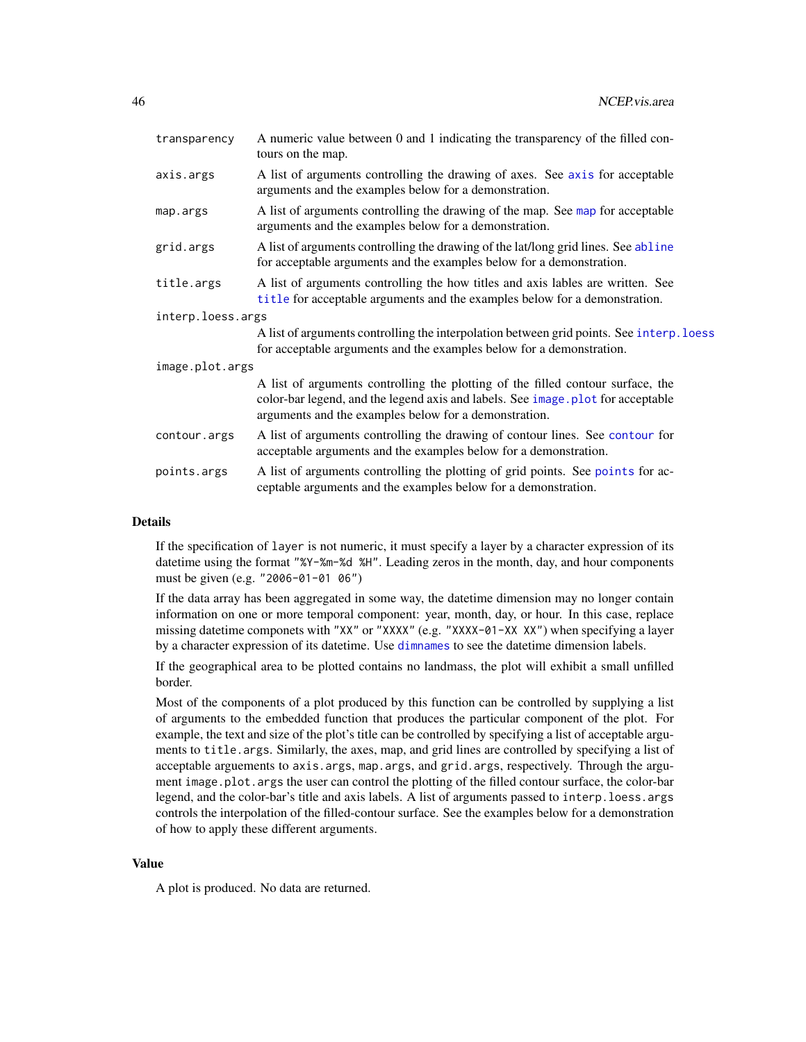<span id="page-45-0"></span>

| transparency      | A numeric value between 0 and 1 indicating the transparency of the filled con-<br>tours on the map.                                                                                                                         |
|-------------------|-----------------------------------------------------------------------------------------------------------------------------------------------------------------------------------------------------------------------------|
| axis.args         | A list of arguments controlling the drawing of axes. See axis for acceptable<br>arguments and the examples below for a demonstration.                                                                                       |
| map.args          | A list of arguments controlling the drawing of the map. See map for acceptable<br>arguments and the examples below for a demonstration.                                                                                     |
| grid.args         | A list of arguments controlling the drawing of the lat/long grid lines. See abline<br>for acceptable arguments and the examples below for a demonstration.                                                                  |
| title.args        | A list of arguments controlling the how titles and axis lables are written. See<br>title for acceptable arguments and the examples below for a demonstration.                                                               |
| interp.loess.args |                                                                                                                                                                                                                             |
|                   | A list of arguments controlling the interpolation between grid points. See interp. loess<br>for acceptable arguments and the examples below for a demonstration.                                                            |
| image.plot.args   |                                                                                                                                                                                                                             |
|                   | A list of arguments controlling the plotting of the filled contour surface, the<br>color-bar legend, and the legend axis and labels. See image plot for acceptable<br>arguments and the examples below for a demonstration. |
| contour.args      | A list of arguments controlling the drawing of contour lines. See contour for<br>acceptable arguments and the examples below for a demonstration.                                                                           |
| points.args       | A list of arguments controlling the plotting of grid points. See points for ac-<br>ceptable arguments and the examples below for a demonstration.                                                                           |

## Details

If the specification of layer is not numeric, it must specify a layer by a character expression of its datetime using the format "%Y-%m-%d %H". Leading zeros in the month, day, and hour components must be given (e.g. "2006-01-01 06")

If the data array has been aggregated in some way, the datetime dimension may no longer contain information on one or more temporal component: year, month, day, or hour. In this case, replace missing datetime componets with "XX" or "XXXX" (e.g. "XXXX-01-XX XX") when specifying a layer by a character expression of its datetime. Use [dimnames](#page-0-0) to see the datetime dimension labels.

If the geographical area to be plotted contains no landmass, the plot will exhibit a small unfilled border.

Most of the components of a plot produced by this function can be controlled by supplying a list of arguments to the embedded function that produces the particular component of the plot. For example, the text and size of the plot's title can be controlled by specifying a list of acceptable arguments to title.args. Similarly, the axes, map, and grid lines are controlled by specifying a list of acceptable arguements to axis.args, map.args, and grid.args, respectively. Through the argument image.plot.args the user can control the plotting of the filled contour surface, the color-bar legend, and the color-bar's title and axis labels. A list of arguments passed to interp.loess.args controls the interpolation of the filled-contour surface. See the examples below for a demonstration of how to apply these different arguments.

## Value

A plot is produced. No data are returned.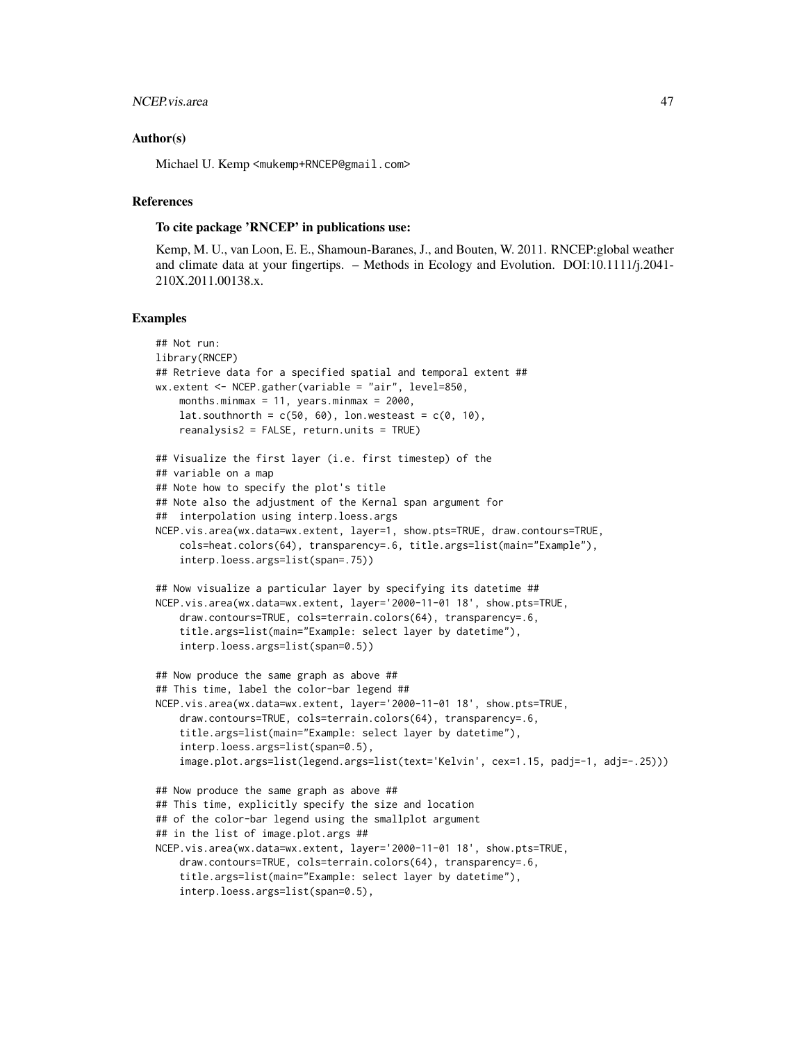## NCEP.vis.area 47

#### Author(s)

Michael U. Kemp <mukemp+RNCEP@gmail.com>

## References

## To cite package 'RNCEP' in publications use:

Kemp, M. U., van Loon, E. E., Shamoun-Baranes, J., and Bouten, W. 2011. RNCEP:global weather and climate data at your fingertips. – Methods in Ecology and Evolution. DOI:10.1111/j.2041- 210X.2011.00138.x.

```
## Not run:
library(RNCEP)
## Retrieve data for a specified spatial and temporal extent ##
wx.extent <- NCEP.gather(variable = "air", level=850,
    months.minmax = 11, years.minmax = 2000,
    lat.southnorth = c(50, 60), lon.westeast = c(0, 10),
    reanalysis2 = FALSE, return.units = TRUE)
## Visualize the first layer (i.e. first timestep) of the
## variable on a map
## Note how to specify the plot's title
## Note also the adjustment of the Kernal span argument for
## interpolation using interp.loess.args
NCEP.vis.area(wx.data=wx.extent, layer=1, show.pts=TRUE, draw.contours=TRUE,
    cols=heat.colors(64), transparency=.6, title.args=list(main="Example"),
    interp.loess.args=list(span=.75))
## Now visualize a particular layer by specifying its datetime ##
NCEP.vis.area(wx.data=wx.extent, layer='2000-11-01 18', show.pts=TRUE,
    draw.contours=TRUE, cols=terrain.colors(64), transparency=.6,
    title.args=list(main="Example: select layer by datetime"),
    interp.loess.args=list(span=0.5))
## Now produce the same graph as above ##
## This time, label the color-bar legend ##
NCEP.vis.area(wx.data=wx.extent, layer='2000-11-01 18', show.pts=TRUE,
    draw.contours=TRUE, cols=terrain.colors(64), transparency=.6,
    title.args=list(main="Example: select layer by datetime"),
    interp.loess.args=list(span=0.5),
    image.plot.args=list(legend.args=list(text='Kelvin', cex=1.15, padj=-1, adj=-.25)))
## Now produce the same graph as above ##
## This time, explicitly specify the size and location
## of the color-bar legend using the smallplot argument
## in the list of image.plot.args ##
NCEP.vis.area(wx.data=wx.extent, layer='2000-11-01 18', show.pts=TRUE,
    draw.contours=TRUE, cols=terrain.colors(64), transparency=.6,
    title.args=list(main="Example: select layer by datetime"),
    interp.loess.args=list(span=0.5),
```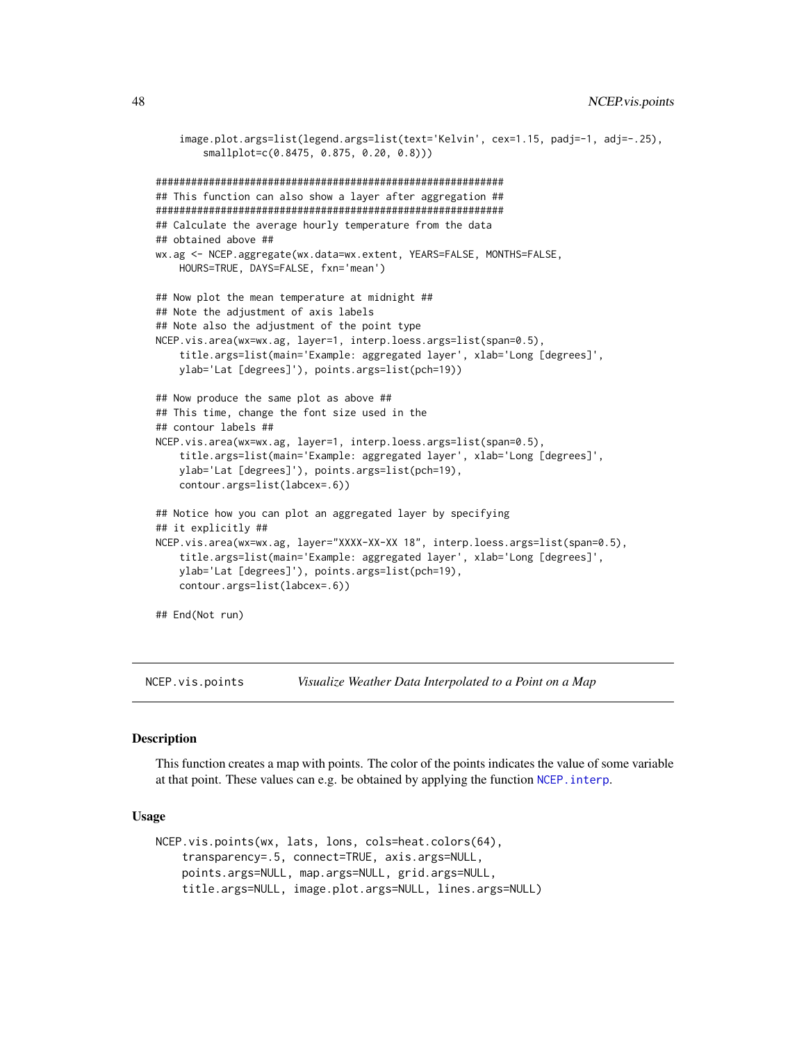```
image.plot.args=list(legend.args=list(text='Kelvin', cex=1.15, padj=-1, adj=-.25),
        smallplot=c(0.8475, 0.875, 0.20, 0.8)))
###########################################################
## This function can also show a layer after aggregation ##
###########################################################
## Calculate the average hourly temperature from the data
## obtained above ##
wx.ag <- NCEP.aggregate(wx.data=wx.extent, YEARS=FALSE, MONTHS=FALSE,
   HOURS=TRUE, DAYS=FALSE, fxn='mean')
## Now plot the mean temperature at midnight ##
## Note the adjustment of axis labels
## Note also the adjustment of the point type
NCEP.vis.area(wx=wx.ag, layer=1, interp.loess.args=list(span=0.5),
    title.args=list(main='Example: aggregated layer', xlab='Long [degrees]',
   ylab='Lat [degrees]'), points.args=list(pch=19))
## Now produce the same plot as above ##
## This time, change the font size used in the
## contour labels ##
NCEP.vis.area(wx=wx.ag, layer=1, interp.loess.args=list(span=0.5),
    title.args=list(main='Example: aggregated layer', xlab='Long [degrees]',
    ylab='Lat [degrees]'), points.args=list(pch=19),
    contour.args=list(labcex=.6))
## Notice how you can plot an aggregated layer by specifying
## it explicitly ##
NCEP.vis.area(wx=wx.ag, layer="XXXX-XX-XX 18", interp.loess.args=list(span=0.5),
    title.args=list(main='Example: aggregated layer', xlab='Long [degrees]',
    ylab='Lat [degrees]'), points.args=list(pch=19),
    contour.args=list(labcex=.6))
## End(Not run)
```
NCEP.vis.points *Visualize Weather Data Interpolated to a Point on a Map*

#### Description

This function creates a map with points. The color of the points indicates the value of some variable at that point. These values can e.g. be obtained by applying the function NCEP. interp.

#### Usage

```
NCEP.vis.points(wx, lats, lons, cols=heat.colors(64),
    transparency=.5, connect=TRUE, axis.args=NULL,
   points.args=NULL, map.args=NULL, grid.args=NULL,
    title.args=NULL, image.plot.args=NULL, lines.args=NULL)
```
<span id="page-47-0"></span>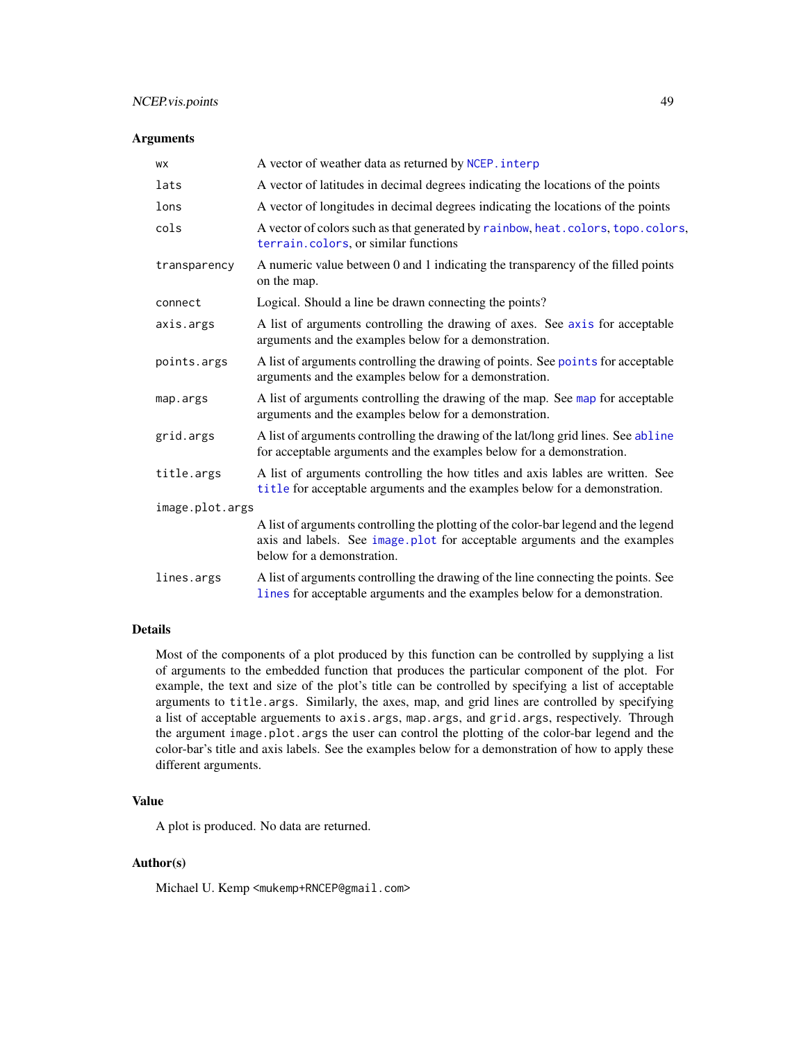## <span id="page-48-0"></span>NCEP.vis.points 49

## Arguments

| <b>WX</b>       | A vector of weather data as returned by NCEP. interp                                                                                                                                           |
|-----------------|------------------------------------------------------------------------------------------------------------------------------------------------------------------------------------------------|
| lats            | A vector of latitudes in decimal degrees indicating the locations of the points                                                                                                                |
| lons            | A vector of longitudes in decimal degrees indicating the locations of the points                                                                                                               |
| cols            | A vector of colors such as that generated by rainbow, heat.colors, topo.colors,<br>terrain.colors, or similar functions                                                                        |
| transparency    | A numeric value between 0 and 1 indicating the transparency of the filled points<br>on the map.                                                                                                |
| connect         | Logical. Should a line be drawn connecting the points?                                                                                                                                         |
| axis.args       | A list of arguments controlling the drawing of axes. See axis for acceptable<br>arguments and the examples below for a demonstration.                                                          |
| points.args     | A list of arguments controlling the drawing of points. See points for acceptable<br>arguments and the examples below for a demonstration.                                                      |
| map.args        | A list of arguments controlling the drawing of the map. See map for acceptable<br>arguments and the examples below for a demonstration.                                                        |
| grid.args       | A list of arguments controlling the drawing of the lat/long grid lines. See abline<br>for acceptable arguments and the examples below for a demonstration.                                     |
| title.args      | A list of arguments controlling the how titles and axis lables are written. See<br>title for acceptable arguments and the examples below for a demonstration.                                  |
| image.plot.args |                                                                                                                                                                                                |
|                 | A list of arguments controlling the plotting of the color-bar legend and the legend<br>axis and labels. See image plot for acceptable arguments and the examples<br>below for a demonstration. |
| lines.args      | A list of arguments controlling the drawing of the line connecting the points. See<br>lines for acceptable arguments and the examples below for a demonstration.                               |

## Details

Most of the components of a plot produced by this function can be controlled by supplying a list of arguments to the embedded function that produces the particular component of the plot. For example, the text and size of the plot's title can be controlled by specifying a list of acceptable arguments to title.args. Similarly, the axes, map, and grid lines are controlled by specifying a list of acceptable arguements to axis.args, map.args, and grid.args, respectively. Through the argument image.plot.args the user can control the plotting of the color-bar legend and the color-bar's title and axis labels. See the examples below for a demonstration of how to apply these different arguments.

## Value

A plot is produced. No data are returned.

## Author(s)

Michael U. Kemp <mukemp+RNCEP@gmail.com>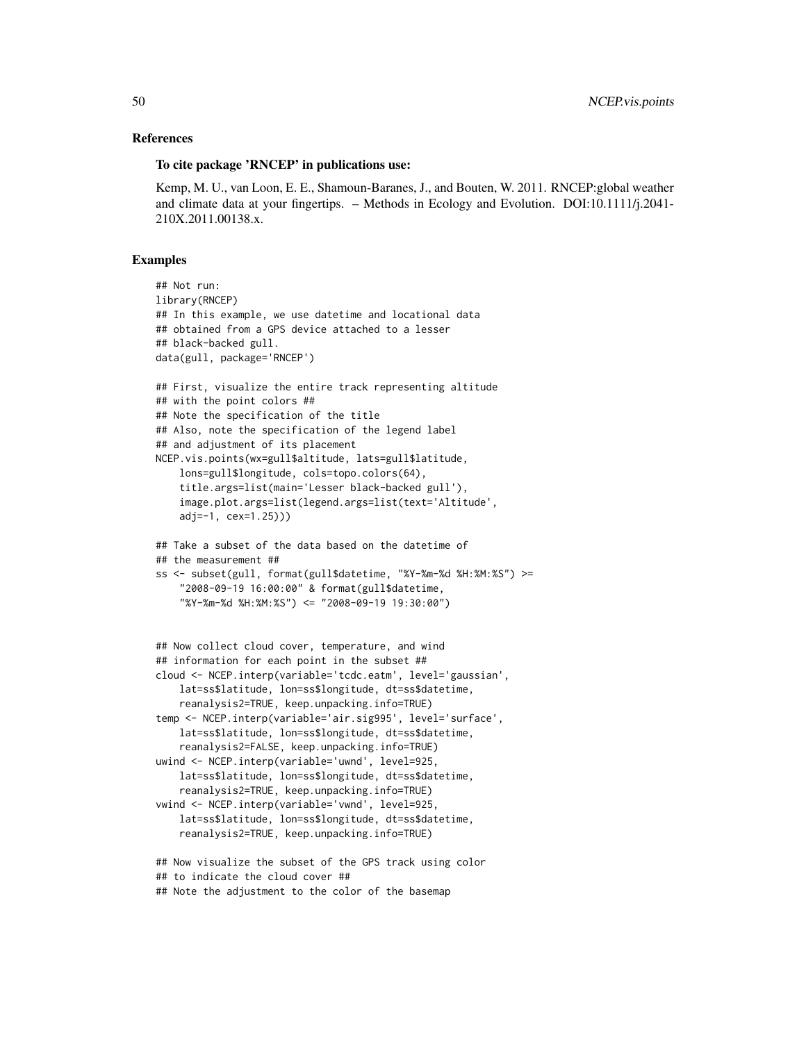## References

#### To cite package 'RNCEP' in publications use:

Kemp, M. U., van Loon, E. E., Shamoun-Baranes, J., and Bouten, W. 2011. RNCEP:global weather and climate data at your fingertips. – Methods in Ecology and Evolution. DOI:10.1111/j.2041- 210X.2011.00138.x.

```
## Not run:
library(RNCEP)
## In this example, we use datetime and locational data
## obtained from a GPS device attached to a lesser
## black-backed gull.
data(gull, package='RNCEP')
## First, visualize the entire track representing altitude
## with the point colors ##
## Note the specification of the title
## Also, note the specification of the legend label
## and adjustment of its placement
NCEP.vis.points(wx=gull$altitude, lats=gull$latitude,
    lons=gull$longitude, cols=topo.colors(64),
    title.args=list(main='Lesser black-backed gull'),
    image.plot.args=list(legend.args=list(text='Altitude',
    adj=-1, cex=1.25)))
## Take a subset of the data based on the datetime of
## the measurement ##
ss <- subset(gull, format(gull$datetime, "%Y-%m-%d %H:%M:%S") >=
    "2008-09-19 16:00:00" & format(gull$datetime,
    "%Y-%m-%d %H:%M:%S") <= "2008-09-19 19:30:00")
```

```
## Now collect cloud cover, temperature, and wind
## information for each point in the subset ##
cloud <- NCEP.interp(variable='tcdc.eatm', level='gaussian',
    lat=ss$latitude, lon=ss$longitude, dt=ss$datetime,
    reanalysis2=TRUE, keep.unpacking.info=TRUE)
temp <- NCEP.interp(variable='air.sig995', level='surface',
    lat=ss$latitude, lon=ss$longitude, dt=ss$datetime,
    reanalysis2=FALSE, keep.unpacking.info=TRUE)
uwind <- NCEP.interp(variable='uwnd', level=925,
   lat=ss$latitude, lon=ss$longitude, dt=ss$datetime,
    reanalysis2=TRUE, keep.unpacking.info=TRUE)
vwind <- NCEP.interp(variable='vwnd', level=925,
    lat=ss$latitude, lon=ss$longitude, dt=ss$datetime,
    reanalysis2=TRUE, keep.unpacking.info=TRUE)
```

```
## Now visualize the subset of the GPS track using color
## to indicate the cloud cover ##
## Note the adjustment to the color of the basemap
```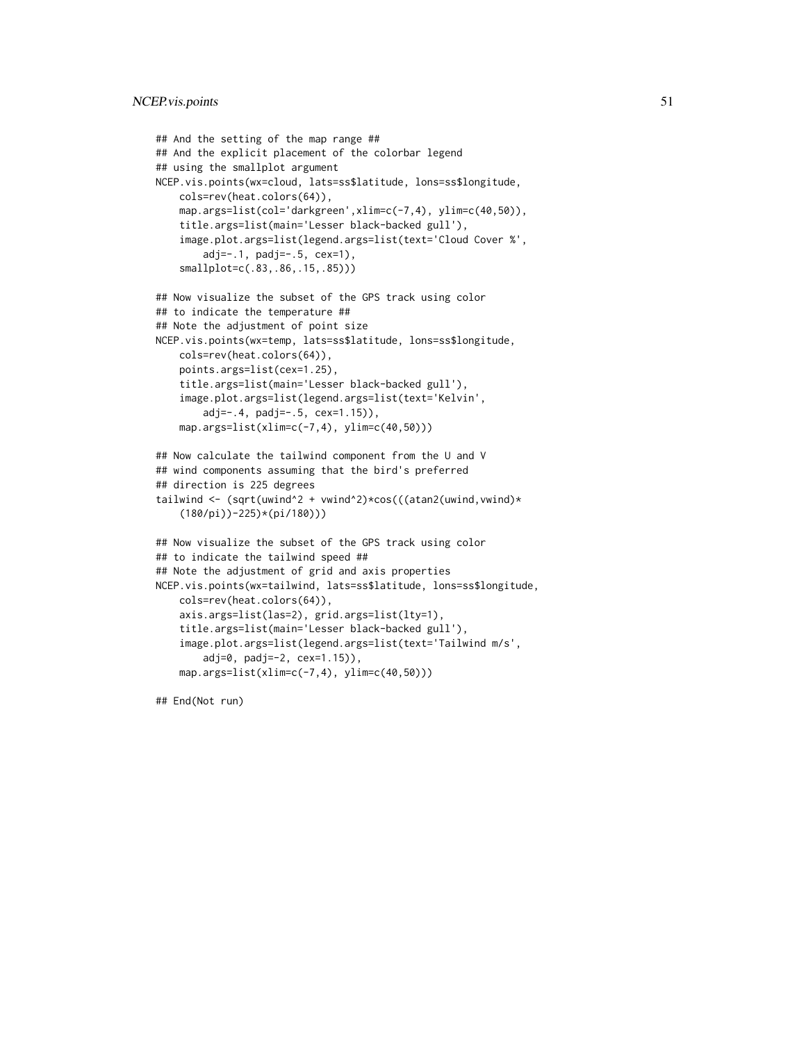```
## And the setting of the map range ##
## And the explicit placement of the colorbar legend
## using the smallplot argument
NCEP.vis.points(wx=cloud, lats=ss$latitude, lons=ss$longitude,
    cols=rev(heat.colors(64)),
    map.args=list(col='darkgreen',xlim=c(-7,4), ylim=c(40,50)),
    title.args=list(main='Lesser black-backed gull'),
    image.plot.args=list(legend.args=list(text='Cloud Cover %',
       adj=-.1, padj=-.5, cex=1),
    smallplot=c(.83,.86,.15,.85)))
## Now visualize the subset of the GPS track using color
## to indicate the temperature ##
## Note the adjustment of point size
NCEP.vis.points(wx=temp, lats=ss$latitude, lons=ss$longitude,
    cols=rev(heat.colors(64)),
   points.args=list(cex=1.25),
    title.args=list(main='Lesser black-backed gull'),
    image.plot.args=list(legend.args=list(text='Kelvin',
       adj=-.4, padj=-.5, cex=1.15)),
   map.args=list(xlim=c(-7,4), ylim=c(40,50)))
## Now calculate the tailwind component from the U and V
## wind components assuming that the bird's preferred
## direction is 225 degrees
tailwind <- (sqrt(uwind^2 + vwind^2)*cos(((atan2(uwind,vwind)*
    (180/pi))-225)*(pi/180)))
## Now visualize the subset of the GPS track using color
## to indicate the tailwind speed ##
## Note the adjustment of grid and axis properties
NCEP.vis.points(wx=tailwind, lats=ss$latitude, lons=ss$longitude,
    cols=rev(heat.colors(64)),
    axis.args=list(las=2), grid.args=list(lty=1),
    title.args=list(main='Lesser black-backed gull'),
    image.plot.args=list(legend.args=list(text='Tailwind m/s',
       adj=0, padj=-2, cex=1.15)),
    map.args=list(xlim=c(-7,4), ylim=c(40,50)))
```
## End(Not run)